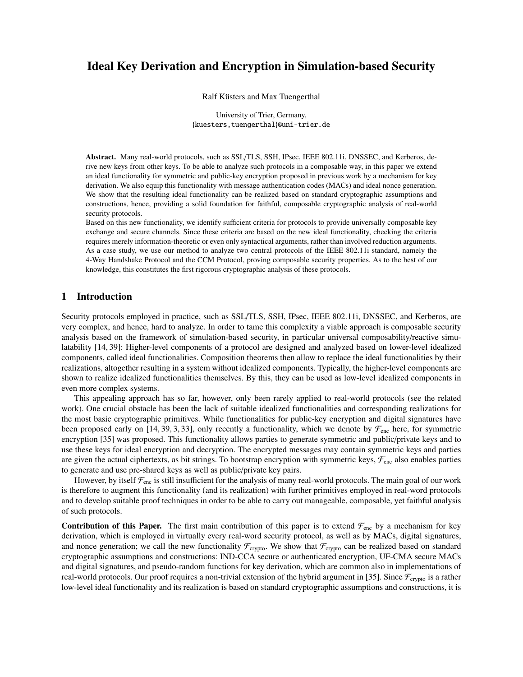# Ideal Key Derivation and Encryption in Simulation-based Security

Ralf Küsters and Max Tuengerthal

University of Trier, Germany, {kuesters,tuengerthal}@uni-trier.de

Abstract. Many real-world protocols, such as SSL/TLS, SSH, IPsec, IEEE 802.11i, DNSSEC, and Kerberos, derive new keys from other keys. To be able to analyze such protocols in a composable way, in this paper we extend an ideal functionality for symmetric and public-key encryption proposed in previous work by a mechanism for key derivation. We also equip this functionality with message authentication codes (MACs) and ideal nonce generation. We show that the resulting ideal functionality can be realized based on standard cryptographic assumptions and constructions, hence, providing a solid foundation for faithful, composable cryptographic analysis of real-world security protocols.

Based on this new functionality, we identify sufficient criteria for protocols to provide universally composable key exchange and secure channels. Since these criteria are based on the new ideal functionality, checking the criteria requires merely information-theoretic or even only syntactical arguments, rather than involved reduction arguments. As a case study, we use our method to analyze two central protocols of the IEEE 802.11i standard, namely the 4-Way Handshake Protocol and the CCM Protocol, proving composable security properties. As to the best of our knowledge, this constitutes the first rigorous cryptographic analysis of these protocols.

# 1 Introduction

Security protocols employed in practice, such as SSL/TLS, SSH, IPsec, IEEE 802.11i, DNSSEC, and Kerberos, are very complex, and hence, hard to analyze. In order to tame this complexity a viable approach is composable security analysis based on the framework of simulation-based security, in particular universal composability/reactive simulatability [14, 39]: Higher-level components of a protocol are designed and analyzed based on lower-level idealized components, called ideal functionalities. Composition theorems then allow to replace the ideal functionalities by their realizations, altogether resulting in a system without idealized components. Typically, the higher-level components are shown to realize idealized functionalities themselves. By this, they can be used as low-level idealized components in even more complex systems.

This appealing approach has so far, however, only been rarely applied to real-world protocols (see the related work). One crucial obstacle has been the lack of suitable idealized functionalities and corresponding realizations for the most basic cryptographic primitives. While functionalities for public-key encryption and digital signatures have been proposed early on [14, 39, 3, 33], only recently a functionality, which we denote by  $\mathcal{F}_{\text{enc}}$  here, for symmetric encryption [35] was proposed. This functionality allows parties to generate symmetric and public/private keys and to use these keys for ideal encryption and decryption. The encrypted messages may contain symmetric keys and parties are given the actual ciphertexts, as bit strings. To bootstrap encryption with symmetric keys,  $\mathcal{F}_{\text{enc}}$  also enables parties to generate and use pre-shared keys as well as public/private key pairs.

However, by itself  $\mathcal{F}_{enc}$  is still insufficient for the analysis of many real-world protocols. The main goal of our work is therefore to augment this functionality (and its realization) with further primitives employed in real-word protocols and to develop suitable proof techniques in order to be able to carry out manageable, composable, yet faithful analysis of such protocols.

**Contribution of this Paper.** The first main contribution of this paper is to extend  $\mathcal{F}_{enc}$  by a mechanism for key derivation, which is employed in virtually every real-word security protocol, as well as by MACs, digital signatures, and nonce generation; we call the new functionality  $\mathcal{F}_{\text{crypto}}$ . We show that  $\mathcal{F}_{\text{crypto}}$  can be realized based on standard cryptographic assumptions and constructions: IND-CCA secure or authenticated encryption, UF-CMA secure MACs and digital signatures, and pseudo-random functions for key derivation, which are common also in implementations of real-world protocols. Our proof requires a non-trivial extension of the hybrid argument in [35]. Since  $\mathcal{F}_{\text{crypto}}$  is a rather low-level ideal functionality and its realization is based on standard cryptographic assumptions and constructions, it is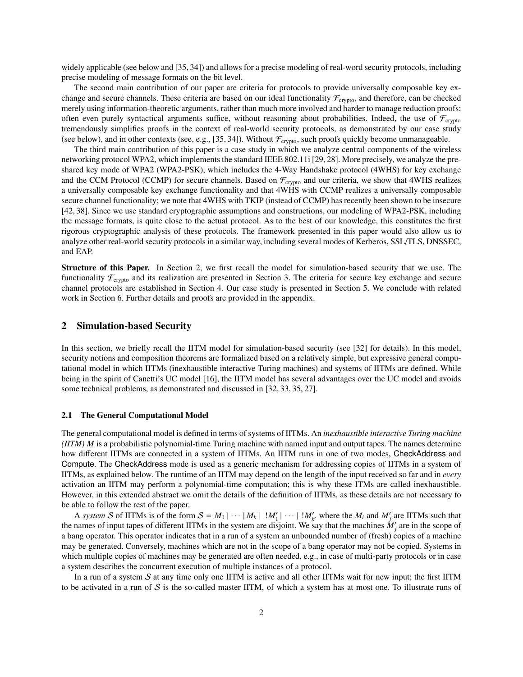widely applicable (see below and [35, 34]) and allows for a precise modeling of real-word security protocols, including precise modeling of message formats on the bit level.

The second main contribution of our paper are criteria for protocols to provide universally composable key exchange and secure channels. These criteria are based on our ideal functionality  $\mathcal{F}_{\text{crypto}}$ , and therefore, can be checked merely using information-theoretic arguments, rather than much more involved and harder to manage reduction proofs; often even purely syntactical arguments suffice, without reasoning about probabilities. Indeed, the use of  $\mathcal{F}_{\text{crvnto}}$ tremendously simplifies proofs in the context of real-world security protocols, as demonstrated by our case study (see below), and in other contexts (see, e.g., [35, 34]). Without  $\mathcal{F}_{\text{crypto}}$ , such proofs quickly become unmanageable.

The third main contribution of this paper is a case study in which we analyze central components of the wireless networking protocol WPA2, which implements the standard IEEE 802.11i [29, 28]. More precisely, we analyze the preshared key mode of WPA2 (WPA2-PSK), which includes the 4-Way Handshake protocol (4WHS) for key exchange and the CCM Protocol (CCMP) for secure channels. Based on  $\mathcal{F}_{\text{crypto}}$  and our criteria, we show that 4WHS realizes a universally composable key exchange functionality and that 4WHS with CCMP realizes a universally composable secure channel functionality; we note that 4WHS with TKIP (instead of CCMP) has recently been shown to be insecure [42, 38]. Since we use standard cryptographic assumptions and constructions, our modeling of WPA2-PSK, including the message formats, is quite close to the actual protocol. As to the best of our knowledge, this constitutes the first rigorous cryptographic analysis of these protocols. The framework presented in this paper would also allow us to analyze other real-world security protocols in a similar way, including several modes of Kerberos, SSL/TLS, DNSSEC, and EAP.

Structure of this Paper. In Section 2, we first recall the model for simulation-based security that we use. The functionality  $\mathcal{F}_{\text{crypto}}$  and its realization are presented in Section 3. The criteria for secure key exchange and secure channel protocols are established in Section 4. Our case study is presented in Section 5. We conclude with related work in Section 6. Further details and proofs are provided in the appendix.

### 2 Simulation-based Security

In this section, we briefly recall the IITM model for simulation-based security (see [32] for details). In this model, security notions and composition theorems are formalized based on a relatively simple, but expressive general computational model in which IITMs (inexhaustible interactive Turing machines) and systems of IITMs are defined. While being in the spirit of Canetti's UC model [16], the IITM model has several advantages over the UC model and avoids some technical problems, as demonstrated and discussed in [32, 33, 35, 27].

### 2.1 The General Computational Model

The general computational model is defined in terms of systems of IITMs. An *inexhaustible interactive Turing machine (IITM) M* is a probabilistic polynomial-time Turing machine with named input and output tapes. The names determine how different IITMs are connected in a system of IITMs. An IITM runs in one of two modes, CheckAddress and Compute. The CheckAddress mode is used as a generic mechanism for addressing copies of IITMs in a system of IITMs, as explained below. The runtime of an IITM may depend on the length of the input received so far and in *every* activation an IITM may perform a polynomial-time computation; this is why these ITMs are called inexhaustible. However, in this extended abstract we omit the details of the definition of IITMs, as these details are not necessary to be able to follow the rest of the paper.

A *system* S of IITMs is of the form  $S = M_1 \cup \cdots \cup M_k \cup M'_1 \cup \cdots \cup M'_{k'}$  where the  $M_i$  and  $M'_j$  are IITMs such that the names of input tapes of different IITMs in the system are disjoint. We say that the machines  $M'_j$  are in the scope of a bang operator. This operator indicates that in a run of a system an unbounded number of (fresh) copies of a machine may be generated. Conversely, machines which are not in the scope of a bang operator may not be copied. Systems in which multiple copies of machines may be generated are often needed, e.g., in case of multi-party protocols or in case a system describes the concurrent execution of multiple instances of a protocol.

In a run of a system  $S$  at any time only one IITM is active and all other IITMs wait for new input; the first IITM to be activated in a run of  $S$  is the so-called master IITM, of which a system has at most one. To illustrate runs of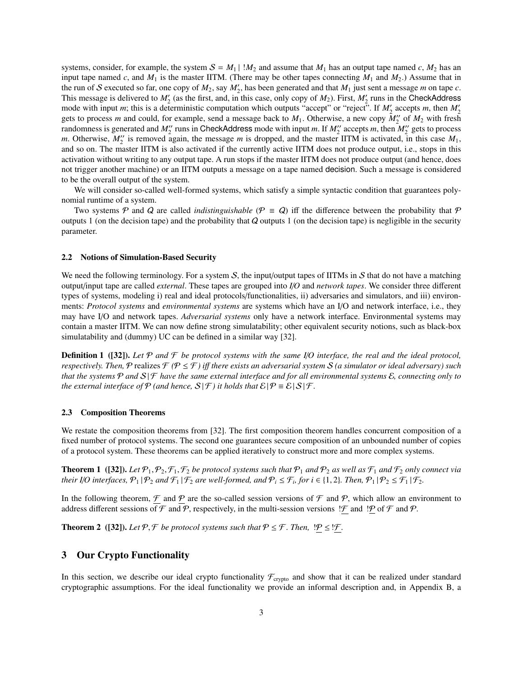systems, consider, for example, the system  $S = M_1 \mid M_2$  and assume that  $M_1$  has an output tape named *c*,  $M_2$  has an input tape named c, and  $M_1$  is the master IITM. (There may be other tapes connecting  $M_1$  and  $M_2$ .) Assume that in the run of S executed so far, one copy of  $M_2$ , say  $M'_2$ , has been generated and that  $M_1$  just sent a message *m* on tape *c*. This message is delivered to  $M'_2$  (as the first, and, in this case, only copy of  $M_2$ ). First,  $M'_2$  runs in the CheckAddress mode with input *m*; this is a deterministic computation which outputs "accept" or "reject". If  $M'_2$  accepts *m*, then  $M'_2$ gets to process *m* and could, for example, send a message back to  $M_1$ . Otherwise, a new copy  $M_2'$  of  $M_2$  with fresh randomness is generated and  $M_2''$  runs in CheckAddress mode with input *m*. If  $M_2''$  accepts *m*, then  $M_2''$  gets to process *m*. Otherwise,  $M_2''$  is removed again, the message *m* is dropped, and the master IITM is activated, in this case  $M_1$ , and so on. The master IITM is also activated if the currently active IITM does not produce output, i.e., stops in this activation without writing to any output tape. A run stops if the master IITM does not produce output (and hence, does not trigger another machine) or an IITM outputs a message on a tape named decision. Such a message is considered to be the overall output of the system.

We will consider so-called well-formed systems, which satisfy a simple syntactic condition that guarantees polynomial runtime of a system.

Two systems P and Q are called *indistinguishable* ( $P = Q$ ) iff the difference between the probability that P outputs 1 (on the decision tape) and the probability that  $Q$  outputs 1 (on the decision tape) is negligible in the security parameter.

### 2.2 Notions of Simulation-Based Security

We need the following terminology. For a system  $S$ , the input/output tapes of IITMs in  $S$  that do not have a matching output/input tape are called *external*. These tapes are grouped into *I*/*O* and *network tapes*. We consider three different types of systems, modeling i) real and ideal protocols/functionalities, ii) adversaries and simulators, and iii) environments: *Protocol systems* and *environmental systems* are systems which have an I/O and network interface, i.e., they may have I/O and network tapes. *Adversarial systems* only have a network interface. Environmental systems may contain a master IITM. We can now define strong simulatability; other equivalent security notions, such as black-box simulatability and (dummy) UC can be defined in a similar way [32].

Definition 1 ([32]). *Let* P *and* F *be protocol systems with the same I*/*O interface, the real and the ideal protocol, respectively. Then,*  $P$  realizes  $\mathcal{F}$  ( $P \leq \mathcal{F}$ ) iff there exists an adversarial system  $S$  (a simulator or ideal adversary) such *that the systems*  $P$  *and*  $S$  |  $F$  *have the same external interface and for all environmental systems*  $E$ *, connecting only to the external interface of*  $P$  *(and hence,*  $S(\mathcal{F})$  *it holds that*  $\mathcal{E}(\mathcal{P} \equiv \mathcal{E} | S | \mathcal{F}$ *.* 

### 2.3 Composition Theorems

We restate the composition theorems from [32]. The first composition theorem handles concurrent composition of a fixed number of protocol systems. The second one guarantees secure composition of an unbounded number of copies of a protocol system. These theorems can be applied iteratively to construct more and more complex systems.

**Theorem 1** ([32]). Let  $\mathcal{P}_1, \mathcal{P}_2, \mathcal{F}_1, \mathcal{F}_2$  be protocol systems such that  $\mathcal{P}_1$  and  $\mathcal{P}_2$  as well as  $\mathcal{F}_1$  and  $\mathcal{F}_2$  only connect via *their I/O interfaces,*  $\mathcal{P}_1 | \mathcal{P}_2$  *and*  $\mathcal{F}_1 | \mathcal{F}_2$  *are well-formed, and*  $\mathcal{P}_i \leq \mathcal{F}_i$ *, for i*  $\in$  {1, 2}*. Then,*  $\mathcal{P}_1 | \mathcal{P}_2 \leq \mathcal{F}_1 | \mathcal{F}_2$ *.* 

In the following theorem,  $\mathcal F$  and  $\mathcal P$  are the so-called session versions of  $\mathcal F$  and  $\mathcal P$ , which allow an environment to address different sessions of  $\mathcal F$  and  $\mathcal P$ , respectively, in the multi-session versions !  $\mathcal F$  and  $\mathcal P$ .

**Theorem 2** ([32]). *Let*  $P$ ,  $\mathcal{F}$  *be protocol systems such that*  $P \leq \mathcal{F}$ *. Then,*  $P \leq \mathcal{F}$ *.* 

# 3 Our Crypto Functionality

In this section, we describe our ideal crypto functionality  $\mathcal{F}_{\text{crypto}}$  and show that it can be realized under standard cryptographic assumptions. For the ideal functionality we provide an informal description and, in Appendix B, a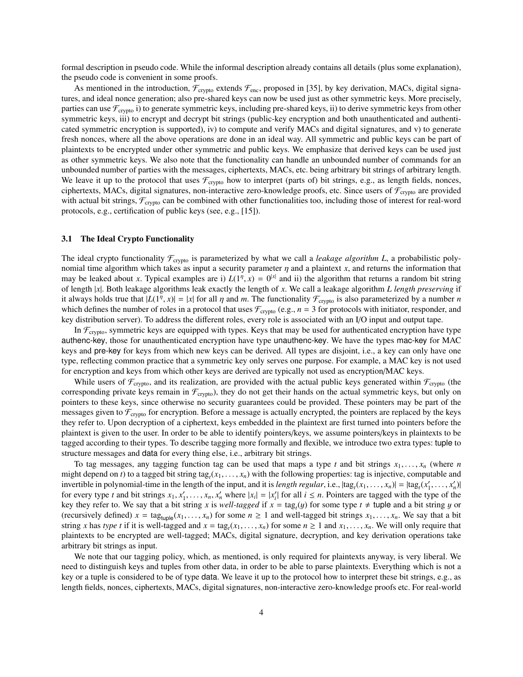formal description in pseudo code. While the informal description already contains all details (plus some explanation), the pseudo code is convenient in some proofs.

As mentioned in the introduction,  $\mathcal{F}_{\text{crypto}}$  extends  $\mathcal{F}_{\text{enc}}$ , proposed in [35], by key derivation, MACs, digital signatures, and ideal nonce generation; also pre-shared keys can now be used just as other symmetric keys. More precisely, parties can use  $\mathcal{F}_{\text{crvpto}}$  i) to generate symmetric keys, including pre-shared keys, ii) to derive symmetric keys from other symmetric keys, iii) to encrypt and decrypt bit strings (public-key encryption and both unauthenticated and authenticated symmetric encryption is supported), iv) to compute and verify MACs and digital signatures, and v) to generate fresh nonces, where all the above operations are done in an ideal way. All symmetric and public keys can be part of plaintexts to be encrypted under other symmetric and public keys. We emphasize that derived keys can be used just as other symmetric keys. We also note that the functionality can handle an unbounded number of commands for an unbounded number of parties with the messages, ciphertexts, MACs, etc. being arbitrary bit strings of arbitrary length. We leave it up to the protocol that uses  $\mathcal{F}_{\text{crypto}}$  how to interpret (parts of) bit strings, e.g., as length fields, nonces, ciphertexts, MACs, digital signatures, non-interactive zero-knowledge proofs, etc. Since users of  $\mathcal{F}_{\text{crypto}}$  are provided with actual bit strings,  $\mathcal{F}_{\text{crypto}}$  can be combined with other functionalities too, including those of interest for real-word protocols, e.g., certification of public keys (see, e.g., [15]).

### 3.1 The Ideal Crypto Functionality

The ideal crypto functionality  $\mathcal{F}_{\text{crypto}}$  is parameterized by what we call a *leakage algorithm L*, a probabilistic polynomial time algorithm which takes as input a security parameter  $\eta$  and a plaintext *x*, and returns the information that may be leaked about *x*. Typical examples are i)  $L(1^n, x) = 0^{|x|}$  and ii) the algorithm that returns a random bit string<br>of length |x|. Both leakage algorithms leak exactly the length of x. We call a leakage algorithm *L* of length |*x*|. Both leakage algorithms leak exactly the length of *x*. We call a leakage algorithm *L length preserving* if it always holds true that  $|L(1^{\eta}, x)| = |x|$  for all  $\eta$  and  $m$ . The functionality  $\mathcal{F}_{\text{crypto}}$  is also parameterized by a number  $n$  which defines the number of roles in a protocol that uses  $\mathcal{F}_{\text{cyc}}$  (e.g.  $n = 3$ which defines the number of roles in a protocol that uses  $\mathcal{F}_{\text{crypto}}$  (e.g.,  $n = 3$  for protocols with initiator, responder, and key distribution server). To address the different roles, every role is associated with an I/O input and output tape.

In  $\mathcal{F}_{\text{crypto}}$ , symmetric keys are equipped with types. Keys that may be used for authenticated encryption have type authenc-key, those for unauthenticated encryption have type unauthenc-key. We have the types mac-key for MAC keys and pre-key for keys from which new keys can be derived. All types are disjoint, i.e., a key can only have one type, reflecting common practice that a symmetric key only serves one purpose. For example, a MAC key is not used for encryption and keys from which other keys are derived are typically not used as encryption/MAC keys.

While users of  $\mathcal{F}_{\text{crypto}}$ , and its realization, are provided with the actual public keys generated within  $\mathcal{F}_{\text{crypto}}$  (the corresponding private keys remain in  $\mathcal{F}_{\text{crypto}}$ , they do not get their hands on the actual symmetric keys, but only on pointers to these keys, since otherwise no security guarantees could be provided. These pointers may be part of the messages given to  $\mathcal{F}_{\text{crypto}}$  for encryption. Before a message is actually encrypted, the pointers are replaced by the keys they refer to. Upon decryption of a ciphertext, keys embedded in the plaintext are first turned into pointers before the plaintext is given to the user. In order to be able to identify pointers/keys, we assume pointers/keys in plaintexts to be tagged according to their types. To describe tagging more formally and flexible, we introduce two extra types: tuple to structure messages and data for every thing else, i.e., arbitrary bit strings.

To tag messages, any tagging function tag can be used that maps a type *t* and bit strings  $x_1, \ldots, x_n$  (where *n* might depend on *t*) to a tagged bit string  $\text{tag}_x(x_1, \ldots, x_n)$  with the following properties: tag is injective, computable and<br>invertible in polynomial-time in the length of the input and it is *length requier* i.e.,  $\text$ invertible in polynomial-time in the length of the input, and it is *length regular*, i.e.,  $|\text{tag}_t(x_1, \ldots, x_n)| = |\text{tag}_t(x'_1, \ldots, x'_n)|$ <br>for every type t and bit strings  $x_1, x'_1$  where  $|x_1| = |x'|$  for all  $i \le n$ . Pointers are t for every type t and bit strings  $x_1, x'_1, \ldots, x_n, x'_n$  where  $|x_i| = |x'_i|$  for all  $i \le n$ . Pointers are tagged with the type of the key they refer to We say that a bit string x is well-tagged if  $x - \tan(u)$  for some type  $t \neq \$ key they refer to. We say that a bit string *x* is *well-tagged* if  $x = \text{tag}_t(y)$  for some type  $t \neq \text{tuple}$  and a bit string *y* or (recursively defined)  $x = \text{tag}_{\text{tuple}}(x_1, \ldots, x_n)$  for some  $n \ge 1$  and well-tagged bit strings  $x_1, \ldots, x_n$ . We say that a bit string *x* has *type t* if it is well-tagged and  $x = \text{tag}_t(x_1, \ldots, x_n)$  for some  $n \ge 1$  and  $x_1, \ldots, x_n$ . We will only require that plaintexts to be encrypted are well-tagged: MACs, digital signature, decryption, and key plaintexts to be encrypted are well-tagged; MACs, digital signature, decryption, and key derivation operations take arbitrary bit strings as input.

We note that our tagging policy, which, as mentioned, is only required for plaintexts anyway, is very liberal. We need to distinguish keys and tuples from other data, in order to be able to parse plaintexts. Everything which is not a key or a tuple is considered to be of type data. We leave it up to the protocol how to interpret these bit strings, e.g., as length fields, nonces, ciphertexts, MACs, digital signatures, non-interactive zero-knowledge proofs etc. For real-world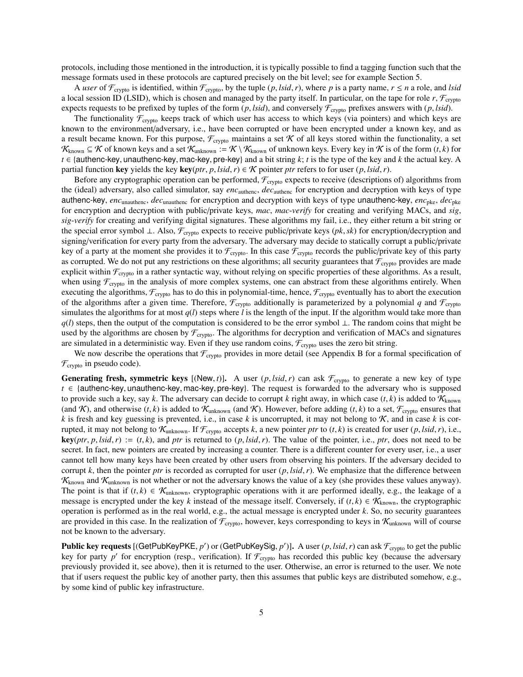protocols, including those mentioned in the introduction, it is typically possible to find a tagging function such that the message formats used in these protocols are captured precisely on the bit level; see for example Section 5.

A *user* of  $\mathcal{F}_{\text{crypto}}$  is identified, within  $\mathcal{F}_{\text{crypto}}$ , by the tuple  $(p, \text{Isid}, r)$ , where p is a party name,  $r \leq n$  a role, and *lsid* a local session ID (LSID), which is chosen and managed by the party itself. In particular, on the tape for role  $r$ ,  $\mathcal{F}_{\text{crypto}}$ expects requests to be prefixed by tuples of the form  $(p, \text{lsid})$ , and conversely  $\mathcal{F}_{\text{crypto}}$  prefixes answers with  $(p, \text{lsid})$ .

The functionality  $\mathcal{F}_{\text{crvpto}}$  keeps track of which user has access to which keys (via pointers) and which keys are known to the environment/adversary, i.e., have been corrupted or have been encrypted under a known key, and as a result became known. For this purpose,  $\mathcal{F}_{\text{crypto}}$  maintains a set K of all keys stored within the functionality, a set  $\mathcal{K}_{known}$  ⊆  $\mathcal{K}$  of known keys and a set  $\mathcal{K}_{unknown}$  :=  $\mathcal{K} \setminus \mathcal{K}_{known}$  of unknown keys. Every key in  $\mathcal{K}$  is of the form  $(t, k)$  for *<sup>t</sup>* ∈ {authenc-key, unauthenc-key, mac-key, pre-key} and a bit string *<sup>k</sup>*; *<sup>t</sup>* is the type of the key and *<sup>k</sup>* the actual key. A partial function key yields the key key(*ptr*, *p*, *lsid*, *r*)  $\in$  *K* pointer *ptr* refers to for user (*p*, *lsid*, *r*).

Before any cryptographic operation can be performed,  $\mathcal{F}_{\text{crypto}}$  expects to receive (descriptions of) algorithms from the (ideal) adversary, also called simulator, say *enc*authenc, *dec*authenc for encryption and decryption with keys of type authenc-key, *enc*unauthenc, *dec*unauthenc for encryption and decryption with keys of type unauthenc-key, *enc*pke, *dec*pke for encryption and decryption with public/private keys, *mac*, *mac*-*verify* for creating and verifying MACs, and *sig*, *sig*-*verify* for creating and verifying digital signatures. These algorithms my fail, i.e., they either return a bit string or the special error symbol <sup>⊥</sup>. Also, <sup>F</sup>crypto expects to receive public/private keys (*pk*,*sk*) for encryption/decryption and signing/verification for every party from the adversary. The adversary may decide to statically corrupt a public/private key of a party at the moment she provides it to  $\mathcal{F}_{\text{crypto}}$ . In this case  $\mathcal{F}_{\text{crypto}}$  records the public/private key of this party as corrupted. We do not put any restrictions on these algorithms; all security guarantees that  $\mathcal{F}_{\text{crypto}}$  provides are made explicit within  $\mathcal{F}_{\text{crypto}}$  in a rather syntactic way, without relying on specific properties of these algorithms. As a result, when using  $\mathcal{F}_{\text{crypto}}$  in the analysis of more complex systems, one can abstract from these algorithms entirely. When executing the algorithms,  $\mathcal{F}_{\text{crypto}}$  has to do this in polynomial-time, hence,  $\mathcal{F}_{\text{crypto}}$  eventually has to abort the execution of the algorithms after a given time. Therefore,  $\mathcal{F}_{\text{cryptography}}$  additionally is parameterized by a polynomial q and  $\mathcal{F}_{\text{cryptography}}$ simulates the algorithms for at most  $q(l)$  steps where *l* is the length of the input. If the algorithm would take more than *q*(*l*) steps, then the output of the computation is considered to be the error symbol ⊥. The random coins that might be used by the algorithms are chosen by  $\mathcal{F}_{\text{crypto}}$ . The algorithms for decryption and verification of MACs and signatures are simulated in a deterministic way. Even if they use random coins,  $\mathcal{F}_{\text{crypto}}$  uses the zero bit string.

We now describe the operations that  $\mathcal{F}_{\text{crypto}}$  provides in more detail (see Appendix B for a formal specification of  $\mathcal{F}_{\text{crypto}}$  in pseudo code).

**Generating fresh, symmetric keys** [(New, t)]. A user  $(p, \text{lsid}, r)$  can ask  $\mathcal{F}_{\text{crypto}}$  to generate a new key of type *<sup>t</sup>* ∈ {authenc-key, unauthenc-key, mac-key, pre-key}. The request is forwarded to the adversary who is supposed to provide such a key, say k. The adversary can decide to corrupt k right away, in which case  $(t, k)$  is added to  $\mathcal{K}_{\text{known}}$ (and K), and otherwise  $(t, k)$  is added to  $\mathcal{K}_{unknown}$  (and K). However, before adding  $(t, k)$  to a set,  $\mathcal{F}_{crypt}$  ensures that  $k$  is fresh and key guessing is prevented, i.e., in case  $k$  is uncorrupted, it may not belong to  $K$ , and in case  $k$  is corrupted, it may not belong to  $\mathcal{K}_{unknown}$ . If  $\mathcal{F}_{crypto}$  accepts *k*, a new pointer *ptr* to (*t*, *k*) is created for user (*p*, *lsid*, *r*), i.e.,  $key(ptr, p, Isid, r) := (t, k)$ , and *ptr* is returned to  $(p, Isid, r)$ . The value of the pointer, i.e., *ptr*, does not need to be secret. In fact, new pointers are created by increasing a counter. There is a different counter for every user, i.e., a user cannot tell how many keys have been created by other users from observing his pointers. If the adversary decided to corrupt  $k$ , then the pointer *ptr* is recorded as corrupted for user  $(p, \text{lsid}, r)$ . We emphasize that the difference between  $K_{known}$  and  $K_{unknown}$  is not whether or not the adversary knows the value of a key (she provides these values anyway). The point is that if  $(t, k) \in \mathcal{K}_{unknown}$ , cryptographic operations with it are performed ideally, e.g., the leakage of a message is encrypted under the key k instead of the message itself. Conversely, if  $(t, k) \in \mathcal{K}_{\text{known}}$ , the cryptographic operation is performed as in the real world, e.g., the actual message is encrypted under *k*. So, no security guarantees are provided in this case. In the realization of  $\mathcal{F}_{\text{crypto}}$ , however, keys corresponding to keys in  $\mathcal{K}_{\text{unknown}}$  will of course not be known to the adversary.

**Public key requests**  $[(\text{GetPubKeyPKE}, p') \text{ or } (\text{GetPubKeySig}, p')].$  A user  $(p, \text{Isid}, r)$  can ask  $\mathcal{F}_{\text{crypto}}$  to get the public key for party n' for encryption (resp. verification). If  $\mathcal{F}$  is best recorded this public key (because key for party  $p'$  for encryption (resp., verification). If  $\mathcal{F}_{\text{crypto}}$  has recorded this public key (because the adversary previously provided it, see above), then it is returned to the user. Otherwise, an error is returned to the user. We note that if users request the public key of another party, then this assumes that public keys are distributed somehow, e.g., by some kind of public key infrastructure.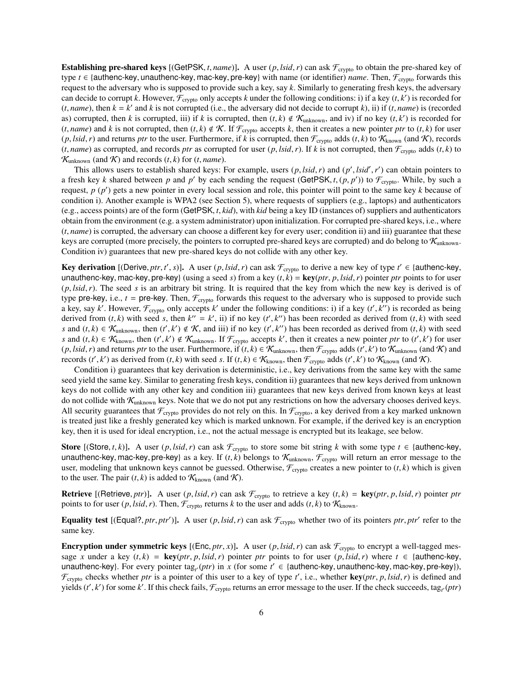**Establishing pre-shared keys** [(GetPSK, *t*, *name*)]. A user  $(p, \text{lsid}, r)$  can ask  $\mathcal{F}_{\text{crypto}}$  to obtain the pre-shared key of type  $t \in$  {authenc-key, unauthenc-key, mac-key, pre-key} with name (or identifier) *name*. Then,  $\mathcal{F}_{\text{crypto}}$  forwards this request to the adversary who is supposed to provide such a key, say *k*. Similarly to generating fresh keys, the adversary can decide to corrupt *k*. However,  $\mathcal{F}_{\text{crypto}}$  only accepts *k* under the following conditions: i) if a key  $(t, k')$  is recorded for  $(t, name)$  then  $k - k'$  and *k* is not corrupted (i.e., the adversary did not decide to cor (*t*, *name*), then  $k = k'$  and *k* is not corrupted (i.e., the adversary did not decide to corrupt *k*), ii) if (*t*, *name*) is (recorded for and i) corrupted then *k* is corrupted iii) if *k* is corrupted then (*t k*) as) corrupted, then *k* is corrupted, iii) if *k* is corrupted, then  $(t, k) \notin \mathcal{K}_{unknown}$ , and iv) if no key  $(t, k')$  is recorded for  $(t, name)$  and *k* is not corrupted, then  $(t, k) \notin \mathcal{K}$ . Accepts *k* then it creates a new point  $(t, name)$  and  $k$  is not corrupted, then  $(t, k) \notin K$ . If  $\mathcal{F}_{\text{crypto}}$  accepts  $k$ , then it creates a new pointer *ptr* to  $(t, k)$  for user  $(p, \text{lsid}, r)$  and returns *ptr* to the user. Furthermore, if *k* is corrupted, then  $\mathcal{F}_{\text{crypto}}$  adds  $(t, k)$  to  $\mathcal{K}_{\text{known}}$  (and  $\mathcal{K}$ ), records  $(t, name)$  as corrupted, and records *ptr* as corrupted for user  $(p, Isid, r)$ . If  $k$  is not corrupted, then  $\mathcal{F}_{\text{crypto}}$  adds  $(t, k)$  to  $\mathcal{K}_{unknown}$  (and  $\mathcal{K}$ ) and records (*t*, *k*) for (*t*, *name*).

This allows users to establish shared keys: For example, users  $(p, \text{Isid}, r)$  and  $(p', \text{Isid}', r')$  can obtain pointers to esh key k shared between n and n' by each sending the request  $(GatPSK + (n, n'))$  to  $\mathcal{F}$ . While by such a a fresh key *k* shared between *p* and *p'* by each sending the request (GetPSK, *t*,  $(p, p')$ ) to  $\mathcal{F}_{\text{crypto}}$ . While, by such a request  $p(p')$  gets a new pointer in every local session and role, this pointer will point t request,  $p(p')$  gets a new pointer in every local session and role, this pointer will point to the same key  $k$  because of condition i). Another example is WPA2 (see Section 5), where requests of suppliers (e.g., laptops) and authenticators (e.g., access points) are of the form (GetPSK, *<sup>t</sup>*, *kid*), with *kid* being a key ID (instances of) suppliers and authenticators obtain from the environment (e.g. a system administrator) upon initialization. For corrupted pre-shared keys, i.e., where (*t*, *name*) is corrupted, the adversary can choose a different key for every user; condition ii) and iii) guarantee that these keys are corrupted (more precisely, the pointers to corrupted pre-shared keys are corrupted) and do belong to  $K_{\text{unknown}}$ . Condition iv) guarantees that new pre-shared keys do not collide with any other key.

**Key derivation** [(Derive, *ptr*, *t'*, *s*)]. A user (*p*, *lsid*, *r*) can ask  $\mathcal{F}_{\text{crypto}}$  to derive a new key of type  $t' \in$  {authenc-key,  $\theta$ ,  $\theta$ } cannot be a new key of type  $\theta$  and  $\theta$  and  $\theta$  and  $\theta$  and unauthenc-key, mac-key, pre-key} (using a seed *s*) from a key  $(t, k) = \text{key}(ptr, p, \text{Isid}, r)$  pointer *ptr* points to for user (*p*, *lsid*,*r*). The seed *<sup>s</sup>* is an arbitrary bit string. It is required that the key from which the new key is derived is of type pre-key, i.e.,  $t =$  pre-key. Then,  $\mathcal{F}_{\text{crypto}}$  forwards this request to the adversary who is supposed to provide such a key, say *k'*. However,  $\mathcal{F}_{\text{crypto}}$  only accepts *k'* under the following conditions: i) if a key  $(t', k'')$  is recorded as being<br>derived from (*t k*) with seed s then  $k'' - k'$  ii) if no key ( $t'$  k'') has been recorde derived from  $(t, k)$  with seed *s*, then  $k'' = k'$ , ii) if no key  $(t', k'')$  has been recorded as derived from  $(t, k)$  with seed *s* and (*t*, *k*) ∈ K<sub>unknown</sub>, then (*t'*, *k'*) ∉ K, and iii) if no key (*t'*, *k''*) has been recorded as derived from (*t*, *k*) with seed<br>*s* and (*t k*) ∈ K, then (*t' k'*) ∉ K, if ∈ accents k' then it creates *s* and  $(t, k) \in K_{known}$ , then  $(t', k') \notin K_{unknown}$ . If  $\mathcal{F}_{crypt}$  accepts *k'*, then it creates a new pointer *ptr* to  $(t', k')$  for user (*p*, *lsid*, *r*) and returns *ptr* to the user. Furthermore, if  $(t, k) \in \mathcal{K}_{\text{unknown}}$ , then  $\mathcal{F}_{\text{crypto}}$  adds  $(t', k')$  to  $\mathcal{K}_{\text{unknown}}$  (and  $\mathcal{K}$ ) and records  $(t', k')$  as derived from  $(t, k)$  with seed s. If  $(t, k) \in \mathcal{K$ records  $(t', k')$  as derived from  $(t, k)$  with seed *s*. If  $(t, k) \in \mathcal{K}_{\text{known}}$ , then  $\mathcal{F}_{\text{crypto}}$  adds  $(t', k')$  to  $\mathcal{K}_{\text{known}}$  (and  $\mathcal{K}$ ).<br>Condition i) quarantees that key derivation is deterministic, i.e., key derivat

Condition i) guarantees that key derivation is deterministic, i.e., key derivations from the same key with the same seed yield the same key. Similar to generating fresh keys, condition ii) guarantees that new keys derived from unknown keys do not collide with any other key and condition iii) guarantees that new keys derived from known keys at least do not collide with  $K_{unknown}$  keys. Note that we do not put any restrictions on how the adversary chooses derived keys. All security guarantees that  $\mathcal{F}_{\text{crypto}}$  provides do not rely on this. In  $\mathcal{F}_{\text{crypto}}$ , a key derived from a key marked unknown is treated just like a freshly generated key which is marked unknown. For example, if the derived key is an encryption key, then it is used for ideal encryption, i.e., not the actual message is encrypted but its leakage, see below.

**Store** [(Store, *t*, *k*)]. A user (*p*, *lsid*, *r*) can ask  $\mathcal{F}_{\text{crypto}}$  to store some bit string *k* with some type  $t \in$  {authenc-key, unauthenc-key, mac-key, pre-key} as a key. If  $(t, k)$  belongs to  $\mathcal{K}_{unknown}$ ,  $\mathcal{F}_{crypto}$  will return an error message to the user, modeling that unknown keys cannot be guessed. Otherwise,  $\mathcal{F}_{\text{crypto}}$  creates a new pointer to  $(t, k)$  which is given to the user. The pair  $(t, k)$  is added to  $\mathcal{K}_{\text{known}}$  (and  $\mathcal{K}$ ).

**Retrieve** [(Retrieve, *ptr*)]. A user  $(p, \text{lsid}, r)$  can ask  $\mathcal{F}_{\text{crypto}}$  to retrieve a key  $(t, k) = \text{key}(ptr, p, \text{lsid}, r)$  pointer *ptr* points to for user  $(p, \text{lsid}, r)$ . Then,  $\mathcal{F}_{\text{crypto}}$  returns *k* to the user and adds  $(t, k)$  to  $\mathcal{K}_{\text{known}}$ .

**Equality test** [(Equal?, *ptr*, *ptr'*)]. A user  $(p, \text{lsid}, r)$  can ask  $\mathcal{F}_{\text{crypto}}$  whether two of its pointers *ptr*, *ptr'* refer to the same key.

**Encryption under symmetric keys** [(Enc, *ptr*, *x*)]. A user  $(p, \text{lsid}, r)$  can ask  $\mathcal{F}_{\text{crypto}}$  to encrypt a well-tagged message *x* under a key  $(t, k) = \text{key}(ptr, p, \text{lsid}, r)$  pointer *ptr* points to for user  $(p, \text{lsid}, r)$  where  $t \in \{\text{author-key},$ unauthenc-key}. For every pointer tag<sub>t</sub> (*ptr*) in *x* (for some  $t' \in$  {authenc-key, unauthenc-key, mac-key, pre-key}),  $\mathcal{F}$  checks whether *ntr* is a pointer of this user to a key of type  $t'$  i.e., whether **key**(  $\mathcal{F}_{\text{crypto}}$  checks whether *ptr* is a pointer of this user to a key of type *t'*, i.e., whether **key**(*ptr*, *p*, *lsid*, *r*) is defined and vields (*t'*, *k'*) for some *k'*. If this check fails  $\mathcal{F}_{\text{cyc}}$ , retu yields  $(t', k')$  for some k'. If this check fails,  $\mathcal{F}_{\text{crypto}}$  returns an error message to the user. If the check succeeds, tag<sub>t</sub> (ptr)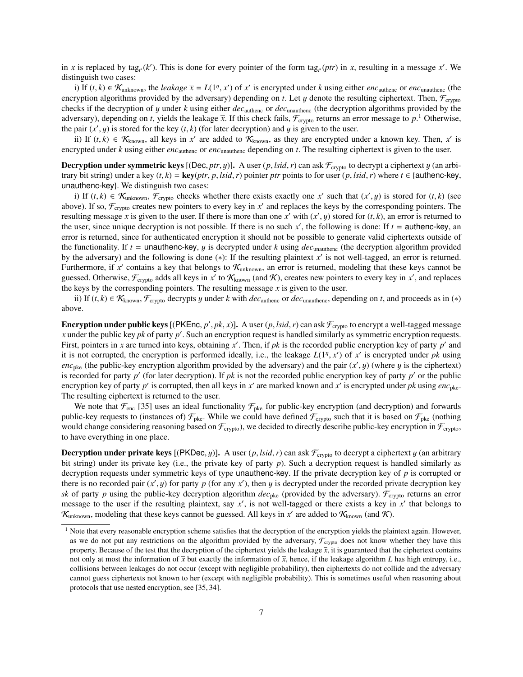in *x* is replaced by tag<sub>t</sub><sup>(</sup> $k'$ ). This is done for every pointer of the form tag<sub>t</sub><sup>(</sup> $p$ tr) in *x*, resulting in a message *x'*. We distinguish two cases:

i) If  $(t, k) \in \mathcal{K}_{unknown}$ , the *leakage*  $\overline{x} = L(1^{\eta}, x')$  of  $x'$  is encrypted under *k* using either *enc*<sub>unthenc</sub> or *enc*<sub>unauthenc (the revoltion algorithms provided by the adversary) depending on  $t$ . Let *u* denote t</sub> encryption algorithms provided by the adversary) depending on *t*. Let y denote the resulting ciphertext. Then,  $\mathcal{F}_{\text{crypto}}$ checks if the decryption of <sup>y</sup> under *<sup>k</sup>* using either *dec*authenc or *dec*unauthenc (the decryption algorithms provided by the adversary), depending on *t*, yields the leakage  $\bar{x}$ . If this check fails,  $\mathcal{F}_{\text{crypto}}$  returns an error message to  $p$ .<sup>1</sup> Otherwise, the pair  $(x', y)$  is stored for the key  $(t, k)$  (for later decryption) and y is given to the user.<br>ii) If  $(t, k) \in \mathcal{K}$  all keys in x' are added to  $\mathcal{K}$  as they are encrypted up

ii) If (*t*, *k*) ∈  $\mathcal{K}_{\text{known}}$ , all keys in *x'* are added to  $\mathcal{K}_{\text{known}}$ , as they are encrypted under a known key. Then, *x'* is<br>rynted under *k* using either *enc*, *x* or *enc*, *x* depending on *t*. The resultin encrypted under *k* using either *enc*<sub>authenc</sub> or *enc*<sub>unauthenc</sub> depending on *t*. The resulting ciphertext is given to the user.

**Decryption under symmetric keys** [(Dec, *ptr*, y)]. A user  $(p, \text{Isid}, r)$  can ask  $\mathcal{F}_{\text{crypto}}$  to decrypt a ciphertext y (an arbitrary bit string) under a key  $(t, k) = \text{key}(ptr, p, \text{lsid}, r)$  pointer *ptr* points to for user  $(p, \text{lsid}, r)$  where  $t \in \{\text{author-key},$ unauthenc-key}. We distinguish two cases:

i) If  $(t, k) \in \mathcal{K}_{\text{unknown}}$ ,  $\mathcal{F}_{\text{crypto}}$  checks whether there exists exactly one *x'* such that  $(x', y)$  is stored for  $(t, k)$  (see<br>ve) If so  $\mathcal{F}_{\text{co}}$  creates new pointers to every key in *x'* and replaces the keys by above). If so,  $\mathcal{F}_{\text{crypto}}$  creates new pointers to every key in  $x'$  and replaces the keys by the corresponding pointers. The resulting message *x* is given to the user. If there is more than one *x'* with  $(x', y)$  stored for  $(t, k)$ , an error is returned to the user since unique decryption is not possible. If there is no such  $x'$  the following is the user, since unique decryption is not possible. If there is no such  $x'$ , the following is done: If  $t =$  authenc-key, an error is returned, since for authenticated encryption it should not be possible to generate valid ciphertexts outside of the functionality. If  $t =$  unauthenc-key, y is decrypted under k using  $dec$ <sub>unauthenc</sub> (the decryption algorithm provided by the adversary) and the following is done  $(*)$ : If the resulting plaintext  $x'$  is not well-tagged, an error is returned. Furthermore, if  $x'$  contains a key that belongs to  $\mathcal{K}_{unknown}$ , an error is returned, modeling that these keys cannot be guessed. Otherwise,  $\mathcal{F}_{\text{crypto}}$  adds all keys in  $x'$  to  $\mathcal{K}_{\text{known}}$  (and  $\mathcal{K}$ ), creates new pointers to every key in  $x'$ , and replaces the keys by the corresponding pointers. The resulting message  $x$  is given to the user.

ii) If  $(t, k)$  ∈  $\mathcal{K}_{known}$ ,  $\mathcal{F}_{crypt}$  decrypts y under k with *dec*<sub>authenc</sub> or *dec*<sub>unauthenc</sub>, depending on *t*, and proceeds as in (\*) above.

**Encryption under public keys** [(PKEnc,  $p'$ ,  $pk$ ,  $x$ )]. A user  $(p, \text{Isid}, r)$  can ask  $\mathcal{F}_{\text{crypto}}$  to encrypt a well-tagged message  $x$  under the public key  $pk$  of party  $p'$ . Such an encryption request is handled simil *x* under the public key *pk* of party  $p'$ . Such an encryption request is handled similarly as symmetric encryption requests. First, pointers in *x* are turned into keys, obtaining  $x'$ . Then, if  $pk$  is the recorded public encryption key of party  $p'$  and it is not corrupted, the encryption is performed ideally, i.e., the leakage  $L(1^n, x')$  of *x'* is encrypted under *pk* using  $enc_i$ , (the public-key encryption algorithm provided by the adversary) and the pair  $(x', u)$  (where  $enc_{\text{pke}}$  (the public-key encryption algorithm provided by the adversary) and the pair  $(x', y)$  (where y is the ciphertext) is recorded for party  $p'$  or the public is recorded for party  $p'$  or the public is recorded for party  $p'$  (for later decryption). If  $pk$  is not the recorded public encryption key of party  $p'$  or the public encryption key of party  $p'$  is corrupted, then all keys in  $x'$  are marked known and  $x'$  is encrypted under  $pk$  using  $enc$ <sub>pke</sub>. The resulting ciphertext is returned to the user.

We note that  $\mathcal{F}_{enc}$  [35] uses an ideal functionality  $\mathcal{F}_{pke}$  for public-key encryption (and decryption) and forwards public-key requests to (instances of)  $\mathcal{F}_{\text{pke}}$ . While we could have defined  $\mathcal{F}_{\text{crypto}}$  such that it is based on  $\mathcal{F}_{\text{pke}}$  (nothing would change considering reasoning based on  $\mathcal{F}_{\text{crypto}}$ , we decided to directly describe public-key encryption in  $\mathcal{F}_{\text{crypto}}$ , to have everything in one place.

**Decryption under private keys** [(PKDec, y)]. A user  $(p, \text{Isid}, r)$  can ask  $\mathcal{F}_{\text{crypt}}$  to decrypt a ciphertext y (an arbitrary bit string) under its private key (i.e., the private key of party *p*). Such a decryption request is handled similarly as decryption requests under symmetric keys of type unauthenc-key. If the private decryption key of *p* is corrupted or there is no recorded pair  $(x', y)$  for party *p* (for any *x'*), then *y* is decrypted under the recorded private decryption key *sk* of party *p* using the public-key decryption algorithm  $dec_{\text{pke}}$  (provided by the adversary).  $\mathcal{F}_{\text{crypto}}$  returns an error message to the user if the resulting plaintext, say  $x'$ , is not well-tagged or there exists a key in  $x'$  that belongs to  $\mathcal{K}_{unknown}$ , modeling that these keys cannot be guessed. All keys in  $x'$  are added to  $\mathcal{K}_{known}$  (and  $\mathcal{K}$ ).

 $<sup>1</sup>$  Note that every reasonable encryption scheme satisfies that the decryption of the encryption yields the plaintext again. However,</sup> as we do not put any restrictions on the algorithm provided by the adversary,  $\mathcal{F}_{\text{crypto}}$  does not know whether they have this property. Because of the test that the decryption of the ciphertext yields the leakage  $\bar{x}$ , it is guaranteed that the ciphertext contains not only at most the information of  $\bar{x}$  but exactly the information of  $\bar{x}$ , hence, if the leakage algorithm *L* has high entropy, i.e., collisions between leakages do not occur (except with negligible probability), then ciphertexts do not collide and the adversary cannot guess ciphertexts not known to her (except with negligible probability). This is sometimes useful when reasoning about protocols that use nested encryption, see [35, 34].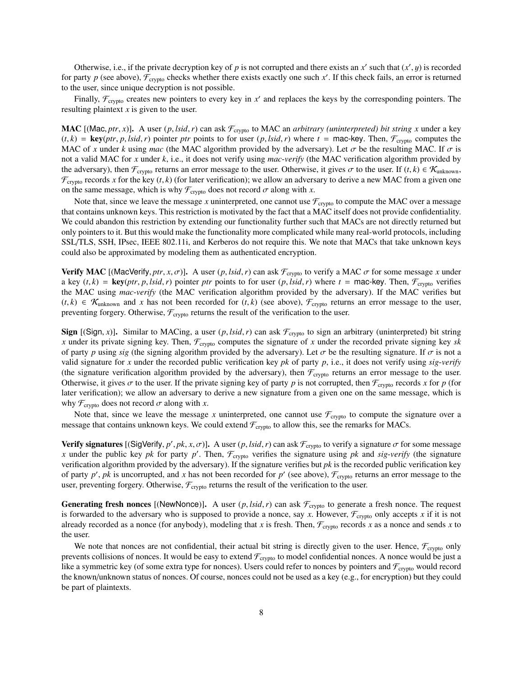Otherwise, i.e., if the private decryption key of *p* is not corrupted and there exists an *x'* such that  $(x', y)$  is recorded<br>party *n* (see above)  $\mathcal{F}$  , checks whether there exists exactly one such *x'* If this check for party *p* (see above),  $\mathcal{F}_{\text{crypto}}$  checks whether there exists exactly one such *x'*. If this check fails, an error is returned to the user, since unique decryption is not possible.

Finally,  $\mathcal{F}_{\text{crypto}}$  creates new pointers to every key in  $x'$  and replaces the keys by the corresponding pointers. The resulting plaintext *x* is given to the user.

**MAC** [(Mac, *ptr*, *x*)]. A user (*p*, *lsid*, *r*) can ask  $\mathcal{F}_{\text{crypto}}$  to MAC an *arbitrary (uninterpreted) bit string x* under a key  $(t, k)$  = key(*ptr*, *p*, *lsid*, *r*) pointer *ptr* points to for user (*p*, *lsid*, *r*) where *t* = mac-key. Then,  $\mathcal{F}_{\text{crypto}}$  computes the MAC of *x* under *k* using *mac* (the MAC algorithm provided by the adversary). Let  $\sigma$  be the resulting MAC. If  $\sigma$  is not a valid MAC for *x* under *k*, i.e., it does not verify using *mac*-*verify* (the MAC verification algorithm provided by the adversary), then  $\mathcal{F}_{\text{crypto}}$  returns an error message to the user. Otherwise, it gives  $\sigma$  to the user. If  $(t, k) \in \mathcal{K}_{\text{unknown}}$ ,  $\mathcal{F}_{\text{crypt}}$  records x for the key  $(t, k)$  (for later verification); we allow an adversary to derive a new MAC from a given one on the same message, which is why  $\mathcal{F}_{\text{crypto}}$  does not record  $\sigma$  along with *x*.

Note that, since we leave the message *x* uninterpreted, one cannot use  $\mathcal{F}_{\text{crypto}}$  to compute the MAC over a message that contains unknown keys. This restriction is motivated by the fact that a MAC itself does not provide confidentiality. We could abandon this restriction by extending our functionality further such that MACs are not directly returned but only pointers to it. But this would make the functionality more complicated while many real-world protocols, including SSL/TLS, SSH, IPsec, IEEE 802.11i, and Kerberos do not require this. We note that MACs that take unknown keys could also be approximated by modeling them as authenticated encryption.

Verify MAC [(MacVerify, *ptr*, *x*,  $\sigma$ )]. A user (*p*, *lsid*, *r*) can ask  $\mathcal{F}_{\text{crypto}}$  to verify a MAC  $\sigma$  for some message *x* under a key  $(t, k)$  = key(*ptr*, *p*, *lsid*, *r*) pointer *ptr* points to for user  $(p, \text{lsid}, r)$  where  $t = \text{mac-key}$ . Then,  $\mathcal{F}_{\text{crypto}}$  verifies the MAC using *mac*-*verify* (the MAC verification algorithm provided by the adversary). If the MAC verifies but  $(t, k) \in \mathcal{K}_{unknown}$  and x has not been recorded for  $(t, k)$  (see above),  $\mathcal{F}_{crypt}$  returns an error message to the user, preventing forgery. Otherwise,  $\mathcal{F}_{\text{crypto}}$  returns the result of the verification to the user.

Sign [(Sign, *x*)]. Similar to MACing, a user  $(p, \text{lsid}, r)$  can ask  $\mathcal{F}_{\text{crypto}}$  to sign an arbitrary (uninterpreted) bit string *x* under its private signing key. Then,  $\mathcal{F}_{\text{crypto}}$  computes the signature of *x* under the recorded private signing key *sk* of party *p* using *sig* (the signing algorithm provided by the adversary). Let  $\sigma$  be the resulting signature. If  $\sigma$  is not a valid signature for *x* under the recorded public verification key *pk* of party *p*, i.e., it does not verify using *sig*-*verify* (the signature verification algorithm provided by the adversary), then  $\mathcal{F}_{\text{crypto}}$  returns an error message to the user. Otherwise, it gives  $\sigma$  to the user. If the private signing key of party *p* is not corrupted, then  $\mathcal{F}_{\text{crypto}}$  records *x* for *p* (for later verification); we allow an adversary to derive a new signature from a given one on the same message, which is why  $\mathcal{F}_{\text{crypto}}$  does not record  $\sigma$  along with *x*.

Note that, since we leave the message *x* uninterpreted, one cannot use  $\mathcal{F}_{\text{cryption}}$  to compute the signature over a message that contains unknown keys. We could extend  $\mathcal{F}_{\text{crypto}}$  to allow this, see the remarks for MACs.

**Verify signatures** [(SigVerify, *p'*, *pk*, *x*, *σ*)]. A user (*p*, *lsid*, *r*) can ask  $\mathcal{F}_{\text{crypto}}$  to verify a signature *σ* for some message *x* under the public key *pk* for party *n'*. Then  $\mathcal{F}_{\text{c}}$  verifie x under the public key *pk* for party *p'*. Then,  $\mathcal{F}_{\text{crypto}}$  verifies the signature using *pk* and *sig-verify* (the signature verification algorithm provided by the adversary). If the signature verifies but *pk* is the recorded public verification key of party  $p'$ ,  $pk$  is uncorrupted, and x has not been recorded for  $p'$  (see above),  $\mathcal{F}_{\text{crypto}}$  returns an error message to the user, preventing forgery. Otherwise,  $\mathcal{F}_{\text{crypto}}$  returns the result of the verification to the user.

**Generating fresh nonces** [(NewNonce)]. A user  $(p, \text{Isid}, r)$  can ask  $\mathcal{F}_{\text{crypto}}$  to generate a fresh nonce. The request is forwarded to the adversary who is supposed to provide a nonce, say x. However,  $\mathcal{F}_{\text{crypto}}$  only accepts x if it is not already recorded as a nonce (for anybody), modeling that *x* is fresh. Then,  $\mathcal{F}_{\text{crypto}}$  records *x* as a nonce and sends *x* to the user.

We note that nonces are not confidential, their actual bit string is directly given to the user. Hence,  $\mathcal{F}_{\text{crypto}}$  only prevents collisions of nonces. It would be easy to extend  $\mathcal{F}_{\text{crypto}}$  to model confidential nonces. A nonce would be just a like a symmetric key (of some extra type for nonces). Users could refer to nonces by pointers and  $\mathcal{F}_{\text{crypto}}$  would record the known/unknown status of nonces. Of course, nonces could not be used as a key (e.g., for encryption) but they could be part of plaintexts.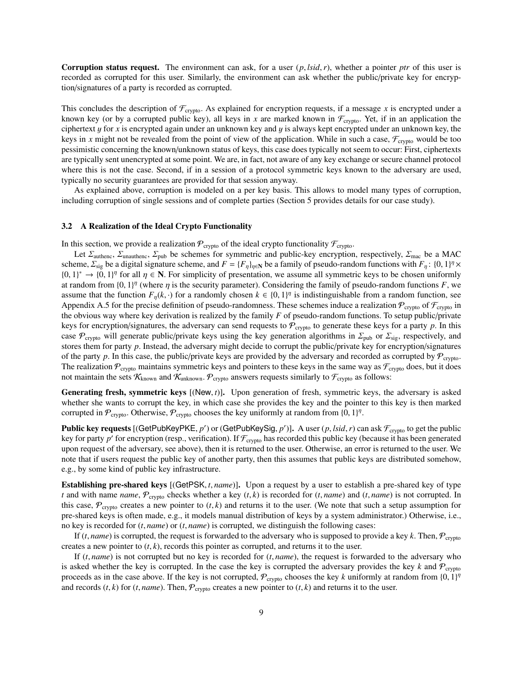Corruption status request. The environment can ask, for a user (*p*, *lsid*,*r*), whether a pointer *ptr* of this user is recorded as corrupted for this user. Similarly, the environment can ask whether the public/private key for encryption/signatures of a party is recorded as corrupted.

This concludes the description of  $\mathcal{F}_{\text{crypto}}$ . As explained for encryption requests, if a message *x* is encrypted under a known key (or by a corrupted public key), all keys in *x* are marked known in  $\mathcal{F}_{\text{crypto}}$ . Yet, if in an application the ciphertext y for *<sup>x</sup>* is encrypted again under an unknown key and y is always kept encrypted under an unknown key, the keys in x might not be revealed from the point of view of the application. While in such a case,  $\mathcal{F}_{\text{crypto}}$  would be too pessimistic concerning the known/unknown status of keys, this case does typically not seem to occur: First, ciphertexts are typically sent unencrypted at some point. We are, in fact, not aware of any key exchange or secure channel protocol where this is not the case. Second, if in a session of a protocol symmetric keys known to the adversary are used, typically no security guarantees are provided for that session anyway.

As explained above, corruption is modeled on a per key basis. This allows to model many types of corruption, including corruption of single sessions and of complete parties (Section 5 provides details for our case study).

### 3.2 A Realization of the Ideal Crypto Functionality

In this section, we provide a realization  $P_{\text{crypto}}$  of the ideal crypto functionality  $\mathcal{F}_{\text{crypto}}$ .

Let  $\Sigma_{\text{authenc}}$ ,  $\Sigma_{\text{unauthenc}}$ ,  $\Sigma_{\text{pub}}$  be schemes for symmetric and public-key encryption, respectively,  $\Sigma_{\text{mac}}$  be a MAC scheme,  $\Sigma_{sig}$  be a digital signature scheme, and  $F = \{F_{\eta}\}_{\eta \in \mathbb{N}}$  be a family of pseudo-random functions with  $F_{\eta}$ :  $\{0, 1\}^{\eta} \times$ <br> $\{0, 1\}^{\eta}$  and  $F_{\eta}$  and  $n \in \mathbb{N}$ . For simplicity of presentation, w  ${0, 1}^* \rightarrow {0, 1}^{\eta}$  for all  ${\eta \in \mathbb{N}}$ . For simplicity of presentation, we assume all symmetric keys to be chosen uniformly at random from  ${0, 1}^{\eta}$  (where n is the security parameter). Considering the family of p at random from  $\{0, 1\}^n$  (where  $\eta$  is the security parameter). Considering the family of pseudo-random functions *F*, we assume that the function *F* (*k*) for a randomly chosen  $k \in \{0, 1\}^n$  is indistinguishable f assume that the function  $F_{\eta}(k, \cdot)$  for a randomly chosen  $k \in \{0, 1\}^{\eta}$  is indistinguishable from a random function, see<br>Appendix A 5 for the precise definition of pseudo-randomness. These schemes induce a realizati Appendix A.5 for the precise definition of pseudo-randomness. These schemes induce a realization  $\mathcal{P}_{\text{crypto}}$  of  $\mathcal{F}_{\text{crypto}}$  in the obvious way where key derivation is realized by the family *F* of pseudo-random functions. To setup public/private keys for encryption/signatures, the adversary can send requests to  $P_{\text{crypto}}$  to generate these keys for a party  $p$ . In this case  $\mathcal{P}_{\text{crypto}}$  will generate public/private keys using the key generation algorithms in  $\Sigma_{\text{pub}}$  or  $\Sigma_{\text{sig}}$ , respectively, and stores them for party *p*. Instead, the adversary might decide to corrupt the public/private key for encryption/signatures of the party p. In this case, the public/private keys are provided by the adversary and recorded as corrupted by  $P_{\text{crypto}}$ . The realization  $\mathcal{P}_{\text{crypto}}$  maintains symmetric keys and pointers to these keys in the same way as  $\mathcal{F}_{\text{crypto}}$  does, but it does not maintain the sets  $K_{known}$  and  $K_{unknown}$ .  $P_{crypt}$  answers requests similarly to  $\mathcal{F}_{crypt}$  as follows:

Generating fresh, symmetric keys [(New, t)]. Upon generation of fresh, symmetric keys, the adversary is asked whether she wants to corrupt the key, in which case she provides the key and the pointer to this key is then marked corrupted in  $P_{\text{crypto}}$ . Otherwise,  $P_{\text{crypto}}$  chooses the key uniformly at random from  $\{0, 1\}^n$ .

**Public key requests** [(GetPubKeyPKE, *p'*) or (GetPubKeySig, *p'*)]. A user (*p*, *lsid*, *r*) can ask  $\mathcal{F}_{\text{crypto}}$  to get the public key (because it has been generated key for party p' for encryption (resp., verification). If  $\mathcal{F}_{\text{crypto}}$  has recorded this public key (because it has been generated upon request of the adversary, see above), then it is returned to the user. Otherwise, an error is returned to the user. We note that if users request the public key of another party, then this assumes that public keys are distributed somehow, e.g., by some kind of public key infrastructure.

Establishing pre-shared keys [(GetPSK, *<sup>t</sup>*, *name*)]. Upon a request by a user to establish a pre-shared key of type *t* and with name *name*,  $P_{\text{crypto}}$  checks whether a key  $(t, k)$  is recorded for  $(t, name)$  and  $(t, name)$  is not corrupted. In this case,  $\mathcal{P}_{\text{crypto}}$  creates a new pointer to  $(t, k)$  and returns it to the user. (We note that such a setup assumption for pre-shared keys is often made, e.g., it models manual distribution of keys by a system administrator.) Otherwise, i.e., no key is recorded for (*t*, *name*) or (*t*, *name*) is corrupted, we distinguish the following cases:

If  $(t, name)$  is corrupted, the request is forwarded to the adversary who is supposed to provide a key  $k$ . Then,  $\mathcal{P}_{\text{crypto}}$ creates a new pointer to  $(t, k)$ , records this pointer as corrupted, and returns it to the user.

If (*t*, *name*) is not corrupted but no key is recorded for (*t*, *name*), the request is forwarded to the adversary who is asked whether the key is corrupted. In the case the key is corrupted the adversary provides the key  $k$  and  $P_{\text{crypto}}$ proceeds as in the case above. If the key is not corrupted,  $\mathcal{P}_{\text{cryptography}}$  chooses the key *k* uniformly at random from  $\{0, 1\}^n$ <br>and records (*t* k) for (*t name*). Then  $\mathcal{P}_{\text{c} \text{c} \text{reates a new pointer to (t k) and returns it to the user.}$ and records  $(t, k)$  for  $(t, name)$ . Then,  $P_{\text{crypto}}$  creates a new pointer to  $(t, k)$  and returns it to the user.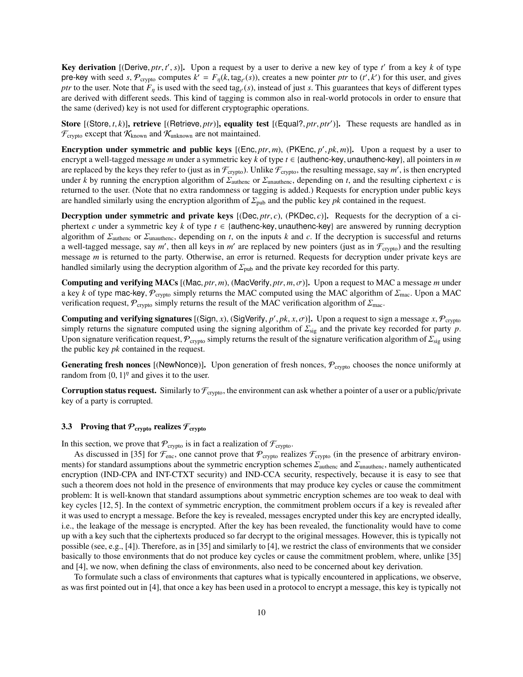**Key derivation** [(Derive, *ptr*, *t'*, *s*)]. Upon a request by a user to derive a new key of type *t'* from a key *k* of type relation  $\mathbf{F}(\mathbf{r}) = \mathbf{F}(\mathbf{r})$  for the section of the section of the section of the sec pre-key with seed *s*,  $\mathcal{P}_{\text{crypto}}$  computes  $k' = F_{\eta}(k, \text{tag}_{\eta}(s))$ , creates a new pointer *ptr* to  $(t', k')$  for this user, and gives *ntr* to the user. Note that *F* is used with the seed tag (*s*) instead of just *s*. T *ptr* to the user. Note that  $F_\eta$  is used with the seed tag<sub>t</sub> (*s*), instead of just *s*. This guarantees that keys of different types are derived with different cools. This kind of togains is common also in real world are derived with different seeds. This kind of tagging is common also in real-world protocols in order to ensure that the same (derived) key is not used for different cryptographic operations.

Store [(Store, *t*, *k*)], retrieve [(Retrieve, *ptr*)], equality test [(Equal?, *ptr*, *ptr'*)]. These requests are handled as in  $\mathcal{F}$  except that  $\mathcal{K}$  and  $\mathcal{K}$  are not maintained  $\mathcal{F}_{\text{crypto}}$  except that  $\mathcal{K}_{\text{known}}$  and  $\mathcal{K}_{\text{unknown}}$  are not maintained.

**Encryption under symmetric and public keys** [(Enc, *ptr*, *m*), (PKEnc, *p'*, *pk*, *m*)]. Upon a request by a user to encrypt a well-tagged message *m* under a symmetric key *k* of type *t*  $\epsilon$  /authenc-key unauthenc-k encrypt a well-tagged message *<sup>m</sup>* under a symmetric key *<sup>k</sup>* of type *<sup>t</sup>* ∈ {authenc-key, unauthenc-key}, all pointers in *<sup>m</sup>* are replaced by the keys they refer to (just as in  $\mathcal{F}_{\text{crypto}}$ ). Unlike  $\mathcal{F}_{\text{crypto}}$ , the resulting message, say *m'*, is then encrypted under *k* by running the encryption algorithm of  $\Sigma_{\text{author}}$  or  $\Sigma_{\text{unauthor}}$ , depending on *t*, and the resulting ciphertext *c* is returned to the user. (Note that no extra randomness or tagging is added.) Requests for encryption under public keys are handled similarly using the encryption algorithm of  $\Sigma_{\text{pub}}$  and the public key *pk* contained in the request.

**Decryption under symmetric and private keys**  $[(\text{Dec}, ptr, c), (\text{PKDec}, c)]$ . Requests for the decryption of a ciphertext *<sup>c</sup>* under a symmetric key *<sup>k</sup>* of type *<sup>t</sup>* ∈ {authenc-key, unauthenc-key} are answered by running decryption algorithm of  $\Sigma_{\text{authenc}}$  or  $\Sigma_{\text{unauthenc}}$ , depending on *t*, on the inputs *k* and *c*. If the decryption is successful and returns a well-tagged message, say *m'*, then all keys in *m'* are replaced by new pointers (just as in  $\mathcal{F}_{\text{crypto}}$ ) and the resulting message *m* is returned to the party. Otherwise, an error is returned. Requests for decryption under private keys are handled similarly using the decryption algorithm of  $\Sigma_{\text{pub}}$  and the private key recorded for this party.

Computing and verifying MACs [(Mac, *ptr*, *<sup>m</sup>*), (MacVerify, *ptr*, *<sup>m</sup>*, σ)]. Upon a request to MAC a message *<sup>m</sup>* under a key *k* of type mac-key,  $P_{\text{crypto}}$  simply returns the MAC computed using the MAC algorithm of  $\Sigma_{\text{mac}}$ . Upon a MAC verification request,  $\mathcal{P}_{\text{crypto}}$  simply returns the result of the MAC verification algorithm of  $\mathcal{Z}_{\text{mac}}$ .

**Computing and verifying signatures** [(Sign, *x*), (SigVerify, *p'*, *pk*, *x*,  $\sigma$ )]. Upon a request to sign a message *x*,  $\mathcal{P}_{\text{crypto}}$ <br>simply returns the signature computed using the signing algorithm of  $\Sigma$ , and t simply returns the signature computed using the signing algorithm of  $\Sigma_{sig}$  and the private key recorded for party p. Upon signature verification request,  $\mathcal{P}_{\text{crypto}}$  simply returns the result of the signature verification algorithm of  $\mathcal{E}_{\text{sig}}$  using the public key *pk* contained in the request.

**Generating fresh nonces** [(NewNonce)]. Upon generation of fresh nonces,  $\mathcal{P}_{\text{crypto}}$  chooses the nonce uniformly at random from  $\{0, 1\}^{\eta}$  and gives it to the user.

**Corruption status request.** Similarly to  $\mathcal{F}_{\text{crypto}}$ , the environment can ask whether a pointer of a user or a public/private key of a party is corrupted.

# 3.3 Proving that  $P_{\text{crypto}}$  realizes  $\mathcal{F}_{\text{crypto}}$

In this section, we prove that  $P_{\text{crypto}}$  is in fact a realization of  $\mathcal{F}_{\text{crypto}}$ .

As discussed in [35] for  $\mathcal{F}_{\text{enc}}$ , one cannot prove that  $\mathcal{P}_{\text{crypto}}$  realizes  $\mathcal{F}_{\text{crypto}}$  (in the presence of arbitrary environments) for standard assumptions about the symmetric encryption schemes  $\Sigma_{\text{author}}$  and  $\Sigma_{\text{unauthor}}$ , namely authenticated encryption (IND-CPA and INT-CTXT security) and IND-CCA security, respectively, because it is easy to see that such a theorem does not hold in the presence of environments that may produce key cycles or cause the commitment problem: It is well-known that standard assumptions about symmetric encryption schemes are too weak to deal with key cycles [12, 5]. In the context of symmetric encryption, the commitment problem occurs if a key is revealed after it was used to encrypt a message. Before the key is revealed, messages encrypted under this key are encrypted ideally, i.e., the leakage of the message is encrypted. After the key has been revealed, the functionality would have to come up with a key such that the ciphertexts produced so far decrypt to the original messages. However, this is typically not possible (see, e.g., [4]). Therefore, as in [35] and similarly to [4], we restrict the class of environments that we consider basically to those environments that do not produce key cycles or cause the commitment problem, where, unlike [35] and [4], we now, when defining the class of environments, also need to be concerned about key derivation.

To formulate such a class of environments that captures what is typically encountered in applications, we observe, as was first pointed out in [4], that once a key has been used in a protocol to encrypt a message, this key is typically not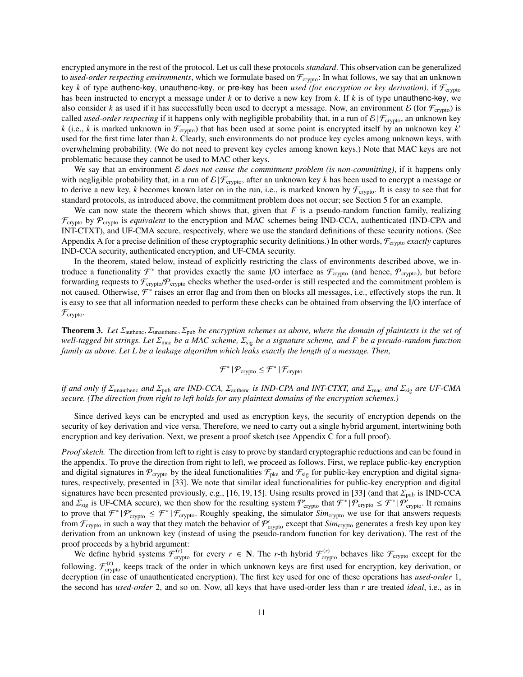encrypted anymore in the rest of the protocol. Let us call these protocols *standard*. This observation can be generalized to *used-order respecting environments*, which we formulate based on  $\mathcal{F}_{\text{crypto}}$ : In what follows, we say that an unknown key *k* of type authenc-key, unauthenc-key, or pre-key has been *used (for encryption or key derivation)*, if  $\mathcal{F}_{\text{crypto}}$ has been instructed to encrypt a message under *k* or to derive a new key from *k*. If *k* is of type unauthenc-key, we also consider *k* as used if it has successfully been used to decrypt a message. Now, an environment  $\mathcal E$  (for  $\mathcal F_{\text{crypto}}$ ) is called *used-order respecting* if it happens only with negligible probability that, in a run of  $\mathcal{E} | \mathcal{F}_{\text{c/vpto}}$ , an unknown key *k* (i.e., *k* is marked unknown in  $\mathcal{F}_{\text{crypto}}$ ) that has been used at some point is encrypted itself by an unknown key *k'* used for the first time later than *k*. Clearly, such environments do not produce key cycles among unknown keys, with overwhelming probability. (We do not need to prevent key cycles among known keys.) Note that MAC keys are not problematic because they cannot be used to MAC other keys.

We say that an environment E *does not cause the commitment problem (is non-committing)*, if it happens only with negligible probability that, in a run of  $\mathcal{E}$  |  $\mathcal{F}_{\text{crybo}}$ , after an unknown key *k* has been used to encrypt a message or to derive a new key, *k* becomes known later on in the run, i.e., is marked known by  $\mathcal{F}_{\text{crypto}}$ . It is easy to see that for standard protocols, as introduced above, the commitment problem does not occur; see Section 5 for an example.

We can now state the theorem which shows that, given that  $F$  is a pseudo-random function family, realizing  $\mathcal{F}_{\text{crypto}}$  by  $\mathcal{P}_{\text{crypto}}$  is *equivalent* to the encryption and MAC schemes being IND-CCA, authenticated (IND-CPA and INT-CTXT), and UF-CMA secure, respectively, where we use the standard definitions of these security notions. (See Appendix A for a precise definition of these cryptographic security definitions.) In other words,  $\mathcal{F}_{\text{crvpto}}$  *exactly* captures IND-CCA security, authenticated encryption, and UF-CMA security.

In the theorem, stated below, instead of explicitly restricting the class of environments described above, we introduce a functionality  $\mathcal{F}^*$  that provides exactly the same I/O interface as  $\mathcal{F}_{\text{cryptography}}$  (and hence,  $\mathcal{P}_{\text{cryptography}}$ ), but before forwarding requests to  $\mathcal{F}_{\text{crypto}}/\mathcal{P}_{\text{crypto}}$  checks whether the used-order is still respected and the commitment problem is not caused. Otherwise,  $\mathcal{F}^*$  raises an error flag and from then on blocks all messages, i.e., effectively stops the run. It is easy to see that all information needed to perform these checks can be obtained from observing the I/O interface of  $\mathcal{F}_{\text{crypto}}$ .

Theorem 3. *Let* <sup>Σ</sup>authenc, Σunauthenc, Σpub *be encryption schemes as above, where the domain of plaintexts is the set of well-tagged bit strings. Let* <sup>Σ</sup>mac *be a MAC scheme,* <sup>Σ</sup>sig *be a signature scheme, and F be a pseudo-random function family as above. Let L be a leakage algorithm which leaks exactly the length of a message. Then,*

$$
\mathcal{F}^* \, | \, \mathcal{P}_{\text{crypto}} \leq \mathcal{F}^* \, | \, \mathcal{F}_{\text{crypto}}
$$

*if and only if* <sup>Σ</sup>unauthenc *and* <sup>Σ</sup>pub *are IND-CCA,* <sup>Σ</sup>authenc *is IND-CPA and INT-CTXT, and* <sup>Σ</sup>mac *and* <sup>Σ</sup>sig *are UF-CMA secure. (The direction from right to left holds for any plaintext domains of the encryption schemes.)*

Since derived keys can be encrypted and used as encryption keys, the security of encryption depends on the security of key derivation and vice versa. Therefore, we need to carry out a single hybrid argument, intertwining both encryption and key derivation. Next, we present a proof sketch (see Appendix C for a full proof).

*Proof sketch.* The direction from left to right is easy to prove by standard cryptographic reductions and can be found in the appendix. To prove the direction from right to left, we proceed as follows. First, we replace public-key encryption and digital signatures in  $\mathcal{P}_{\text{crypto}}$  by the ideal functionalities  $\mathcal{F}_{\text{pke}}$  and  $\mathcal{F}_{\text{sig}}$  for public-key encryption and digital signatures, respectively, presented in [33]. We note that similar ideal functionalities for public-key encryption and digital signatures have been presented previously, e.g., [16, 19, 15]. Using results proved in [33] (and that  $\Sigma_{\text{pub}}$  is IND-CCA and  $\sum_{\text{sig}}$  is UF-CMA secure), we then show for the resulting system  $\mathcal{P}'_{\text{crypt}}$  that  $\mathcal{F}^*|\mathcal{P}_{\text{crypt}} \leq \mathcal{F}^*|\mathcal{P}'_{\text{crypt}}$ . It remains to prove that  $\mathcal{F}^*|\mathcal{P}'| \leq \mathcal{F}^*|\mathcal{F}'|$ . Roughly speaking t to prove that  $\mathcal{F}^*|\mathcal{P}_{\text{cryptography}}'\in\mathcal{F}_{\text{cryptography}}$ . Roughly speaking, the simulator  $Sim_{\text{cryptography}}$  we use for that answers requests from  $\mathcal{F}_{\text{crypto}}$  in such a way that they match the behavior of  $\mathcal{P}_{\text{crypto}}'$  except that  $Sim_{\text{crypto}}$  generates a fresh key upon key derivation from an unknown key (instead of using the pseudo-random function for key derivation). The rest of the proof proceeds by a hybrid argument:

We define hybrid systems  $\mathcal{F}^{(r)}_{\text{crypto}}$  for every  $r \in \mathbb{N}$ . The *r*-th hybrid  $\mathcal{F}^{(r)}_{\text{crypto}}$  behaves like  $\mathcal{F}_{\text{crypto}}$  except for the following.  $\mathcal{F}_{\text{crypto}}^{(r)}$  keeps track of the order in which unknown keys are first used for encryption, key derivation, or decryption (in case of unauthenticated encryption). The first key used for one of these operations has *used-order* 1, the second has *used-order* 2, and so on. Now, all keys that have used-order less than *r* are treated *ideal*, i.e., as in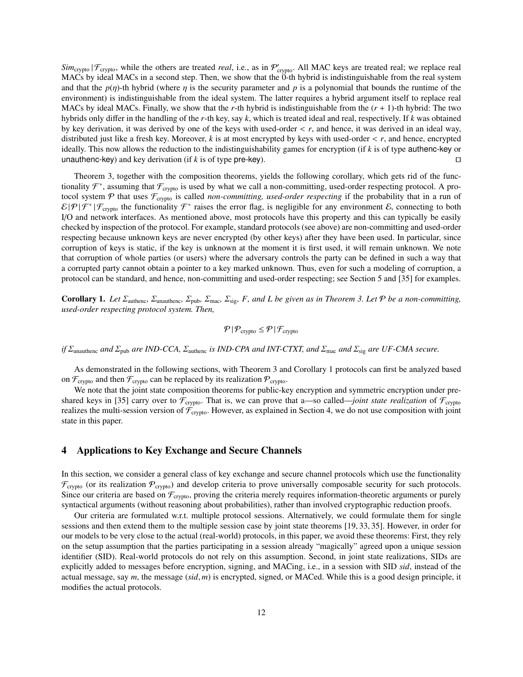$Sim_{\text{crypto}} | \mathcal{F}_{\text{crypto}}$ , while the others are treated *real*, i.e., as in  $\mathcal{P}_{\text{crypto}}'$ . All MAC keys are treated real; we replace real MACs by ideal MACs in a second step. Then, we show that the 0-th hybrid is indistinguishable from the real system and that the  $p(\eta)$ -th hybrid (where  $\eta$  is the security parameter and p is a polynomial that bounds the runtime of the environment) is indistinguishable from the ideal system. The latter requires a hybrid argument itself to replace real MACs by ideal MACs. Finally, we show that the *r*-th hybrid is indistinguishable from the (*r* + 1)-th hybrid: The two hybrids only differ in the handling of the *r*-th key, say *k*, which is treated ideal and real, respectively. If *k* was obtained by key derivation, it was derived by one of the keys with used-order < *<sup>r</sup>*, and hence, it was derived in an ideal way, distributed just like a fresh key. Moreover, *<sup>k</sup>* is at most encrypted by keys with used-order < *<sup>r</sup>*, and hence, encrypted ideally. This now allows the reduction to the indistinguishability games for encryption (if *k* is of type authenc-key or unauthenc-key) and key derivation (if  $k$  is of type pre-key).

Theorem 3, together with the composition theorems, yields the following corollary, which gets rid of the functionality  $\mathcal{F}^*$ , assuming that  $\mathcal{F}_{\text{crypto}}$  is used by what we call a non-committing, used-order respecting protocol. A protocol system  $P$  that uses  $\mathcal{F}_{\text{crypto}}$  is called *non-committing, used-order respecting* if the probability that in a run of  $\mathcal{E}|\mathcal{P}|\mathcal{F}^*|\mathcal{F}_{\text{crypto}}$  the functionality  $\mathcal{F}^*$  raises the error flag, is negligible for any environment  $\mathcal{E}$ , connecting to both I/O and network interfaces. As mentioned above, most protocols have this property and this can typically be easily checked by inspection of the protocol. For example, standard protocols (see above) are non-committing and used-order respecting because unknown keys are never encrypted (by other keys) after they have been used. In particular, since corruption of keys is static, if the key is unknown at the moment it is first used, it will remain unknown. We note that corruption of whole parties (or users) where the adversary controls the party can be defined in such a way that a corrupted party cannot obtain a pointer to a key marked unknown. Thus, even for such a modeling of corruption, a protocol can be standard, and hence, non-committing and used-order respecting; see Section 5 and [35] for examples.

Corollary 1. *Let* Σauthenc*,* Σunauthenc*,* Σpub*,* Σmac*,* Σsig*, F, and L be given as in Theorem 3. Let* <sup>P</sup> *be a non-committing, used-order respecting protocol system. Then,*

$$
\mathcal{P}|\mathcal{P}_{\text{crypto}} \leq \mathcal{P}|\mathcal{F}_{\text{crypto}}
$$

*if* <sup>Σ</sup>unauthenc *and* <sup>Σ</sup>pub *are IND-CCA,* <sup>Σ</sup>authenc *is IND-CPA and INT-CTXT, and* <sup>Σ</sup>mac *and* <sup>Σ</sup>sig *are UF-CMA secure.*

As demonstrated in the following sections, with Theorem 3 and Corollary 1 protocols can first be analyzed based on  $\mathcal{F}_{\text{crypto}}$  and then  $\mathcal{F}_{\text{crypto}}$  can be replaced by its realization  $\mathcal{P}_{\text{crypto}}$ .

We note that the joint state composition theorems for public-key encryption and symmetric encryption under preshared keys in [35] carry over to  $\mathcal{F}_{\text{crvpto}}$ . That is, we can prove that a—so called—*joint state realization* of  $\mathcal{F}_{\text{crvpto}}$ realizes the multi-session version of  $\mathcal{F}_{\text{crypto}}$ . However, as explained in Section 4, we do not use composition with joint state in this paper.

# 4 Applications to Key Exchange and Secure Channels

In this section, we consider a general class of key exchange and secure channel protocols which use the functionality  $\mathcal{F}_{\text{crypto}}$  (or its realization  $\mathcal{P}_{\text{crypto}}$ ) and develop criteria to prove universally composable security for such protocols. Since our criteria are based on  $\mathcal{F}_{\text{crypto}}$ , proving the criteria merely requires information-theoretic arguments or purely syntactical arguments (without reasoning about probabilities), rather than involved cryptographic reduction proofs.

Our criteria are formulated w.r.t. multiple protocol sessions. Alternatively, we could formulate them for single sessions and then extend them to the multiple session case by joint state theorems [19, 33, 35]. However, in order for our models to be very close to the actual (real-world) protocols, in this paper, we avoid these theorems: First, they rely on the setup assumption that the parties participating in a session already "magically" agreed upon a unique session identifier (SID). Real-world protocols do not rely on this assumption. Second, in joint state realizations, SIDs are explicitly added to messages before encryption, signing, and MACing, i.e., in a session with SID *sid*, instead of the actual message, say *<sup>m</sup>*, the message (*sid*, *<sup>m</sup>*) is encrypted, signed, or MACed. While this is a good design principle, it modifies the actual protocols.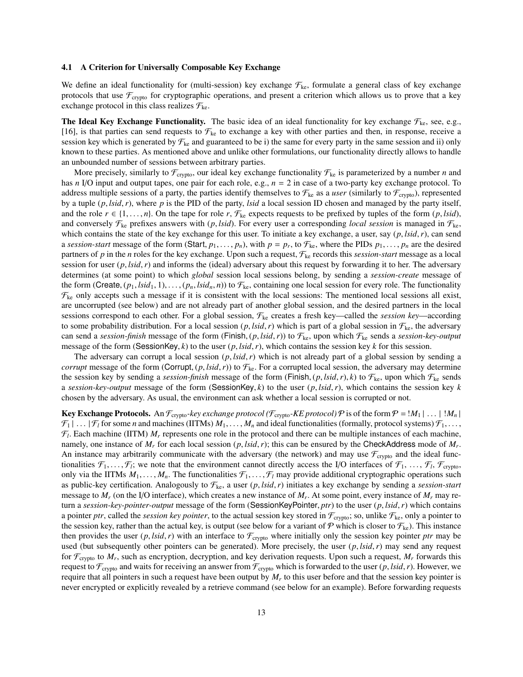#### 4.1 A Criterion for Universally Composable Key Exchange

We define an ideal functionality for (multi-session) key exchange  $\mathcal{F}_{ke}$ , formulate a general class of key exchange protocols that use  $\mathcal{F}_{\text{crypto}}$  for cryptographic operations, and present a criterion which allows us to prove that a key exchange protocol in this class realizes  $\mathcal{F}_{\text{ke}}$ .

**The Ideal Key Exchange Functionality.** The basic idea of an ideal functionality for key exchange  $\mathcal{F}_{\text{ke}}$ , see, e.g., [16], is that parties can send requests to  $\mathcal{F}_{k}$  to exchange a key with other parties and then, in response, receive a session key which is generated by  $\mathcal{F}_{k}$  and guaranteed to be i) the same for every party in the same session and ii) only known to these parties. As mentioned above and unlike other formulations, our functionality directly allows to handle an unbounded number of sessions between arbitrary parties.

More precisely, similarly to  $\mathcal{F}_{\text{crypto}}$ , our ideal key exchange functionality  $\mathcal{F}_{\text{ke}}$  is parameterized by a number *n* and has *n* I/O input and output tapes, one pair for each role, e.g., *n* = 2 in case of a two-party key exchange protocol. To address multiple sessions of a party, the parties identify themselves to  $\mathcal{F}_{\text{ke}}$  as a *user* (similarly to  $\mathcal{F}_{\text{crypto}}$ ), represented by a tuple (*p*, *lsid*,*r*), where *<sup>p</sup>* is the PID of the party, *lsid* a local session ID chosen and managed by the party itself, and the role  $r \in \{1, \ldots, n\}$ . On the tape for role  $r, \mathcal{F}_{ke}$  expects requests to be prefixed by tuples of the form  $(p, \text{lsid})$ , and conversely  $\mathcal{F}_{\text{ke}}$  prefixes answers with  $(p, \text{lsid})$ . For every user a corresponding *local session* is managed in  $\mathcal{F}_{\text{ke}}$ , which contains the state of the key exchange for this user. To initiate a key exchange, a user, say (*p*, *lsid*,*r*), can send a *session-start* message of the form (Start,  $p_1, \ldots, p_n$ ), with  $p = p_r$ , to  $\mathcal{F}_{\text{ke}}$ , where the PIDs  $p_1, \ldots, p_n$  are the desired partners of *n* in the *n* roles for the key exchange. Upon such a request  $\mathcal{F}_s$ , partners of *p* in the *n* roles for the key exchange. Upon such a request, Fke records this *session-start* message as a local session for user (*p*, *lsid*,*r*) and informs the (ideal) adversary about this request by forwarding it to her. The adversary determines (at some point) to which *global* session local sessions belong, by sending a *session-create* message of the form (Create,  $(p_1, Isid_1, 1), \ldots, (p_n, Isid_n, n)$ ) to  $\mathcal{F}_{\text{ke}}$ , containing one local session for every role. The functionality  $\mathcal{F}_{\text{ke}}$  only accepts such a message if it is consistent with the local sessions: The mentioned local sessions all exist, are uncorrupted (see below) and are not already part of another global session, and the desired partners in the local sessions correspond to each other. For a global session,  $\mathcal{F}_{k}$  creates a fresh key—called the *session key*—according to some probability distribution. For a local session  $(p, \text{Isid}, r)$  which is part of a global session in  $\mathcal{F}_{\text{ke}}$ , the adversary can send a *session-finish* message of the form (Finish,  $(p, \text{lsid}, r)$ ) to  $\mathcal{F}_{ke}$ , upon which  $\mathcal{F}_{ke}$  sends a *session-key-output* message of the form (SessionKey,  $k$ ) to the user  $(p, \text{Isid}, r)$ , which contains the session key  $k$  for this session.

The adversary can corrupt a local session (*p*, *lsid*,*r*) which is not already part of a global session by sending a *corrupt* message of the form (Corrupt,  $(p, \text{Isid}, r)$ ) to  $\mathcal{F}_{\text{ke}}$ . For a corrupted local session, the adversary may determine the session key by sending a *session-finish* message of the form (Finish,  $(p, \text{lsid}, r)$ ,  $k$ ) to  $\mathcal{F}_{ke}$ , upon which  $\mathcal{F}_{ke}$  sends <sup>a</sup> *session-key-output* message of the form (SessionKey, *<sup>k</sup>*) to the user (*p*, *lsid*,*r*), which contains the session key *<sup>k</sup>* chosen by the adversary. As usual, the environment can ask whether a local session is corrupted or not.

Key Exchange Protocols. An  $\mathcal{F}_{\text{crypto}}$ -key exchange protocol ( $\mathcal{F}_{\text{crypto}}$ -KE protocol)  $\mathcal P$  is of the form  $\mathcal P = M_1 | \dots | M_n |$  $\mathcal{F}_1 | \ldots | \mathcal{F}_l$  for some *n* and machines (IITMs)  $M_1, \ldots, M_n$  and ideal functionalities (formally, protocol systems)  $\mathcal{F}_1, \ldots,$  $\mathcal{F}_l$ . Each machine (IITM)  $M_r$  represents one role in the protocol and there can be multiple instances of each machine, namely, one instance of *M<sub>r</sub>* for each local session (*p*, *lsid*, *r*); this can be ensured by the CheckAddress mode of *M<sub>r</sub>*.<br>An instance may arbitrarily communicate with the adversary (the network) and may use  $\mathcal{F$ An instance may arbitrarily communicate with the adversary (the network) and may use  $\mathcal{F}_{\text{crypto}}$  and the ideal functionalities  $\mathcal{F}_1, \ldots, \mathcal{F}_l$ ; we note that the environment cannot directly access the I/O interfaces of  $\mathcal{F}_1, \ldots, \mathcal{F}_l, \mathcal{F}_{\text{crypto}}$ ,<br>only via the IITMs *M*, *M* The functionalities  $\mathcal{F}_i$ ,  $\mathcal{F}_i$  may pr only via the IITMs  $M_1, \ldots, M_n$ . The functionalities  $\mathcal{F}_1, \ldots, \mathcal{F}_l$  may provide additional cryptographic operations such as public-key certification. Analogously to  $\mathcal{F}_{ke}$ , a user  $(p, \text{lsid}, r)$  initiates a key exchange by sending a *session-start* message to *M<sup>r</sup>* (on the I/O interface), which creates a new instance of *M<sup>r</sup>* . At some point, every instance of *M<sup>r</sup>* may return a *session-key-pointer-output* message of the form (SessionKeyPointer, *ptr*) to the user (*p*, *lsid*,*r*) which contains a pointer *ptr*, called the *session key pointer*, to the actual session key stored in  $\mathcal{F}_{\text{crypto}}$ ; so, unlike  $\mathcal{F}_{\text{ke}}$ , only a pointer to the session key, rather than the actual key, is output (see below for a variant of P which is closer to  $\mathcal{F}_{k\epsilon}$ ). This instance then provides the user  $(p, \text{Isid}, r)$  with an interface to  $\mathcal{F}_{\text{crypto}}$  where initially only the session key pointer *ptr* may be used (but subsequently other pointers can be generated). More precisely, the user (*p*, *lsid*,*r*) may send any request for  $\mathcal{F}_{\text{crypto}}$  to  $M_r$ , such as encryption, decryption, and key derivation requests. Upon such a request,  $M_r$  forwards this request to  $\mathcal{F}_{\text{crypto}}$  and waits for receiving an answer from  $\mathcal{F}_{\text{crypto}}$  which is forwarded to the user  $(p, \text{lsid}, r)$ . However, we require that all pointers in such a request have been output by *M<sup>r</sup>* to this user before and that the session key pointer is never encrypted or explicitly revealed by a retrieve command (see below for an example). Before forwarding requests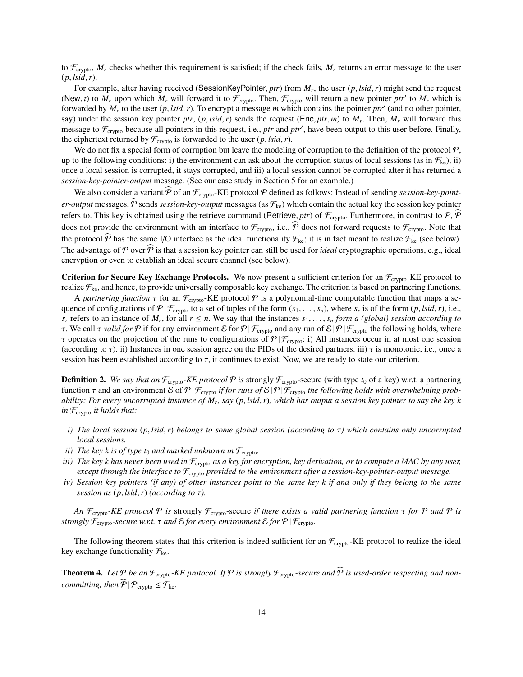to  $\mathcal{F}_{\text{crypto}}$ ,  $M_r$  checks whether this requirement is satisfied; if the check fails,  $M_r$  returns an error message to the user  $(p, \text{lsid}, r)$ .

For example, after having received (SessionKeyPointer, *ptr*) from  $M_r$ , the user  $(p, \text{lsid}, r)$  might send the request  $M_r$  will forward it to  $F$ . Then  $F$ , will return a new pointer  $ntr'$  to  $M_r$  which is (New, *t*) to  $M_r$  upon which  $M_r$  will forward it to  $\mathcal{F}_{\text{cryptography}}$ . Then,  $\mathcal{F}_{\text{cryptography}}$  will return a new pointer *ptr'* to  $M_r$  which is forwarded by M<sub>*t*</sub> to the user (*n* lsid *r*). To encrypt a message *m* which c forwarded by  $M_r$  to the user  $(p, \text{Isid}, r)$ . To encrypt a message *m* which contains the pointer *ptr'* (and no other pointer,  $\sinh(r)$  or  $\sinh(r)$  and  $\sinh(r)$  and  $\sinh(r)$  and  $\sinh(r)$  and  $\sinh(r)$  and  $\sinh(r)$  and  $\sinh(r)$  and say) under the session key pointer *ptr*,  $(p, \text{lsid}, r)$  sends the request (Enc, *ptr*, *m*) to  $M_r$ . Then,  $M_r$  will forward this message to  $\mathcal{F}$  because all pointers in this request i.e. *ptr* and *ptr*' have been out message to  $\mathcal{F}_{\text{crypto}}$  because all pointers in this request, i.e., *ptr* and *ptr'*, have been output to this user before. Finally, the ciphertext returned by  $\mathcal{F}_{\text{crypto}}$  is forwarded to the user  $(p, \text{lsid}, r)$ .

We do not fix a special form of corruption but leave the modeling of corruption to the definition of the protocol  $P$ , up to the following conditions: i) the environment can ask about the corruption status of local sessions (as in  $\mathcal{F}_{k}$ ), ii) once a local session is corrupted, it stays corrupted, and iii) a local session cannot be corrupted after it has returned a *session-key-pointer-output* message. (See our case study in Section 5 for an example.)

We also consider a variant  $\widehat{P}$  of an  $\mathcal{F}_{\text{crypto}}$ -KE protocol  $P$  defined as follows: Instead of sending *session-key-pointer-output* messages,  $\hat{P}$  sends *session-key-output* messages (as  $\mathcal{F}_{ke}$ ) which contain the actual key the session key pointer refers to. This key is obtained using the retrieve command (Retrieve, *ptr*) of  $\mathcal{F}_{\text{crypto}}$ . Furthermore, in contrast to  $\mathcal{P}, \mathcal{P}$ does not provide the environment with an interface to  $\mathcal{F}_{\text{crypto}}$ , i.e.,  $\widehat{P}$  does not forward requests to  $\mathcal{F}_{\text{crypto}}$ . Note that the protocol  $\widehat{P}$  has the same I/O interface as the ideal functionality  $\mathcal{F}_{ke}$ ; it is in fact meant to realize  $\mathcal{F}_{ke}$  (see below). The advantage of  $P$  over  $\widehat{P}$  is that a session key pointer can still be used for *ideal* cryptographic operations, e.g., ideal encryption or even to establish an ideal secure channel (see below).

**Criterion for Secure Key Exchange Protocols.** We now present a sufficient criterion for an  $\mathcal{F}_{\text{crypto}}$ -KE protocol to realize  $\mathcal{F}_{k_{c}}$ , and hence, to provide universally composable key exchange. The criterion is based on partnering functions.

A *partnering function*  $\tau$  for an  $\mathcal{F}_{\text{crypto}}$ -KE protocol  $\mathcal P$  is a polynomial-time computable function that maps a sequence of configurations of  $P | F_{\text{cryptography}}$  to a set of tuples of the form  $(s_1, \ldots, s_n)$ , where  $s_r$  is of the form  $(p, \text{lsid}, r)$ , i.e.,  $s_r$  refers to an instance of M for all  $r \le n$ . We say that the instances  $s_r$  form a ( *s*<sub>*r*</sub> refers to an instance of *M<sub>r</sub>*, for all  $r \le n$ . We say that the instances  $s_1, \ldots, s_n$  *form a (global) session according to*  $\tau$  We call  $\tau$  valid for  $\mathcal{P}$  if for any environment  $\mathcal{E}$  for  $\mathcal{P} | \mathcal{$ τ. We call τ *valid for*  $\mathcal P$  if for any environment  $\mathcal E$  for  $\mathcal P | \mathcal F_{\text{crypto}}$  and any run of  $\mathcal E | \mathcal P | \mathcal F_{\text{crypto}}$  the following holds, where  $\tau$  operates on the projection of the runs to configurations of  $\mathcal{P}|\mathcal{F}_{\text{crypto}}$ : i) All instances occur in at most one session (according to  $\tau$ ). ii) Instances in one session agree on the PIDs of the desired partners. iii)  $\tau$  is monotonic, i.e., once a session has been established according to  $\tau$ , it continues to exist. Now, we are ready to state our criterion.

**Definition 2.** We say that an  $\mathcal{F}_{\text{crypto}}$ -KE protocol  $\mathcal{P}$  is strongly  $\mathcal{F}_{\text{crypto}}$ -secure (with type  $t_0$  of a key) w.r.t. a partnering function τ and an environment *ε* of  $P | F_{\text{crypto}}$  *if for runs of*  $ε | P | F_{\text{crypto}}$  *the following holds with overwhelming probability: For every uncorrupted instance of M<sup>r</sup> , say* (*p*, *lsid*,*r*)*, which has output a session key pointer to say the key k in* Fcrypto *it holds that:*

- *i) The local session* (*p*, *lsid*,*r*) *belongs to some global session (according to* τ*) which contains only uncorrupted local sessions.*
- *ii*) *The key k is of type t<sub>0</sub> and marked unknown in*  $\mathcal{F}_{\text{crypto}}$ *.*
- *iii)* The key k has never been used in  $F_{\text{crvpto}}$  as a key for encryption, key derivation, or to compute a MAC by any user, *except through the interface to* Fcrypto *provided to the environment after a session-key-pointer-output message.*
- *iv) Session key pointers (if any) of other instances point to the same key k if and only if they belong to the same session as*  $(p, \text{lsid}, r)$  *(according to*  $\tau$ *).*

*An*  $\mathcal{F}_{\text{cryto}}$ *-KE protocol*  $\mathcal{P}$  *is* strongly  $\mathcal{F}_{\text{cryto}}$ -secure *if there exists a valid partnering function*  $\tau$  *for*  $\mathcal{P}$  *and*  $\mathcal{P}$  *is strongly*  $\mathcal{F}_{\text{crypto}}$ *-secure w.r.t.*  $\tau$  *and*  $\mathcal{E}$  *for every environment*  $\mathcal{E}$  *for*  $\mathcal{P} | \mathcal{F}_{\text{crypto}}$ *.* 

The following theorem states that this criterion is indeed sufficient for an  $\mathcal{F}_{\text{crvpto}}$ -KE protocol to realize the ideal key exchange functionality  $\mathcal{F}_{ke}$ .

**Theorem 4.** Let  $P$  be an  $\mathcal{F}_{\text{cryptography}}$ -KE protocol. If  $P$  is strongly  $\mathcal{F}_{\text{cryptography}}$ -secure and  $\widehat{P}$  is used-order respecting and non*committing, then*  $\widehat{P} | P_{\text{crvpto}} \leq F_{\text{ke}}$ .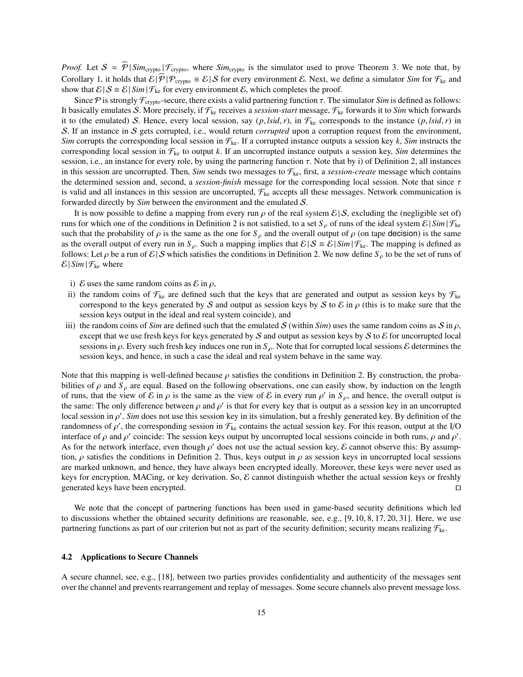*Proof.* Let  $S = \hat{\mathcal{P}} \mid Sim_{\text{cryptography}} \mid \mathcal{F}_{\text{cryptography}}$ , where  $Sim_{\text{cryptography}}$  is the simulator used to prove Theorem 3. We note that, by Corollary 1, it holds that  $\mathcal{E}|\mathcal{P}|\mathcal{P}_{\text{crypto}} \equiv \mathcal{E}|\mathcal{S}$  for every environment  $\mathcal{E}$ . Next, we define a simulator *Sim* for  $\mathcal{F}_{\text{ke}}$  and show that  $\mathcal{E} | S = \mathcal{E} | \sin \left| \mathcal{F}_{\text{ke}} \right|$  for every environment  $\mathcal{E}$ , which completes the proof.

Since P is strongly  $\mathcal{F}_{\text{crypto}}$ -secure, there exists a valid partnering function  $\tau$ . The simulator *Sim* is defined as follows: It basically emulates S. More precisely, if  $\mathcal{F}_{ke}$  receives a *session-start* message,  $\mathcal{F}_{ke}$  forwards it to *Sim* which forwards it to (the emulated) S. Hence, every local session, say  $(p, \text{lsid}, r)$ , in  $\mathcal{F}_{\text{ke}}$  corresponds to the instance  $(p, \text{lsid}, r)$  in S. If an instance in S gets corrupted, i.e., would return *corrupted* upon a corruption request from the environment, *Sim* corrupts the corresponding local session in  $\mathcal{F}_{\text{ke}}$ . If a corrupted instance outputs a session key *k*, *Sim* instructs the corresponding local session in  $\mathcal{F}_{ke}$  to output *k*. If an uncorrupted instance outputs a session key, *Sim* determines the session, i.e., an instance for every role, by using the partnering function  $\tau$ . Note that by i) of Definition 2, all instances in this session are uncorrupted. Then, *Sim* sends two messages to  $\mathcal{F}_{\text{ke}}$ , first, a *session-create* message which contains the determined session and, second, a *session-finish* message for the corresponding local session. Note that since τ is valid and all instances in this session are uncorrupted,  $F_{k}$  accepts all these messages. Network communication is forwarded directly by *Sim* between the environment and the emulated S.

It is now possible to define a mapping from every run  $\rho$  of the real system  $\mathcal{E}|\mathcal{S}$ , excluding the (negligible set of) runs for which one of the conditions in Definition 2 is not satisfied, to a set  $S_\rho$  of runs of the ideal system  $\mathcal{E} | Sim | \mathcal{F}_{ke}$ such that the probability of  $\rho$  is the same as the one for  $S_\rho$  and the overall output of  $\rho$  (on tape decision) is the same as the overall output of every run in  $S_\rho$ . Such a mapping implies that  $\mathcal{E} | S \equiv \mathcal{E} | \sin \mathcal{F}_{\text{ke}}$ . The mapping is defined as follows: Let  $\rho$  be a run of  $\mathcal{E}|\mathcal{S}$  which satisfies the conditions in Definition 2. We now define  $S_\rho$  to be the set of runs of  $\mathcal{E}| \sin |\mathcal{F}_{\text{ke}}|$  where

- i) E uses the same random coins as  $\mathcal E$  in  $\rho$ ,
- ii) the random coins of  $\mathcal{F}_{k_e}$  are defined such that the keys that are generated and output as session keys by  $\mathcal{F}_{k_e}$ correspond to the keys generated by S and output as session keys by S to E in  $\rho$  (this is to make sure that the session keys output in the ideal and real system coincide), and
- iii) the random coins of *Sim* are defined such that the emulated S (within *Sim*) uses the same random coins as S in  $\rho$ , except that we use fresh keys for keys generated by S and output as session keys by S to  $\mathcal E$  for uncorrupted local sessions in <sup>ρ</sup>. Every such fresh key induces one run in *<sup>S</sup>* ρ. Note that for corrupted local sessions <sup>E</sup> determines the session keys, and hence, in such a case the ideal and real system behave in the same way.

Note that this mapping is well-defined because  $\rho$  satisfies the conditions in Definition 2. By construction, the probabilities of  $\rho$  and  $S_\rho$  are equal. Based on the following observations, one can easily show, by induction on the length of runs, that the view of  $\mathcal E$  in  $\rho$  is the same as the view of  $\mathcal E$  in every run  $\rho'$  in  $S_\rho$ , and hence, the overall output is<br>the same: The only difference between a and  $\rho'$  is that for every key that is outp the same: The only difference between  $\rho$  and  $\rho'$  is that for every key that is output as a session key in an uncorrupted local session in  $\rho'$ . Sim does not use this session key in its simulation, but a freshly gener local session in  $\rho'$ , *Sim* does not use this session key in its simulation, but a freshly generated key. By definition of the randomness of  $\rho'$ , the corresponding session in  $\mathcal{F}_v$ , contains the actual session key randomness of  $\rho'$ , the corresponding session in  $\mathcal{F}_{ke}$  contains the actual session key. For this reason, output at the I/O<br>interface of a and a' coincide: The session keys output by uncorrupted local sessions coinci interface of  $\rho$  and  $\rho'$  coincide: The session keys output by uncorrupted local sessions coincide in both runs,  $\rho$  and  $\rho'$ .<br>As for the network interface, even though  $\rho'$  does not use the actual session key. E can As for the network interface, even though  $\rho'$  does not use the actual session key, E cannot observe this: By assumption  $\rho$  satisfies the conditions in Definition 2. Thus keys output in  $\rho$  as session keys in uncorrun tion,  $\rho$  satisfies the conditions in Definition 2. Thus, keys output in  $\rho$  as session keys in uncorrupted local sessions are marked unknown, and hence, they have always been encrypted ideally. Moreover, these keys were never used as keys for encryption, MACing, or key derivation. So, E cannot distinguish whether the actual session keys or freshly generated keys have been encrypted.  $\square$ 

We note that the concept of partnering functions has been used in game-based security definitions which led to discussions whether the obtained security definitions are reasonable, see, e.g., [9, 10, 8, 17, 20, 31]. Here, we use partnering functions as part of our criterion but not as part of the security definition; security means realizing  $\mathcal{F}_{k_{c}}$ .

#### 4.2 Applications to Secure Channels

A secure channel, see, e.g., [18], between two parties provides confidentiality and authenticity of the messages sent over the channel and prevents rearrangement and replay of messages. Some secure channels also prevent message loss.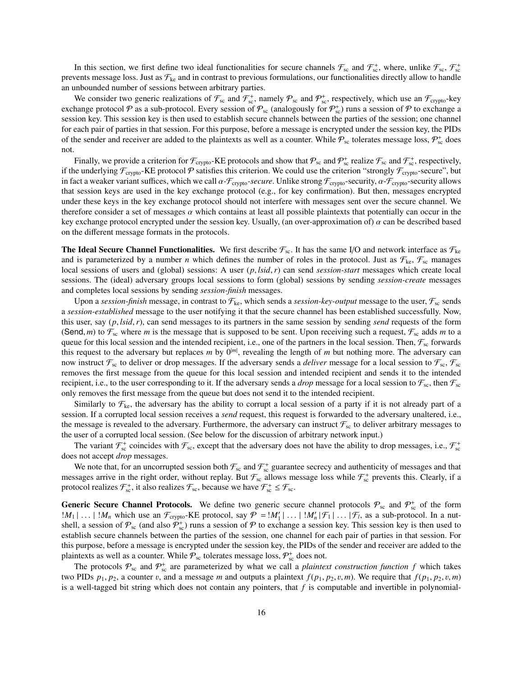In this section, we first define two ideal functionalities for secure channels  $\mathcal{F}_{sc}$  and  $\mathcal{F}_{sc}^+$ , where, unlike  $\mathcal{F}_{sc}$ ,  $\mathcal{F}_{sc}^+$ prevents message loss. Just as  $\mathcal{F}_{k_e}$  and in contrast to previous formulations, our functionalities directly allow to handle an unbounded number of sessions between arbitrary parties.

We consider two generic realizations of  $\mathcal{F}_{sc}$  and  $\mathcal{F}_{sc}^+$ , namely  $\mathcal{P}_{sc}$  and  $\mathcal{P}_{sc}^+$ , respectively, which use an  $\mathcal{F}_{crypto}$ -key exchange protocol  $P$  as a sub-protocol. Every session of  $P_{sc}$  (analogously for  $P_{sc}^+$ ) runs a session of  $P$  to exchange a session key. This session key is then used to establish secure channels between the parties of the session; one channel for each pair of parties in that session. For this purpose, before a message is encrypted under the session key, the PIDs of the sender and receiver are added to the plaintexts as well as a counter. While  $P_{sc}$  tolerates message loss,  $P_{sc}^+$  does not.

Finally, we provide a criterion for  $\mathcal{F}_{\text{crypto}}$ -KE protocols and show that  $\mathcal{P}_{\text{sc}}$  and  $\mathcal{P}_{\text{sc}}^+$  and  $\mathcal{F}_{\text{sc}}^+$ , respectively, if the underlying  $\mathcal{F}_{\text{crypto}}$ -KE protocol  $\mathcal P$  satisfies this criterion. We could use the criterion "strongly  $\mathcal{F}_{\text{crypto}}$ -secure", but in fact a weaker variant suffices, which we call  $\alpha$ -*F*<sub>crypto</sub>-secure. Unlike strong *F*<sub>crypto</sub>-security,  $\alpha$ -*F*<sub>crypto</sub>-security allows that session keys are used in the key exchange protocol (e.g., for key confirmation). But then, messages encrypted under these keys in the key exchange protocol should not interfere with messages sent over the secure channel. We therefore consider a set of messages  $\alpha$  which contains at least all possible plaintexts that potentially can occur in the key exchange protocol encrypted under the session key. Usually, (an over-approximation of)  $\alpha$  can be described based on the different message formats in the protocols.

**The Ideal Secure Channel Functionalities.** We first describe  $\mathcal{F}_{sc}$ . It has the same I/O and network interface as  $\mathcal{F}_{ke}$ and is parameterized by a number *n* which defines the number of roles in the protocol. Just as  $\mathcal{F}_{\text{ke}}$ ,  $\mathcal{F}_{\text{sc}}$  manages local sessions of users and (global) sessions: A user (*p*, *lsid*,*r*) can send *session-start* messages which create local sessions. The (ideal) adversary groups local sessions to form (global) sessions by sending *session-create* messages and completes local sessions by sending *session-finish* messages.

Upon a *session-finish* message, in contrast to  $\mathcal{F}_{\text{ke}}$ , which sends a *session-key-output* message to the user,  $\mathcal{F}_{\text{sc}}$  sends a *session-established* message to the user notifying it that the secure channel has been established successfully. Now, this user, say (*p*, *lsid*,*r*), can send messages to its partners in the same session by sending *send* requests of the form (Send, *m*) to  $\mathcal{F}_{sc}$  where *m* is the message that is supposed to be sent. Upon receiving such a request,  $\mathcal{F}_{sc}$  adds *m* to a queue for this local session and the intended recipient, i.e., one of the partners in the local session. Then,  $\mathcal{F}_{sc}$  forwards this request to the adversary but replaces *m* by  $0^{|m|}$ , revealing the length of *m* but nothing more. The adversary can now instruct  $\mathcal{F}_{sc}$  to deliver or drop messages. If the adversary sends a *deliver* message for a local session to  $\mathcal{F}_{sc}$ ,  $\mathcal{F}_{sc}$ removes the first message from the queue for this local session and intended recipient and sends it to the intended recipient, i.e., to the user corresponding to it. If the adversary sends a *drop* message for a local session to  $\mathcal{F}_{sc}$ , then  $\mathcal{F}_{sc}$ only removes the first message from the queue but does not send it to the intended recipient.

Similarly to  $\mathcal{F}_{\text{ke}}$ , the adversary has the ability to corrupt a local session of a party if it is not already part of a session. If a corrupted local session receives a *send* request, this request is forwarded to the adversary unaltered, i.e., the message is revealed to the adversary. Furthermore, the adversary can instruct  $\mathcal{F}_{sc}$  to deliver arbitrary messages to the user of a corrupted local session. (See below for the discussion of arbitrary network input.)

The variant  $\mathcal{F}_{sc}^+$  coincides with  $\mathcal{F}_{sc}$ , except that the adversary does not have the ability to drop messages, i.e.,  $\mathcal{F}_{sc}^+$ does not accept *drop* messages.

We note that, for an uncorrupted session both  $\mathcal{F}_{sc}$  and  $\mathcal{F}_{sc}^+$  guarantee secrecy and authenticity of messages and that messages arrive in the right order, without replay. But  $\mathcal{F}_{sc}$  allows message loss while  $\mathcal{F}_{sc}^+$  prevents this. Clearly, if a protocol realizes  $\mathcal{F}_{sc}^+$ , it also realizes  $\mathcal{F}_{sc}$ , because we have  $\mathcal{F}_{sc}^+ \leq \mathcal{F}_{sc}$ .

**Generic Secure Channel Protocols.** We define two generic secure channel protocols  $P_{sc}$  and  $P_{sc}^+$  of the form  $|M_1|$ ... |  $|M_n|$  which use an  $\mathcal{F}_{\text{cryptography}}$ -KE protocol, say  $\mathcal{P} = |M'_1|$  ... |  $|M'_n| \mathcal{F}_1|$  ... |  $\mathcal{F}_t$ , as a sub-protocol. In a nut-<br>shell a session of  $\mathcal{P}_1$  (and also  $\mathcal{P}^+$ ) runs a session of  $\mathcal{P}_$ shell, a session of  $P_{\text{sc}}$  (and also  $P_{\text{sc}}^+$ ) runs a session of P to exchange a session key. This session key is then used to establish secure channels between the parties of the session, one channel for each pair of parties in that session. For this purpose, before a message is encrypted under the session key, the PIDs of the sender and receiver are added to the plaintexts as well as a counter. While  $\mathcal{P}_{sc}$  tolerates message loss,  $\mathcal{P}_{sc}^{+}$  does not.

The protocols  $P_{sc}$  and  $P_{sc}^+$  are parameterized by what we call a *plaintext construction function f* which takes two PIDs  $p_1, p_2,$  a counter v, and a message m and outputs a plaintext  $f(p_1, p_2, v, m)$ . We require that  $f(p_1, p_2, v, m)$ is a well-tagged bit string which does not contain any pointers, that  $f$  is computable and invertible in polynomial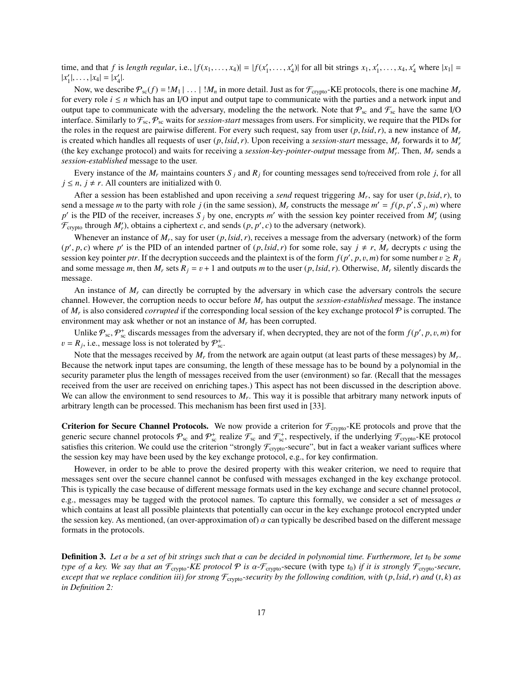time, and that f is length regular, i.e.,  $|f(x_1, \ldots, x_4)| = |f(x'_1, \ldots, x'_4)|$  for all bit strings  $x_1, x'_1, \ldots, x_4, x'_4$  where  $|x_1| = |x'| = |x_1| = |x'|$  $|x'_1|, \ldots, |x_4| = |x'_4|.$ 

Now, we describe  $\mathcal{P}_{sc}(f) = |M_1| \dots |M_n$  in more detail. Just as for  $\mathcal{F}_{crypto}$ -KE protocols, there is one machine  $M_r$ for every role  $i \leq n$  which has an I/O input and output tape to communicate with the parties and a network input and output tape to communicate with the adversary, modeling the the network. Note that  $P_{sc}$  and  $\mathcal{F}_{sc}$  have the same I/O interface. Similarly to  $\mathcal{F}_{sc}, \mathcal{P}_{sc}$  waits for *session-start* messages from users. For simplicity, we require that the PIDs for the roles in the request are pairwise different. For every such request, say from user  $(p, \text{lsid}, r)$ , a new instance of  $M_r$ is created which handles all requests of user  $(p, \text{lsid}, r)$ . Upon receiving a *session-start* message,  $M_r$  forwards it to  $M'_r$ <br>(the key exchange protocol) and waits for receiving a *session-key-pointer-output* message fr (the key exchange protocol) and waits for receiving a *session-key-pointer-output* message from  $M'_r$ . Then,  $M_r$  sends a *session-established* message to the user.

Every instance of the  $M_r$  maintains counters  $S_i$  and  $R_i$  for counting messages send to/received from role *j*, for all  $j \leq n$ ,  $j \neq r$ . All counters are initialized with 0.

After a session has been established and upon receiving a *send* request triggering  $M_r$ , say for user  $(p, \text{leid}, r)$ , to  $d$  a message m to the party with role *i* (in the same session) M, constructs the message m' =  $f(n, n$ send a message *m* to the party with role *j* (in the same session),  $M_r$  constructs the message  $m' = f(p, p', S_j, m)$  where  $p'$  is the PID of the receiver increases  $S_r$ . by one encrypts  $m'$  with the session key pointer rece  $p'$  is the PID of the receiver, increases  $S_j$  by one, encrypts *m'* with the session key pointer received from  $M'_r$  (using  $\mathcal{F}_{\text{crypto}}$  through  $M'_r$ ), obtains a ciphertext *c*, and sends  $(p, p', c)$  to the adversary (network).

Whenever an instance of  $M_r$ , say for user  $(p, \text{lsid}, r)$ , receives a message from the adversary (network) of the form  $p \leq r$  is the PID of an intended partner of  $(p, \text{lsid}, r)$  for some role, say  $i \neq r$ . M decrypts cusing  $(p', p, c)$  where *p'* is the PID of an intended partner of  $(p, \text{Isid}, r)$  for some role, say  $j \neq r$ ,  $M_r$  decrypts *c* using the session key pointer *ptr*. If the decryption succeeds and the plaintext is of the form  $f(n', p, v,$ session key pointer *ptr*. If the decryption succeeds and the plaintext is of the form  $f(p', p, v, m)$  for some number  $v \ge R_j$ <br>and some message *m* then *M* sets  $R_i - n + 1$  and outputs *m* to the user (*n* lsid *r*). Otherwise and some message *m*, then  $M_r$  sets  $R_i = v + 1$  and outputs *m* to the user  $(p, \text{lsid}, r)$ . Otherwise,  $M_r$  silently discards the message.

An instance of *M<sup>r</sup>* can directly be corrupted by the adversary in which case the adversary controls the secure channel. However, the corruption needs to occur before *M<sup>r</sup>* has output the *session-established* message. The instance of  $M_r$  is also considered *corrupted* if the corresponding local session of the key exchange protocol  $P$  is corrupted. The environment may ask whether or not an instance of *M<sup>r</sup>* has been corrupted.

Unlike  $\mathcal{P}_{sc}, \mathcal{P}_{sc}^{+}$  discards messages from the adversary if, when decrypted, they are not of the form  $f(p', p, v, m)$  for  $R_{\text{eff}}$  i.e., message loss is not tolerated by  $\Phi^{+}$ .  $v = R_j$ , i.e., message loss is not tolerated by  $P_{\text{sc}}^+$ .<br>Note that the message applied by *M*, frame

Note that the messages received by *M<sup>r</sup>* from the network are again output (at least parts of these messages) by *M<sup>r</sup>* . Because the network input tapes are consuming, the length of these message has to be bound by a polynomial in the security parameter plus the length of messages received from the user (environment) so far. (Recall that the messages received from the user are received on enriching tapes.) This aspect has not been discussed in the description above. We can allow the environment to send resources to  $M_r$ . This way it is possible that arbitrary many network inputs of arbitrary length can be processed. This mechanism has been first used in [33].

**Criterion for Secure Channel Protocols.** We now provide a criterion for  $\mathcal{F}_{\text{crypto}}$ -KE protocols and prove that the generic secure channel protocols  $P_{sc}$  and  $P_{sc}^+$  realize  $\mathcal{F}_{sc}$  and  $\mathcal{F}_{sc}^+$ , respectively, if the underlying  $\mathcal{F}_{\text{crypto}}$ -KE protocol satisfies this criterion. We could use the criterion "strongly  $\mathcal{F}_{\text{crypto}}$ -secure", but in fact a weaker variant suffices where the session key may have been used by the key exchange protocol, e.g., for key confirmation.

However, in order to be able to prove the desired property with this weaker criterion, we need to require that messages sent over the secure channel cannot be confused with messages exchanged in the key exchange protocol. This is typically the case because of different message formats used in the key exchange and secure channel protocol, e.g., messages may be tagged with the protocol names. To capture this formally, we consider a set of messages  $\alpha$ which contains at least all possible plaintexts that potentially can occur in the key exchange protocol encrypted under the session key. As mentioned, (an over-approximation of)  $\alpha$  can typically be described based on the different message formats in the protocols.

**Definition 3.** Let  $\alpha$  be a set of bit strings such that  $\alpha$  can be decided in polynomial time. Furthermore, let  $t_0$  be some *type of a key. We say that an*  $\mathcal{F}_{\text{crypto}}$ -*KE protocol*  $\mathcal P$  *is*  $\alpha$ - $\mathcal{F}_{\text{crypto}}$ -secure (with type  $t_0$ ) *if it is strongly*  $\mathcal{F}_{\text{crypto}}$ -secure, *except that we replace condition iii) for strong*  $\mathcal{F}_{\text{crypo}}$ -security by the following condition, with (p, lsid, r) and (t, k) as *in Definition 2:*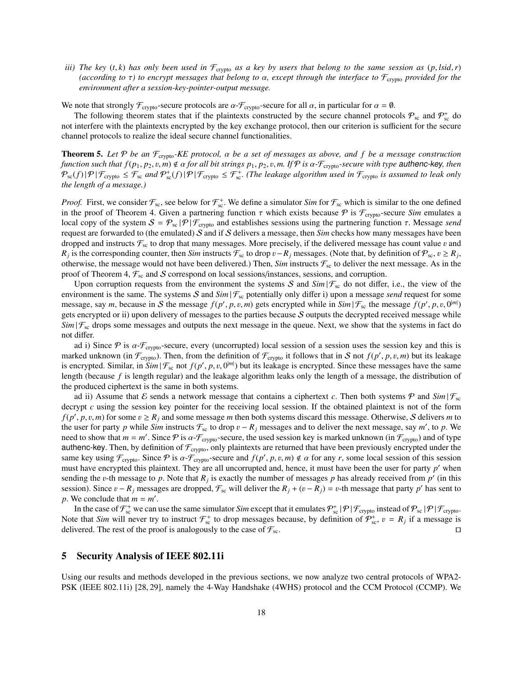*iii) The key* (*t*, *k*) *has only been used in*  $\mathcal{F}_{\text{crypto}}$  *as a key by users that belong to the same session as* (*p*, *lsid*, *r*) *(according to* <sup>τ</sup>*) to encrypt messages that belong to* <sup>α</sup>*, except through the interface to* <sup>F</sup>crypto *provided for the environment after a session-key-pointer-output message.*

We note that strongly  $\mathcal{F}_{\text{crypto}}$ -secure protocols are  $\alpha \text{-} \mathcal{F}_{\text{crypto}}$ -secure for all  $\alpha$ , in particular for  $\alpha = \emptyset$ .

The following theorem states that if the plaintexts constructed by the secure channel protocols  $P_{sc}$  and  $P_{sc}^+$  do not interfere with the plaintexts encrypted by the key exchange protocol, then our criterion is sufficient for the secure channel protocols to realize the ideal secure channel functionalities.

Theorem 5. *Let* <sup>P</sup> *be an* <sup>F</sup>crypto*-KE protocol,* α *be a set of messages as above, and f be a message construction function such that*  $f(p_1, p_2, v, m) \notin \alpha$  *for all bit strings*  $p_1, p_2, v, m$ *. If*  $P$  *<i>is*  $\alpha$ - $\mathcal{F}_{\text{crypto}}$ -secure with type authenc-key, then  $\mathcal{P}_{\text{sc}}(f)|\mathcal{P}|\mathcal{F}_{\text{crypto}} \leq \mathcal{F}_{\text{sc}}$  and  $\mathcal{P}_{\text{sc}}^+(f)|\mathcal{P}|\mathcal{F}_{\text{crypto}} \leq \mathcal{F}_{\text{sc}}^+$  (The leakage algorithm used in  $\mathcal{F}_{\text{crypto}}$  is assumed to leak only *the length of a message.)*

*Proof.* First, we consider  $\mathcal{F}_{sc}$ , see below for  $\mathcal{F}_{sc}^+$ . We define a simulator *Sim* for  $\mathcal{F}_{sc}$  which is similar to the one defined in the proof of Theorem 4. Given a partnering function  $\tau$  which exists because  $\mathcal P$  is  $\mathcal F_{\text{crypto}}$ -secure *Sim* emulates a local copy of the system  $S = \mathcal{P}_{\text{sc}} |\mathcal{P}|\mathcal{F}_{\text{crypto}}$  and establishes sessions using the partnering function  $\tau$ . Message *send* request are forwarded to (the emulated) S and if S delivers a message, then *Sim* checks how many messages have been dropped and instructs  $\mathcal{F}_{sc}$  to drop that many messages. More precisely, if the delivered message has count value v and *R*<sub>*j*</sub> is the corresponding counter, then *Sim* instructs  $\mathcal{F}_{sc}$  to drop v−*R*<sub>*j*</sub> messages. (Note that, by definition of  $\mathcal{P}_{sc}$ ,  $v \ge R_j$ , otherwise the message would not have been delivered). Then *Sim* instru otherwise, the message would not have been delivered.) Then, *Sim* instructs  $\mathcal{F}_{\rm sc}$  to deliver the next message. As in the proof of Theorem 4,  $\mathcal{F}_{sc}$  and S correspond on local sessions/instances, sessions, and corruption.

Upon corruption requests from the environment the systems S and  $Sim | \mathcal{F}_{sc}$  do not differ, i.e., the view of the environment is the same. The systems S and  $Sim | \mathcal{F}_{sc}$  potentially only differ i) upon a message *send* request for some message, say *m*, because in S the message  $f(p', p, v, m)$  gets encrypted while in  $Sim | \mathcal{F}_{sc}$  the message  $f(p', p, v, 0^{|m|})$  gets encrypted received message while gets encrypted or ii) upon delivery of messages to the parties because S outputs the decrypted received message while  $Sim | \mathcal{F}_{\rm sc}$  drops some messages and outputs the next message in the queue. Next, we show that the systems in fact do not differ.

ad i) Since  $\mathcal P$  is  $\alpha$ - $\mathcal F_{\text{crypto}}$ -secure, every (uncorrupted) local session of a session uses the session key and this is marked unknown (in  $\mathcal{F}_{\text{crypto}}$ ). Then, from the definition of  $\mathcal{F}_{\text{crypto}}$  it follows that in S not  $f(p', p, v, m)$  but its leakage is encrypted. Similar, in  $Sim | \mathcal{F}_{sc}$  not  $f(p', p, v, 0^{|m|})$  but its leakage is encrypted. Since these messages have the same<br>length (because f is length regular) and the leakage algorithm leaks only the length of a messag length (because *f* is length regular) and the leakage algorithm leaks only the length of a message, the distribution of the produced ciphertext is the same in both systems.

ad ii) Assume that E sends a network message that contains a ciphertext c. Then both systems  $\mathcal P$  and  $Sim|\mathcal{F}_{sc}|$ decrypt *c* using the session key pointer for the receiving local session. If the obtained plaintext is not of the form  $f(p', p, v, m)$  for some  $v \ge R_j$  and some message *m* then both systems discard this message. Otherwise, S delivers *m* to *n* to the user for party *n* while *Sim* instructs  $F$  to drop  $v = R$ , messages and to deliver the nex the user for party *p* while *Sim* instructs  $\mathcal{F}_{sc}$  to drop  $v - R_j$  messages and to deliver the next message, say *m'*, to *p*. We need to show that  $m - m'$ . Since  $\mathcal{P}$  is  $\alpha \mathcal{F}$  assecure, the used session key i need to show that  $m = m'$ . Since P is  $\alpha$ -F<sub>crypto</sub>-secure, the used session key is marked unknown (in F<sub>crypto</sub>) and of type<br>authono-key. Then, by definition of F<sub>comp</sub>only plaintexts are returned that have been previous authenc-key. Then, by definition of  $\mathcal{F}_{\text{crypto}}$ , only plaintexts are returned that have been previously encrypted under the same key using  $\mathcal{F}_{\text{crypto}}$ . Since  $\mathcal{P}$  is  $\alpha$ - $\mathcal{F}_{\text{crypto}}$ -secure and  $f(p', p, v, m) \notin \alpha$  for any *r*, some local session of this session must have encrypted this plaintext. They are all uncorrunted and hence, it must have encrypted this plaintext. They are all uncorrupted and, hence, it must have been the user for party  $p'$  when sending the v-th message to p. Note that  $R_j$  is exactly the number of messages p has already received from p' (in this sent to session). Since  $v - R_j$  messages are dropped,  $\mathcal{F}_{sc}$  will deliver the  $R_j + (v - R_j) = v$ -th message that party *p*' has sent to *n*. We conclude that  $m - m'$ *p*. We conclude that  $m = m'$ .

In the case of  $\mathcal{F}_{sc}^+$  we can use the same simulator *Sim* except that it emulates  $\mathcal{P}_{sc}^+$  |  $\mathcal{P}$ |  $\mathcal{F}_{crypto}$  instead of  $\mathcal{P}_{sc}$  |  $\mathcal{P}$ |  $\mathcal{F}_{crypto}$ . Note that *Sim* will never try to instruct  $\mathcal{F}_{\text{sc}}^+$  to drop messages because, by definition of  $\mathcal{P}_{\text{sc}}^+$ ,  $v = R_j$  if a message is delivered. The rest of the proof is analogously to the case of  $\mathcal{F}$ delivered. The rest of the proof is analogously to the case of  $\mathcal{F}_{sc}$ .

# 5 Security Analysis of IEEE 802.11i

Using our results and methods developed in the previous sections, we now analyze two central protocols of WPA2- PSK (IEEE 802.11i) [28, 29], namely the 4-Way Handshake (4WHS) protocol and the CCM Protocol (CCMP). We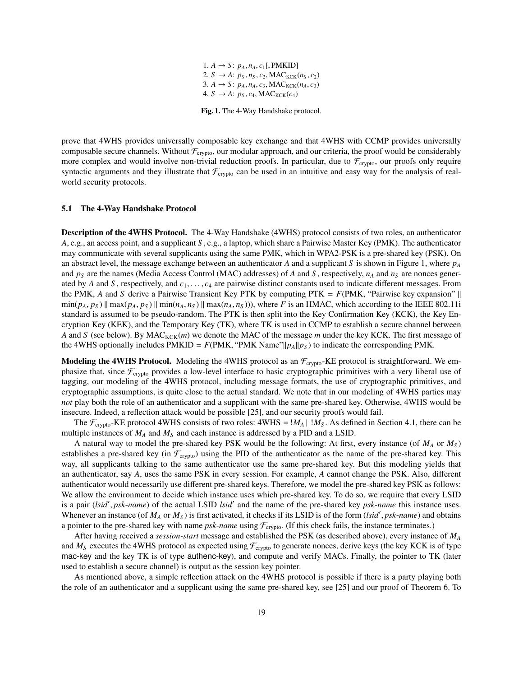1. *A* → *S* :  $p_A$ ,  $n_A$ ,  $c_1$ [, PMKID] 2. *S* → *A*:  $p_S, n_S, c_2, \text{MAC}_{\text{KCK}}(n_S, c_2)$ 3.  $A \rightarrow S: p_A, n_A, c_3, \text{MAC}_{KCK}(n_A, c_3)$ 4.  $S \rightarrow A: p_S, c_4, MAC_{KCK}(c_4)$ 

Fig. 1. The 4-Way Handshake protocol.

prove that 4WHS provides universally composable key exchange and that 4WHS with CCMP provides universally composable secure channels. Without  $\mathcal{F}_{\text{crypto}}$ , our modular approach, and our criteria, the proof would be considerably more complex and would involve non-trivial reduction proofs. In particular, due to  $\mathcal{F}_{\text{crypto}}$ , our proofs only require syntactic arguments and they illustrate that  $\mathcal{F}_{\text{crypto}}$  can be used in an intuitive and easy way for the analysis of realworld security protocols.

#### 5.1 The 4-Way Handshake Protocol

Description of the 4WHS Protocol. The 4-Way Handshake (4WHS) protocol consists of two roles, an authenticator *A*, e.g., an access point, and a supplicant *S* , e.g., a laptop, which share a Pairwise Master Key (PMK). The authenticator may communicate with several supplicants using the same PMK, which in WPA2-PSK is a pre-shared key (PSK). On an abstract level, the message exchange between an authenticator *A* and a supplicant *S* is shown in Figure 1, where  $p_A$ and  $p_S$  are the names (Media Access Control (MAC) addresses) of *A* and *S*, respectively,  $n_A$  and  $n_S$  are nonces generated by *<sup>A</sup>* and *<sup>S</sup>* , respectively, and *<sup>c</sup>*<sup>1</sup>, . . . , *<sup>c</sup>*<sup>4</sup> are pairwise distinct constants used to indicate different messages. From the PMK, *A* and *S* derive a Pairwise Transient Key PTK by computing PTK =  $F(PMK, "Pairwise key expansion" ||$  $\min(p_A, p_S)$  ||  $\max(p_A, p_S)$  ||  $\min(n_A, n_S)$  ||  $\max(n_A, n_S)$  |), where F is an HMAC, which according to the IEEE 802.11 standard is assumed to be pseudo-random. The PTK is then split into the Key Confirmation Key (KCK), the Key Encryption Key (KEK), and the Temporary Key (TK), where TK is used in CCMP to establish a secure channel between *A* and *S* (see below). By  $MAC_{KCK}(m)$  we denote the MAC of the message *m* under the key KCK. The first message of the 4WHS optionally includes PMKID =  $F(PMK, "PMK Name"|p_A||p_S)$  to indicate the corresponding PMK.

**Modeling the 4WHS Protocol.** Modeling the 4WHS protocol as an  $\mathcal{F}_{\text{crypto}}$ -KE protocol is straightforward. We emphasize that, since  $\mathcal{F}_{\text{crypto}}$  provides a low-level interface to basic cryptographic primitives with a very liberal use of tagging, our modeling of the 4WHS protocol, including message formats, the use of cryptographic primitives, and cryptographic assumptions, is quite close to the actual standard. We note that in our modeling of 4WHS parties may *not* play both the role of an authenticator and a supplicant with the same pre-shared key. Otherwise, 4WHS would be insecure. Indeed, a reflection attack would be possible [25], and our security proofs would fail.

The  $\mathcal{F}_{\text{crypto}}$ -KE protocol 4WHS consists of two roles:  $4WHS = |M_A| |M_S$ . As defined in Section 4.1, there can be multiple instances of *M<sup>A</sup>* and *M<sup>S</sup>* and each instance is addressed by a PID and a LSID.

A natural way to model the pre-shared key PSK would be the following: At first, every instance (of *M<sup>A</sup>* or *M<sup>S</sup>* ) establishes a pre-shared key (in  $\mathcal{F}_{\text{crypto}}$ ) using the PID of the authenticator as the name of the pre-shared key. This way, all supplicants talking to the same authenticator use the same pre-shared key. But this modeling yields that an authenticator, say *A*, uses the same PSK in every session. For example, *A* cannot change the PSK. Also, different authenticator would necessarily use different pre-shared keys. Therefore, we model the pre-shared key PSK as follows: We allow the environment to decide which instance uses which pre-shared key. To do so, we require that every LSID is a pair (*lsid'*, *psk-name*) of the actual LSID *lsid'* and the name of the pre-shared key *psk-name* this instance uses.<br>Whenever an instance (of  $M_{\odot}$  or  $M_{\odot}$ ) is first activated it checks if its I SID is of t Whenever an instance (of  $M_A$  or  $M_S$ ) is first activated, it checks if its LSID is of the form (*lsid', psk-name*) and obtains a pointer to the pre-shared key with name *psk-name* using  $\mathcal{F}$ . (If this check fails the a pointer to the pre-shared key with name  $psk$ -*name* using  $\mathcal{F}_{\text{crypto}}$ . (If this check fails, the instance terminates.)

After having received a *session-start* message and established the PSK (as described above), every instance of *M<sup>A</sup>* and  $M_S$  executes the 4WHS protocol as expected using  $\mathcal{F}_{\text{crypto}}$  to generate nonces, derive keys (the key KCK is of type mac-key and the key TK is of type authenc-key), and compute and verify MACs. Finally, the pointer to TK (later used to establish a secure channel) is output as the session key pointer.

As mentioned above, a simple reflection attack on the 4WHS protocol is possible if there is a party playing both the role of an authenticator and a supplicant using the same pre-shared key, see [25] and our proof of Theorem 6. To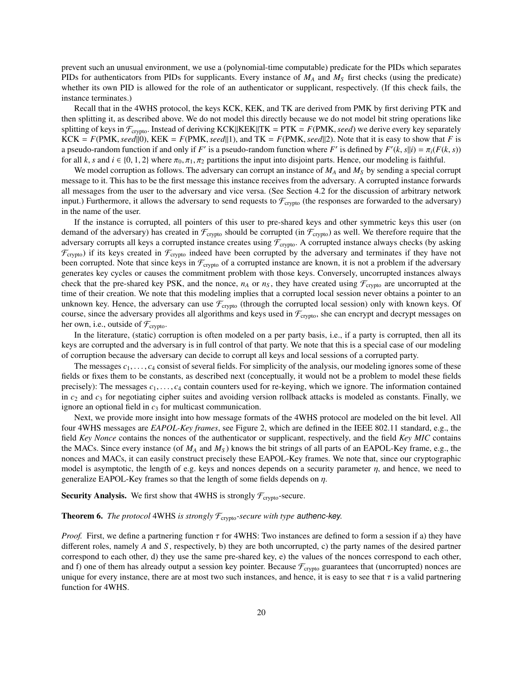prevent such an unusual environment, we use a (polynomial-time computable) predicate for the PIDs which separates PIDs for authenticators from PIDs for supplicants. Every instance of *M<sup>A</sup>* and *M<sup>S</sup>* first checks (using the predicate) whether its own PID is allowed for the role of an authenticator or supplicant, respectively. (If this check fails, the instance terminates.)

Recall that in the 4WHS protocol, the keys KCK, KEK, and TK are derived from PMK by first deriving PTK and then splitting it, as described above. We do not model this directly because we do not model bit string operations like splitting of keys in  $\mathcal{F}_{\text{crypto}}$ . Instead of deriving KCK KK TKK = PTK =  $F(\text{PMK}, \text{seed})$  we derive every key separately  $KCK = F(PMK, seed|0)$ ,  $KEK = F(PMK, seed|1)$ , and  $TK = F(PMK, seed|2)$ . Note that it is easy to show that *F* is a pseudo-random function if and only if *F'* is a pseudo-random function where *F'* is defined by  $F'(k, s||i) = \pi_i(F(k, s))$ <br>for all k s and  $i \in \{0, 1, 2\}$  where  $\pi_s$ ,  $\pi_s$  partitions the input into disjoint parts. Hence, ou for all *k*, *s* and  $i \in \{0, 1, 2\}$  where  $\pi_0, \pi_1, \pi_2$  partitions the input into disjoint parts. Hence, our modeling is faithful.

We model corruption as follows. The adversary can corrupt an instance of *M<sup>A</sup>* and *M<sup>S</sup>* by sending a special corrupt message to it. This has to be the first message this instance receives from the adversary. A corrupted instance forwards all messages from the user to the adversary and vice versa. (See Section 4.2 for the discussion of arbitrary network input.) Furthermore, it allows the adversary to send requests to  $\mathcal{F}_{\text{crypto}}$  (the responses are forwarded to the adversary) in the name of the user.

If the instance is corrupted, all pointers of this user to pre-shared keys and other symmetric keys this user (on demand of the adversary) has created in  $\mathcal{F}_{\text{crypto}}$  should be corrupted (in  $\mathcal{F}_{\text{crypto}}$ ) as well. We therefore require that the adversary corrupts all keys a corrupted instance creates using  $\mathcal{F}_{\text{crypo}}$ . A corrupted instance always checks (by asking  $\mathcal{F}_{\text{crypto}}$ ) if its keys created in  $\mathcal{F}_{\text{crypto}}$  indeed have been corrupted by the adversary and terminates if they have not been corrupted. Note that since keys in  $\mathcal{F}_{\text{crypto}}$  of a corrupted instance are known, it is not a problem if the adversary generates key cycles or causes the commitment problem with those keys. Conversely, uncorrupted instances always check that the pre-shared key PSK, and the nonce,  $n_A$  or  $n_S$ , they have created using  $\mathcal{F}_{\text{crypto}}$  are uncorrupted at the time of their creation. We note that this modeling implies that a corrupted local session never obtains a pointer to an unknown key. Hence, the adversary can use  $\mathcal{F}_{\text{crypto}}$  (through the corrupted local session) only with known keys. Of course, since the adversary provides all algorithms and keys used in  $\mathcal{F}_{\text{crypto}}$ , she can encrypt and decrypt messages on her own, i.e., outside of  $\mathcal{F}_{\text{crypto}}$ .

In the literature, (static) corruption is often modeled on a per party basis, i.e., if a party is corrupted, then all its keys are corrupted and the adversary is in full control of that party. We note that this is a special case of our modeling of corruption because the adversary can decide to corrupt all keys and local sessions of a corrupted party.

The messages  $c_1, \ldots, c_4$  consist of several fields. For simplicity of the analysis, our modeling ignores some of these fields or fixes them to be constants, as described next (conceptually, it would not be a problem to model these fields precisely): The messages  $c_1, \ldots, c_4$  contain counters used for re-keying, which we ignore. The information contained in  $c_2$  and  $c_3$  for negotiating cipher suites and avoiding version rollback attacks is modeled as constants. Finally, we ignore an optional field in  $c_3$  for multicast communication.

Next, we provide more insight into how message formats of the 4WHS protocol are modeled on the bit level. All four 4WHS messages are *EAPOL-Key frames*, see Figure 2, which are defined in the IEEE 802.11 standard, e.g., the field *Key Nonce* contains the nonces of the authenticator or supplicant, respectively, and the field *Key MIC* contains the MACs. Since every instance (of *M<sup>A</sup>* and *M<sup>S</sup>* ) knows the bit strings of all parts of an EAPOL-Key frame, e.g., the nonces and MACs, it can easily construct precisely these EAPOL-Key frames. We note that, since our cryptographic model is asymptotic, the length of e.g. keys and nonces depends on a security parameter  $\eta$ , and hence, we need to generalize EAPOL-Key frames so that the length of some fields depends on  $\eta$ .

**Security Analysis.** We first show that 4WHS is strongly  $\mathcal{F}_{\text{crypto}}$ -secure.

### **Theorem 6.** *The protocol* 4WHS *is strongly*  $\mathcal{F}_{\text{crypto}}$ -secure with type authenc-key.

*Proof.* First, we define a partnering function  $\tau$  for 4WHS: Two instances are defined to form a session if a) they have different roles, namely *A* and *S* , respectively, b) they are both uncorrupted, c) the party names of the desired partner correspond to each other, d) they use the same pre-shared key, e) the values of the nonces correspond to each other, and f) one of them has already output a session key pointer. Because  $\mathcal{F}_{\text{crypto}}$  guarantees that (uncorrupted) nonces are unique for every instance, there are at most two such instances, and hence, it is easy to see that  $\tau$  is a valid partnering function for 4WHS.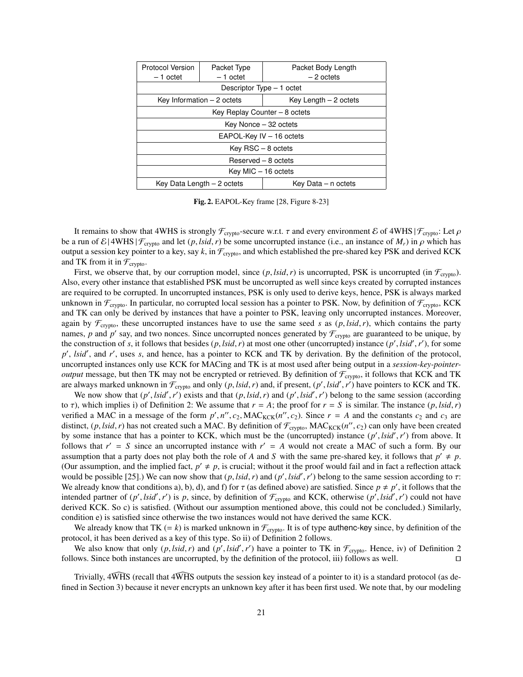| <b>Protocol Version</b>       | Packet Type | Packet Body Length     |
|-------------------------------|-------------|------------------------|
| - 1 octet                     | $-1$ octet  | - 2 octets             |
| Descriptor Type – 1 octet     |             |                        |
| Key Information $-2$ octets   |             | Key Length $-2$ octets |
| Key Replay Counter – 8 octets |             |                        |
| Key Nonce - 32 octets         |             |                        |
| EAPOL-Key IV - 16 octets      |             |                        |
| $Key RSC - 8 octets$          |             |                        |
| Reserved - 8 octets           |             |                        |
| Key MIC - 16 octets           |             |                        |
| Key Data Length - 2 octets    |             | Key Data – n octets    |

Fig. 2. EAPOL-Key frame [28, Figure 8-23]

It remains to show that 4WHS is strongly  $\mathcal{F}_{\text{crypto}}$ -secure w.r.t.  $\tau$  and every environment E of 4WHS |  $\mathcal{F}_{\text{cryto}}$ : Let  $\rho$ be a run of  $\mathcal{E}$ |4WHS| $\mathcal{F}_{\text{crypto}}$  and let  $(p, \text{Isid}, r)$  be some uncorrupted instance (i.e., an instance of  $M_r$ ) in  $\rho$  which has output a session key pointer to a key, say  $k$ , in  $\mathcal{F}_{\text{crypto}}$ , and which established the pre-shared key PSK and derived KCK and TK from it in  $\mathcal{F}_{\text{crypto}}$ .

First, we observe that, by our corruption model, since  $(p, \text{lsid}, r)$  is uncorrupted, PSK is uncorrupted (in  $\mathcal{F}_{\text{crybo}}$ ). Also, every other instance that established PSK must be uncorrupted as well since keys created by corrupted instances are required to be corrupted. In uncorrupted instances, PSK is only used to derive keys, hence, PSK is always marked unknown in  $\mathcal{F}_{\text{crypto}}$ . In particular, no corrupted local session has a pointer to PSK. Now, by definition of  $\mathcal{F}_{\text{crypto}}$ , KCK and TK can only be derived by instances that have a pointer to PSK, leaving only uncorrupted instances. Moreover, again by  $\mathcal{F}_{\text{crypto}}$ , these uncorrupted instances have to use the same seed *s* as  $(p, \text{list}, r)$ , which contains the party names, p and p' say, and two nonces. Since uncorrupted nonces generated by  $\mathcal{F}_{\text{crypto}}$  are guaranteed to be unique, by the construction of *s*, it follows that besides  $(p, \text{lid}, r)$  at most one other (uncorrupted) instance  $(p', \text{خ}, r')$ , for some  $p'$ ,  $\text{Isid}'$ , and  $r'$ , uses s, and hence has a pointer to KCK and TK by derivation. By the def p', *lsid'*, and r', uses *s*, and hence, has a pointer to KCK and TK by derivation. By the definition of the protocol, uncorrupted instances only use KCK for MACing and TK is at most used after being output in a *session-key-pointeroutput* message, but then TK may not be encrypted or retrieved. By definition of  $\mathcal{F}_{\text{crypto}}$ , it follows that KCK and TK are always marked unknown in  $\mathcal{F}_{\text{crypto}}$  and only  $(p, \text{Isid}, r)$  and, if present,  $(p', \text{Isid}', r')$  have pointers to KCK and TK.<br>We now show that  $(p', \text{Isid}', r')$  exists and that  $(p, \text{Isid}', r)$  and  $(p', \text{Isid}', r')$  belong to the same

We now show that  $(p', \text{Isid}', r')$  exists and that  $(p, \text{Isid}', r)$  and  $(p', \text{Isid}', r')$  belong to the same session (according<br>(according) which implies i) of Definition 2: We assume that  $r - 4$ ; the proof for  $r - S$  is similar. The in to  $\tau$ ), which implies i) of Definition 2: We assume that  $r = A$ ; the proof for  $r = S$  is similar. The instance  $(p, \text{Isid}, r)$ verified a MAC in a message of the form  $p', n'', c_2$ ,  $MAC_{KCK}(n'', c_2)$ . Since  $r = A$  and the constants  $c_2$  and  $c_3$  are distinct (*n* lsid *r*) has not created such a MAC. By definition of  $\mathcal{F}$  . MAC<sub>KCK</sub>(*n''*, co) can o distinct,  $(p, \text{lsid}, r)$  has not created such a MAC. By definition of  $\mathcal{F}_{\text{crypto}}$ , MAC<sub>KCK</sub> $(n', c_2)$  can only have been created by some instance that has a pointer to KCK, which must be the (uncorrunted) instance  $(n', \text{ls$ by some instance that has a pointer to KCK, which must be the (uncorrupted) instance  $(p', \text{lsid}', r')$  from above. It follows that  $r' = S$  since an uncorrupted instance with  $r' = A$  would not create a MAC of such a form. By our follows that  $r' = S$  since an uncorrupted instance with  $r' = A$  would not create a MAC of such a form. By our assumption that a party does not play both the role of *A* and *S* with the same pre-shared key, it follows that  $p' \neq p$ . (Our assumption, and the implied fact,  $p' \neq p$ , is crucial; without it the proof would fail and in fact a reflection attack would be possible [25].) We can now show that  $(p, \text{Isid}, r)$  and  $(p', \text{Isid}', r')$  belong to the same session according to  $\tau$ :<br>We already know that conditions a), b), d), and f) for  $\tau$  (as defined above) are satisfied. Since We already know that conditions a), b), d), and f) for  $\tau$  (as defined above) are satisfied. Since  $p \neq p'$ , it follows that the intended partner of  $(r' | sid' r')$  is *p*, since by definition of  $\mathcal{F}$  and KCK otherwise  $(n'$ intended partner of  $(p', \text{Isid}', r')$  is *p*, since, by definition of  $\mathcal{F}_{\text{crypto}}$  and KCK, otherwise  $(p', \text{Isid}', r')$  could not have derived KCK. So c) is satisfied (Without our assumption mentioned above this could not be con derived KCK. So c) is satisfied. (Without our assumption mentioned above, this could not be concluded.) Similarly, condition e) is satisfied since otherwise the two instances would not have derived the same KCK.

We already know that TK  $(= k)$  is marked unknown in  $\mathcal{F}_{\text{crypto}}$ . It is of type authenc-key since, by definition of the protocol, it has been derived as a key of this type. So ii) of Definition 2 follows.

We also know that only  $(p, \text{Isid}, r)$  and  $(p', \text{Isid}', r')$  have a pointer to TK in  $\mathcal{F}_{\text{crypto}}$ . Hence, iv) of Definition 2<br>ows. Since both instances are uncorrunted by the definition of the protocol iii) follows as well follows. Since both instances are uncorrupted, by the definition of the protocol, iii) follows as well.  $\Box$ 

Trivially,  $4\overline{WHS}$  (recall that  $4\overline{WHS}$  outputs the session key instead of a pointer to it) is a standard protocol (as defined in Section 3) because it never encrypts an unknown key after it has been first used. We note that, by our modeling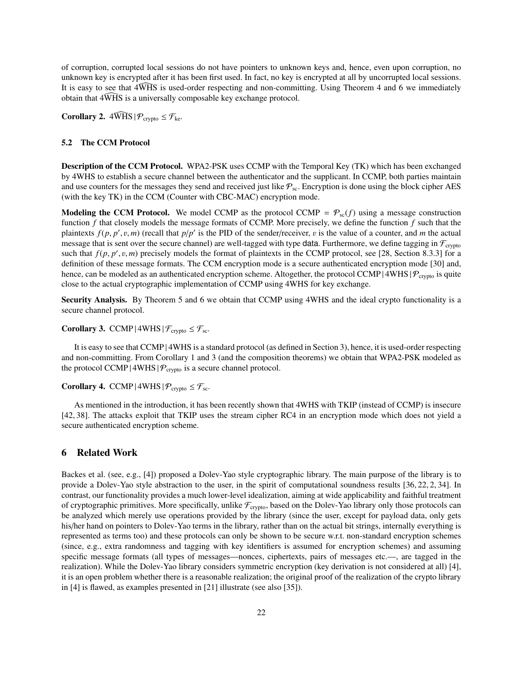of corruption, corrupted local sessions do not have pointers to unknown keys and, hence, even upon corruption, no unknown key is encrypted after it has been first used. In fact, no key is encrypted at all by uncorrupted local sessions. It is easy to see that  $4\overline{WHS}$  is used-order respecting and non-committing. Using Theorem 4 and 6 we immediately obtain that  $4\widehat{WHS}$  is a universally composable key exchange protocol.

**Corollary 2.**  $4\widehat{WHS} | \mathcal{P}_{\text{crypto}} \leq \mathcal{F}_{\text{ke}}.$ 

### 5.2 The CCM Protocol

Description of the CCM Protocol. WPA2-PSK uses CCMP with the Temporal Key (TK) which has been exchanged by 4WHS to establish a secure channel between the authenticator and the supplicant. In CCMP, both parties maintain and use counters for the messages they send and received just like  $P_{\text{sc}}$ . Encryption is done using the block cipher AES (with the key TK) in the CCM (Counter with CBC-MAC) encryption mode.

**Modeling the CCM Protocol.** We model CCMP as the protocol CCMP =  $\mathcal{P}_{sc}(f)$  using a message construction function *f* that closely models the message formats of CCMP. More precisely, we define the function *f* such that the plaintexts  $f(p, p', v, m)$  (recall that  $p/p'$  is the PID of the sender/receiver, v is the value of a counter, and *m* the actual<br>message that is sent over the secure channel) are well-tagged with type data. Furthermore, we de message that is sent over the secure channel) are well-tagged with type data. Furthermore, we define tagging in  $\mathcal{F}_{\text{crvoto}}$ such that  $f(p, p', v, m)$  precisely models the format of plaintexts in the CCMP protocol, see [28, Section 8.3.3] for a definition of these message formats. The CCM encryption mode is a secure authenticated encryption mode [3 definition of these message formats. The CCM encryption mode is a secure authenticated encryption mode [30] and, hence, can be modeled as an authenticated encryption scheme. Altogether, the protocol CCMP | 4WHS |  $P_{\text{crypto}}$  is quite close to the actual cryptographic implementation of CCMP using 4WHS for key exchange.

Security Analysis. By Theorem 5 and 6 we obtain that CCMP using 4WHS and the ideal crypto functionality is a secure channel protocol.

Corollary 3. CCMP |  $4WHS$  |  $\mathcal{F}_{\text{crypto}} \leq \mathcal{F}_{\text{sc}}$ .

It is easy to see that CCMP | 4WHS is a standard protocol (as defined in Section 3), hence, it is used-order respecting and non-committing. From Corollary 1 and 3 (and the composition theorems) we obtain that WPA2-PSK modeled as the protocol CCMP | 4WHS |  $P_{\text{crypto}}$  is a secure channel protocol.

Corollary 4. CCMP |  $4WHS$  |  $P_{\text{crypto}} \leq F_{\text{sc}}$ .

As mentioned in the introduction, it has been recently shown that 4WHS with TKIP (instead of CCMP) is insecure [42, 38]. The attacks exploit that TKIP uses the stream cipher RC4 in an encryption mode which does not yield a secure authenticated encryption scheme.

# 6 Related Work

Backes et al. (see, e.g., [4]) proposed a Dolev-Yao style cryptographic library. The main purpose of the library is to provide a Dolev-Yao style abstraction to the user, in the spirit of computational soundness results [36, 22, 2, 34]. In contrast, our functionality provides a much lower-level idealization, aiming at wide applicability and faithful treatment of cryptographic primitives. More specifically, unlike  $\mathcal{F}_{\text{crypto}}$ , based on the Dolev-Yao library only those protocols can be analyzed which merely use operations provided by the library (since the user, except for payload data, only gets his/her hand on pointers to Dolev-Yao terms in the library, rather than on the actual bit strings, internally everything is represented as terms too) and these protocols can only be shown to be secure w.r.t. non-standard encryption schemes (since, e.g., extra randomness and tagging with key identifiers is assumed for encryption schemes) and assuming specific message formats (all types of messages—nonces, ciphertexts, pairs of messages etc.—, are tagged in the realization). While the Dolev-Yao library considers symmetric encryption (key derivation is not considered at all) [4], it is an open problem whether there is a reasonable realization; the original proof of the realization of the crypto library in [4] is flawed, as examples presented in [21] illustrate (see also [35]).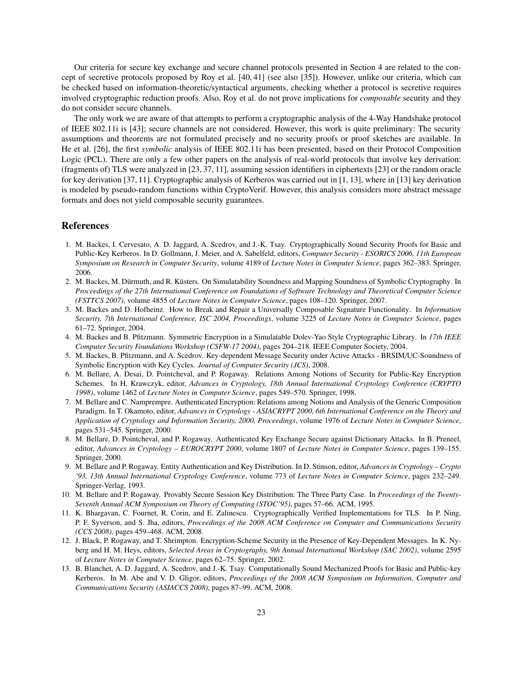Our criteria for secure key exchange and secure channel protocols presented in Section 4 are related to the concept of secretive protocols proposed by Roy et al. [40, 41] (see also [35]). However, unlike our criteria, which can be checked based on information-theoretic/syntactical arguments, checking whether a protocol is secretive requires involved cryptographic reduction proofs. Also, Roy et al. do not prove implications for *composable* security and they do not consider secure channels.

The only work we are aware of that attempts to perform a cryptographic analysis of the 4-Way Handshake protocol of IEEE 802.11i is [43]; secure channels are not considered. However, this work is quite preliminary: The security assumptions and theorems are not formulated precisely and no security proofs or proof sketches are available. In He et al. [26], the first *symbolic* analysis of IEEE 802.11i has been presented, based on their Protocol Composition Logic (PCL). There are only a few other papers on the analysis of real-world protocols that involve key derivation: (fragments of) TLS were analyzed in [23, 37, 11], assuming session identifiers in ciphertexts [23] or the random oracle for key derivation [37, 11]. Cryptographic analysis of Kerberos was carried out in [1, 13], where in [13] key derivation is modeled by pseudo-random functions within CryptoVerif. However, this analysis considers more abstract message formats and does not yield composable security guarantees.

# References

- 1. M. Backes, I. Cervesato, A. D. Jaggard, A. Scedrov, and J.-K. Tsay. Cryptographically Sound Security Proofs for Basic and Public-Key Kerberos. In D. Gollmann, J. Meier, and A. Sabelfeld, editors, *Computer Security - ESORICS 2006, 11th European Symposium on Research in Computer Security*, volume 4189 of *Lecture Notes in Computer Science*, pages 362–383. Springer, 2006.
- 2. M. Backes, M. Dürmuth, and R. Küsters. On Simulatability Soundness and Mapping Soundness of Symbolic Cryptography. In *Proceedings of the 27th International Conference on Foundations of Software Technology and Theoretical Computer Science (FSTTCS 2007)*, volume 4855 of *Lecture Notes in Computer Science*, pages 108–120. Springer, 2007.
- 3. M. Backes and D. Hofheinz. How to Break and Repair a Universally Composable Signature Functionality. In *Information Security, 7th International Conference, ISC 2004, Proceedings*, volume 3225 of *Lecture Notes in Computer Science*, pages 61–72. Springer, 2004.
- 4. M. Backes and B. Pfitzmann. Symmetric Encryption in a Simulatable Dolev-Yao Style Cryptographic Library. In *17th IEEE Computer Security Foundations Workshop (CSFW-17 2004)*, pages 204–218. IEEE Computer Society, 2004.
- 5. M. Backes, B. Pfitzmann, and A. Scedrov. Key-dependent Message Security under Active Attacks BRSIM/UC-Soundness of Symbolic Encryption with Key Cycles. *Journal of Computer Security (JCS)*, 2008.
- 6. M. Bellare, A. Desai, D. Pointcheval, and P. Rogaway. Relations Among Notions of Security for Public-Key Encryption Schemes. In H. Krawczyk, editor, *Advances in Cryptology, 18th Annual International Cryptology Conference (CRYPTO 1998)*, volume 1462 of *Lecture Notes in Computer Science*, pages 549–570. Springer, 1998.
- 7. M. Bellare and C. Namprempre. Authenticated Encryption: Relations among Notions and Analysis of the Generic Composition Paradigm. In T. Okamoto, editor, *Advances in Cryptology - ASIACRYPT 2000, 6th International Conference on the Theory and Application of Cryptology and Information Security, 2000, Proceedings*, volume 1976 of *Lecture Notes in Computer Science*, pages 531–545. Springer, 2000.
- 8. M. Bellare, D. Pointcheval, and P. Rogaway. Authenticated Key Exchange Secure against Dictionary Attacks. In B. Preneel, editor, *Advances in Cryptology – EUROCRYPT 2000*, volume 1807 of *Lecture Notes in Computer Science*, pages 139–155. Springer, 2000.
- 9. M. Bellare and P. Rogaway. Entity Authentication and Key Distribution. In D. Stinson, editor, *Advances in Cryptology Crypto '93, 13th Annual International Cryptology Conference*, volume 773 of *Lecture Notes in Computer Science*, pages 232–249. Springer-Verlag, 1993.
- 10. M. Bellare and P. Rogaway. Provably Secure Session Key Distribution: The Three Party Case. In *Proceedings of the Twenty-Seventh Annual ACM Symposium on Theory of Computing (STOC'95)*, pages 57–66. ACM, 1995.
- 11. K. Bhargavan, C. Fournet, R. Corin, and E. Zalinescu. Cryptographically Verified Implementations for TLS. In P. Ning, P. F. Syverson, and S. Jha, editors, *Proceedings of the 2008 ACM Conference on Computer and Communications Security (CCS 2008)*, pages 459–468. ACM, 2008.
- 12. J. Black, P. Rogaway, and T. Shrimpton. Encryption-Scheme Security in the Presence of Key-Dependent Messages. In K. Nyberg and H. M. Heys, editors, *Selected Areas in Cryptography, 9th Annual International Workshop (SAC 2002)*, volume 2595 of *Lecture Notes in Computer Science*, pages 62–75. Springer, 2002.
- 13. B. Blanchet, A. D. Jaggard, A. Scedrov, and J.-K. Tsay. Computationally Sound Mechanized Proofs for Basic and Public-key Kerberos. In M. Abe and V. D. Gligor, editors, *Proceedings of the 2008 ACM Symposium on Information, Computer and Communications Security (ASIACCS 2008)*, pages 87–99. ACM, 2008.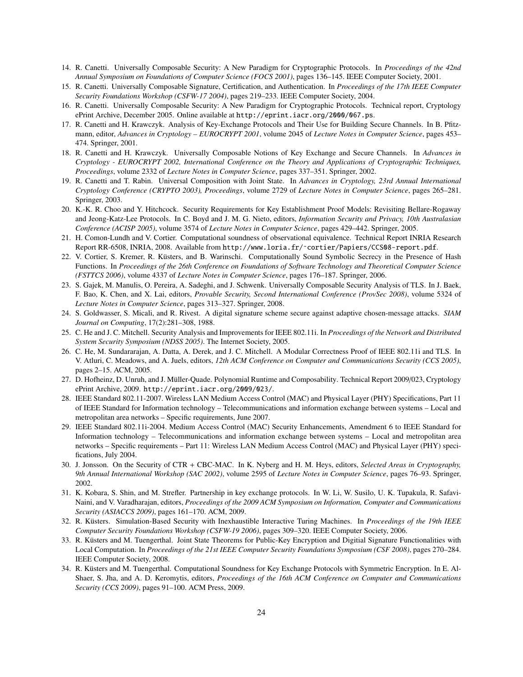- 14. R. Canetti. Universally Composable Security: A New Paradigm for Cryptographic Protocols. In *Proceedings of the 42nd Annual Symposium on Foundations of Computer Science (FOCS 2001)*, pages 136–145. IEEE Computer Society, 2001.
- 15. R. Canetti. Universally Composable Signature, Certification, and Authentication. In *Proceedings of the 17th IEEE Computer Security Foundations Workshop (CSFW-17 2004)*, pages 219–233. IEEE Computer Society, 2004.
- 16. R. Canetti. Universally Composable Security: A New Paradigm for Cryptographic Protocols. Technical report, Cryptology ePrint Archive, December 2005. Online available at http://eprint.iacr.org/2000/067.ps.
- 17. R. Canetti and H. Krawczyk. Analysis of Key-Exchange Protocols and Their Use for Building Secure Channels. In B. Pfitzmann, editor, *Advances in Cryptology – EUROCRYPT 2001*, volume 2045 of *Lecture Notes in Computer Science*, pages 453– 474. Springer, 2001.
- 18. R. Canetti and H. Krawczyk. Universally Composable Notions of Key Exchange and Secure Channels. In *Advances in Cryptology - EUROCRYPT 2002, International Conference on the Theory and Applications of Cryptographic Techniques, Proceedings*, volume 2332 of *Lecture Notes in Computer Science*, pages 337–351. Springer, 2002.
- 19. R. Canetti and T. Rabin. Universal Composition with Joint State. In *Advances in Cryptology, 23rd Annual International Cryptology Conference (CRYPTO 2003), Proceedings*, volume 2729 of *Lecture Notes in Computer Science*, pages 265–281. Springer, 2003.
- 20. K.-K. R. Choo and Y. Hitchcock. Security Requirements for Key Establishment Proof Models: Revisiting Bellare-Rogaway and Jeong-Katz-Lee Protocols. In C. Boyd and J. M. G. Nieto, editors, *Information Security and Privacy, 10th Australasian Conference (ACISP 2005)*, volume 3574 of *Lecture Notes in Computer Science*, pages 429–442. Springer, 2005.
- 21. H. Comon-Lundh and V. Cortier. Computational soundness of observational equivalence. Technical Report INRIA Research Report RR-6508, INRIA, 2008. Available from http://www.loria.fr/˜cortier/Papiers/CCS08-report.pdf.
- 22. V. Cortier, S. Kremer, R. Kusters, and B. Warinschi. Computationally Sound Symbolic Secrecy in the Presence of Hash ¨ Functions. In *Proceedings of the 26th Conference on Foundations of Software Technology and Theoretical Computer Science (FSTTCS 2006)*, volume 4337 of *Lecture Notes in Computer Science*, pages 176–187. Springer, 2006.
- 23. S. Gajek, M. Manulis, O. Pereira, A. Sadeghi, and J. Schwenk. Universally Composable Security Analysis of TLS. In J. Baek, F. Bao, K. Chen, and X. Lai, editors, *Provable Security, Second International Conference (ProvSec 2008)*, volume 5324 of *Lecture Notes in Computer Science*, pages 313–327. Springer, 2008.
- 24. S. Goldwasser, S. Micali, and R. Rivest. A digital signature scheme secure against adaptive chosen-message attacks. *SIAM Journal on Computing*, 17(2):281–308, 1988.
- 25. C. He and J. C. Mitchell. Security Analysis and Improvements for IEEE 802.11i. In *Proceedings of the Network and Distributed System Security Symposium (NDSS 2005)*. The Internet Society, 2005.
- 26. C. He, M. Sundararajan, A. Datta, A. Derek, and J. C. Mitchell. A Modular Correctness Proof of IEEE 802.11i and TLS. In V. Atluri, C. Meadows, and A. Juels, editors, *12th ACM Conference on Computer and Communications Security (CCS 2005)*, pages 2–15. ACM, 2005.
- 27. D. Hofheinz, D. Unruh, and J. Müller-Quade. Polynomial Runtime and Composability. Technical Report 2009/023, Cryptology ePrint Archive, 2009. http://eprint.iacr.org/2009/023/.
- 28. IEEE Standard 802.11-2007. Wireless LAN Medium Access Control (MAC) and Physical Layer (PHY) Specifications, Part 11 of IEEE Standard for Information technology – Telecommunications and information exchange between systems – Local and metropolitan area networks – Specific requirements, June 2007.
- 29. IEEE Standard 802.11i-2004. Medium Access Control (MAC) Security Enhancements, Amendment 6 to IEEE Standard for Information technology – Telecommunications and information exchange between systems – Local and metropolitan area networks – Specific requirements – Part 11: Wireless LAN Medium Access Control (MAC) and Physical Layer (PHY) specifications, July 2004.
- 30. J. Jonsson. On the Security of CTR + CBC-MAC. In K. Nyberg and H. M. Heys, editors, *Selected Areas in Cryptography, 9th Annual International Workshop (SAC 2002)*, volume 2595 of *Lecture Notes in Computer Science*, pages 76–93. Springer, 2002.
- 31. K. Kobara, S. Shin, and M. Strefler. Partnership in key exchange protocols. In W. Li, W. Susilo, U. K. Tupakula, R. Safavi-Naini, and V. Varadharajan, editors, *Proceedings of the 2009 ACM Symposium on Information, Computer and Communications Security (ASIACCS 2009)*, pages 161–170. ACM, 2009.
- 32. R. Küsters. Simulation-Based Security with Inexhaustible Interactive Turing Machines. In Proceedings of the 19th IEEE *Computer Security Foundations Workshop (CSFW-19 2006)*, pages 309–320. IEEE Computer Society, 2006.
- 33. R. Kusters and M. Tuengerthal. Joint State Theorems for Public-Key Encryption and Digitial Signature Functionalities with ¨ Local Computation. In *Proceedings of the 21st IEEE Computer Security Foundations Symposium (CSF 2008)*, pages 270–284. IEEE Computer Society, 2008.
- 34. R. Kusters and M. Tuengerthal. Computational Soundness for Key Exchange Protocols with Symmetric Encryption. In E. Al- ¨ Shaer, S. Jha, and A. D. Keromytis, editors, *Proceedings of the 16th ACM Conference on Computer and Communications Security (CCS 2009)*, pages 91–100. ACM Press, 2009.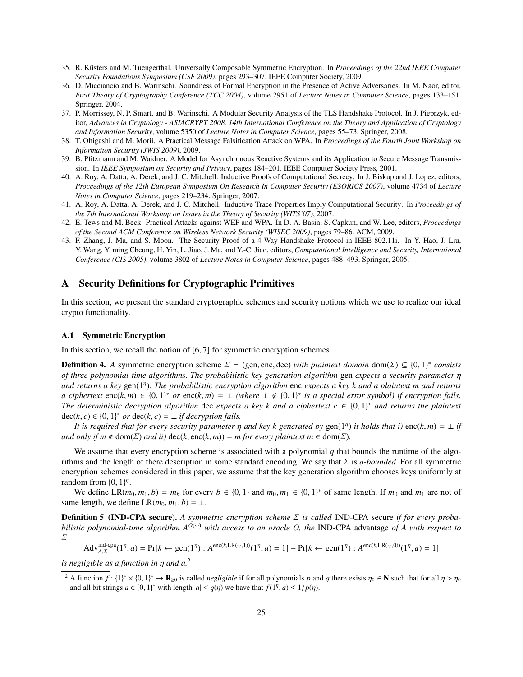- 35. R. Küsters and M. Tuengerthal. Universally Composable Symmetric Encryption. In *Proceedings of the 22nd IEEE Computer Security Foundations Symposium (CSF 2009)*, pages 293–307. IEEE Computer Society, 2009.
- 36. D. Micciancio and B. Warinschi. Soundness of Formal Encryption in the Presence of Active Adversaries. In M. Naor, editor, *First Theory of Cryptography Conference (TCC 2004)*, volume 2951 of *Lecture Notes in Computer Science*, pages 133–151. Springer, 2004.
- 37. P. Morrissey, N. P. Smart, and B. Warinschi. A Modular Security Analysis of the TLS Handshake Protocol. In J. Pieprzyk, editor, *Advances in Cryptology - ASIACRYPT 2008, 14th International Conference on the Theory and Application of Cryptology and Information Security*, volume 5350 of *Lecture Notes in Computer Science*, pages 55–73. Springer, 2008.
- 38. T. Ohigashi and M. Morii. A Practical Message Falsification Attack on WPA. In *Proceedings of the Fourth Joint Workshop on Information Security (JWIS 2009)*, 2009.
- 39. B. Pfitzmann and M. Waidner. A Model for Asynchronous Reactive Systems and its Application to Secure Message Transmission. In *IEEE Symposium on Security and Privacy*, pages 184–201. IEEE Computer Society Press, 2001.
- 40. A. Roy, A. Datta, A. Derek, and J. C. Mitchell. Inductive Proofs of Computational Secrecy. In J. Biskup and J. Lopez, editors, *Proceedings of the 12th European Symposium On Research In Computer Security (ESORICS 2007)*, volume 4734 of *Lecture Notes in Computer Science*, pages 219–234. Springer, 2007.
- 41. A. Roy, A. Datta, A. Derek, and J. C. Mitchell. Inductive Trace Properties Imply Computational Security. In *Proceedings of the 7th International Workshop on Issues in the Theory of Security (WITS'07)*, 2007.
- 42. E. Tews and M. Beck. Practical Attacks against WEP and WPA. In D. A. Basin, S. Capkun, and W. Lee, editors, *Proceedings of the Second ACM Conference on Wireless Network Security (WISEC 2009)*, pages 79–86. ACM, 2009.
- 43. F. Zhang, J. Ma, and S. Moon. The Security Proof of a 4-Way Handshake Protocol in IEEE 802.11i. In Y. Hao, J. Liu, Y. Wang, Y. ming Cheung, H. Yin, L. Jiao, J. Ma, and Y.-C. Jiao, editors, *Computational Intelligence and Security, International Conference (CIS 2005)*, volume 3802 of *Lecture Notes in Computer Science*, pages 488–493. Springer, 2005.

# A Security Definitions for Cryptographic Primitives

In this section, we present the standard cryptographic schemes and security notions which we use to realize our ideal crypto functionality.

### A.1 Symmetric Encryption

In this section, we recall the notion of [6, 7] for symmetric encryption schemes.

**Definition 4.** *A* symmetric encryption scheme  $\Sigma = (\text{gen, enc, dec})$  *with plaintext domain* dom( $\Sigma \subseteq \{0, 1\}^*$  consists of three not promoved time algorithms. The probabilistic key generation algorithm gen expects a security *of three polynomial-time algorithms. The probabilistic key generation algorithm* gen *expects a security parameter* η *and returns a key* gen(1<sup>η</sup> )*. The probabilistic encryption algorithm* enc *expects a key k and a plaintext m and returns a ciphertext* enc(*k*, *m*) ∈ {0, 1}<sup>\*</sup> *or* enc(*k*, *m*) = ⊥ (where ⊥ ∉ {0, 1}<sup>\*</sup> *is a special error symbol) if encryption fails.*<br>The deterministic decryption algorithm dec expects a key k and a ciphertext c ∈ {0, 1 *The deterministic decryption algorithm* dec *expects a key k and a ciphertext c* ∈ {0, 1}<sup>\*</sup> *and returns the plaintext* dec(*k c*) ∈ {0, 1}<sup>\*</sup> *ard ceturns the plaintext* dec( $k, c$ )  $\in$  {0, 1}<sup>\*</sup> *or* dec( $k, c$ ) =  $\perp$  *if decryption fails.*<br>*It is required that for every security parameter n* 

*It is required that for every security parameter*  $\eta$  and key k generated by  $gen(1<sup>n</sup>)$  *it holds that i)*  $enc(k, m) = \pm if$ <br>*i* only if  $m \notin dom(\Sigma)$  and *ii*)  $dec(k, enc(k, m)) = m$  for every plaintext  $m \in dom(\Sigma)$ *and only if m*  $\notin$  dom( $\Sigma$ ) *and ii*) dec(*k*, enc(*k*, *m*)) = *m* for every plaintext *m*  $\in$  dom( $\Sigma$ ).

We assume that every encryption scheme is associated with a polynomial  $q$  that bounds the runtime of the algorithms and the length of there description in some standard encoding. We say that Σ is *q-bounded*. For all symmetric encryption schemes considered in this paper, we assume that the key generation algorithm chooses keys uniformly at random from  $\{0, 1\}^{\eta}$ .<br>We define I R(m)

We define  $LR(m_0, m_1, b) = m_b$  for every  $b \in \{0, 1\}$  and  $m_0, m_1 \in \{0, 1\}^*$  of same length. If  $m_0$  and  $m_1$  are not of the length we define  $\Gamma R(m_0, m_1, b) = 1$ same length, we define  $LR(m_0, m_1, b) = \perp$ .

Definition 5 (IND-CPA secure). *A symmetric encryption scheme* Σ *is called* IND-CPA secure *if for every probabilistic polynomial-time algorithm*  $A^{O(\cdot,\cdot)}$  *with access to an oracle O, the* IND-CPA advantage *of* A *with respect to*  $\sum$ 

$$
Adv_{A,\Sigma}^{\text{ind-cpa}}(1^{\eta}, a) = Pr[k \leftarrow gen(1^{\eta}) : A^{enc(k, LR(\cdot, \cdot, 1))}(1^{\eta}, a) = 1] - Pr[k \leftarrow gen(1^{\eta}) : A^{enc(k, LR(\cdot, \cdot, 0))}(1^{\eta}, a) = 1]
$$

*is negligible as a function in* η *and a.*<sup>2</sup>

<sup>&</sup>lt;sup>2</sup> A function  $f: \{1\}^* \times \{0, 1\}^* \to \mathbf{R}_{\geq 0}$  is called *negligible* if for all polynomials *p* and *q* there exists  $\eta_0 \in \mathbf{N}$  such that for all  $\eta > \eta_0$ <br>and all bit strings  $a \in \{0, 1\}^*$  with length  $|a| \le$ and all bit strings  $a \in \{0, 1\}^*$  with length  $|a| \le q(\eta)$  we have that  $f(1^{\eta}, a) \le 1/p(\eta)$ .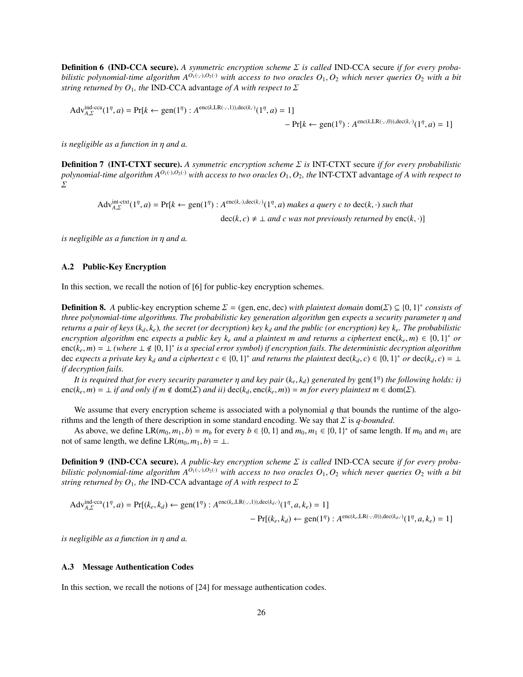Definition 6 (IND-CCA secure). *A symmetric encryption scheme* Σ *is called* IND-CCA secure *if for every probabilistic polynomial-time algorithm*  $A^{O_1(\cdot,\cdot),O_2(\cdot)}$  *with access to two oracles*  $O_1$ ,  $O_2$  *which never queries*  $O_2$  *with a bit string returned by O*<sub>1</sub>*, the* IND-CCA advantage *of A with respect to*  $\Sigma$ 

$$
Adv_{A,\Sigma}^{\text{ind-cca}}(1^{\eta}, a) = Pr[k \leftarrow gen(1^{\eta}) : A^{enc(k,LR(\cdot,\cdot,1)),dec(k,\cdot)}(1^{\eta}, a) = 1]
$$
  
- Pr[k \leftarrow gen(1^{\eta}) : A^{enc(k,LR(\cdot,\cdot,0)),dec(k,\cdot)}(1^{\eta}, a) = 1]

*is negligible as a function in* η *and a.*

Definition 7 (INT-CTXT secure). *A symmetric encryption scheme* Σ *is* INT-CTXT secure *if for every probabilistic polynomial-time algorithm*  $A^{O_1(\cdot),O_2(\cdot)}$  *with access to two oracles*  $O_1$ ,  $O_2$ *, the* INT-CTXT advantage *of A with respect to*  $\Sigma$ 

$$
Adv_{A,\Sigma}^{\text{int-ctxt}(1^{n},a) = Pr[k \leftarrow gen(1^{n}) : A^{\text{enc}(k,\cdot),\text{dec}(k,\cdot)}(1^{n},a) \text{ makes a query } c \text{ to } \text{dec}(k,\cdot) \text{ such that}
$$
  

$$
\text{dec}(k,c) \neq \bot \text{ and } c \text{ was not previously returned by enc}(k,\cdot)]
$$

*is negligible as a function in* η *and a.*

### A.2 Public-Key Encryption

In this section, we recall the notion of [6] for public-key encryption schemes.

**Definition 8.** *A* public-key encryption scheme  $\Sigma = (gen, enc, dec)$  *with plaintext domain* dom( $\Sigma \subseteq \{0, 1\}^*$  consists of three polynomial-time algorithms. The probabilistic key generation algorithm gen expects a security pa *three polynomial-time algorithms. The probabilistic key generation algorithm* gen *expects a security parameter* η *and returns a pair of keys*  $(k_d, k_e)$ *, the secret (or decryption) key*  $k_d$  *and the public (or encryption) key*  $k_e$ *. The probabilistic encryption algorithm* enc *expects a public key k<sub>e</sub> and a plaintext m and returns a ciphertext* enc( $k_e, m$ ) ∈ {0, 1}<sup>\*</sup> *or*  $\rho$  enc(*k m*) = 1 (where 1.4.10, 1)<sup>\*</sup> is a special error symbol) if encryption fails. The enc( $\vec{k}_e$ ,  $m$ ) = ⊥ (where ⊥ ∉ {0, 1}<sup>\*</sup> is a special error symbol) if encryption fails. The deterministic decryption algorithm<br>dec expects a private key k, and a ciphertext  $c \in 10, 11^*$  and returns the plaintext dec dec *expects a private key k<sub><i>d</sub>* and a ciphertext  $c \in \{0, 1\}^*$  and returns the plaintext dec( $k_d$ ,  $c$ )  $\in \{0, 1\}^*$  or dec( $k_d$ ,  $c$ )  $= \bot$ <br>if decryption fails</sub> *if decryption fails.*

*It is required that for every security parameter*  $\eta$  *and key pair* ( $k_e$ ,  $k_d$ ) generated by gen(1<sup>η</sup>) *the following holds: i)*<br>(*k* m) = 1 if and only if m  $\notin$  dom( $\Sigma$ ) and ii) dec( $k$ , enc( $k$  m)) = m for every p  $enc(k_e, m) = \bot$  *if and only if m*  $\notin$  dom( $\Sigma$ ) *and ii*)  $dec(k_d, enc(k_e, m)) = m$  for every plaintext  $m \in dom(\Sigma)$ .

We assume that every encryption scheme is associated with a polynomial *q* that bounds the runtime of the algorithms and the length of there description in some standard encoding. We say that Σ is *q-bounded*.

As above, we define  $LR(m_0, m_1, b) = m_b$  for every  $b \in \{0, 1\}$  and  $m_0, m_1 \in \{0, 1\}^*$  of same length. If  $m_0$  and  $m_1$  are of same length we define  $I$   $R(m_0, m_1, b) = 1$ not of same length, we define  $LR(m_0, m_1, b) = \perp$ .

Definition 9 (IND-CCA secure). *A public-key encryption scheme* Σ *is called* IND-CCA secure *if for every probabilistic polynomial-time algorithm*  $A^{O_1(\cdot,\cdot),O_2(\cdot)}$  *with access to two oracles*  $O_1$ ,  $O_2$  *which never queries*  $O_2$  *with a bit string returned by O*1*, the* IND-CCA advantage *of A with respect to* Σ

$$
Adv_{A,\Sigma}^{\text{ind-cca}}(1^{\eta},a) = Pr[(k_e, k_d) \leftarrow gen(1^{\eta}) : A^{enc(k_e, \text{LR}(\cdot, \cdot, 1)), dec(k_d, \cdot)}(1^{\eta}, a, k_e) = 1]
$$
  
- Pr[(k\_e, k\_d) \leftarrow gen(1^{\eta}) : A^{enc(k\_e, \text{LR}(\cdot, \cdot, 0)), dec(k\_d, \cdot)}(1^{\eta}, a, k\_e) = 1]

*is negligible as a function in* η *and a.*

#### A.3 Message Authentication Codes

In this section, we recall the notions of [24] for message authentication codes.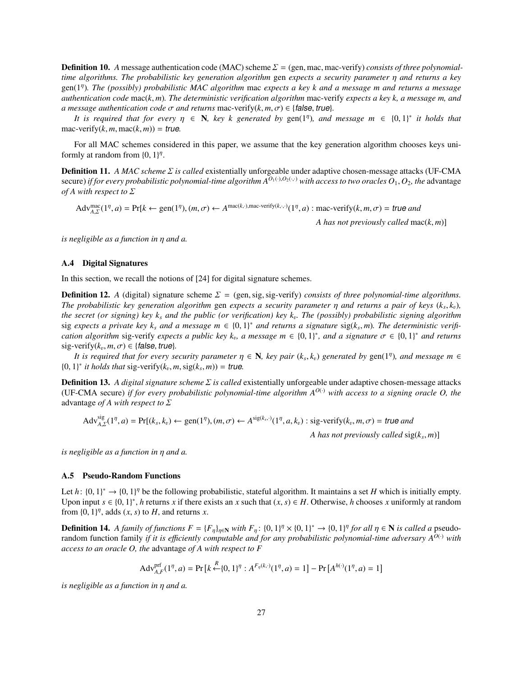**Definition 10.** *A* message authentication code (MAC) scheme  $\Sigma = (gen, mac, mac-verify)$  *consists of three polynomialtime algorithms. The probabilistic key generation algorithm* gen *expects a security parameter* η *and returns a key* gen(1η )*. The (possibly) probabilistic MAC algorithm* mac *expects a key k and a message m and returns a message authentication code* mac(*k*, *<sup>m</sup>*)*. The deterministic verification algorithm* mac-verify *expects a key k, a message m, and a* message authentication code  $\sigma$  and returns mac-verify( $k, m, \sigma$ )  $\in$  {false, true}.

*It is required that for every*  $\eta \in \mathbb{N}$ , key k generated by  $\text{gen}(1^n)$ , and message  $m \in \{0, 1\}^*$  it holds that  $\text{supp}(k, m) = \text{tr}\left(\text{supp}(k, m)\right)$ mac-verify( $k, m, \text{mac}(k, m)$ ) = true.

For all MAC schemes considered in this paper, we assume that the key generation algorithm chooses keys uniformly at random from  $\{0, 1\}^{\eta}$ .

Definition 11. *A MAC scheme* Σ *is called* existentially unforgeable under adaptive chosen-message attacks (UF-CMA secure) *if for every probabilistic polynomial-time algorithm*  $A^{O_1(\cdot),O_2(\cdot,\cdot)}$  *with access to two oracles*  $O_1, O_2$ *, the* advantage *of A with respect to* Σ

 $\text{Adv}_{A,\Sigma}^{\text{mac}}(1^n, a) = \text{Pr}[k \leftarrow \text{gen}(1^n), (m, \sigma) \leftarrow A^{\text{mac}(k, \cdot), \text{mac-verify}(k, \cdot, \cdot)}(1^n, a) : \text{mac-verify}(k, m, \sigma) = \text{true} \text{ and }$ 

*A has not previously called* mac(*k*, *<sup>m</sup>*)]

*is negligible as a function in* η *and a.*

### A.4 Digital Signatures

In this section, we recall the notions of [24] for digital signature schemes.

**Definition 12.** *A* (digital) signature scheme  $\Sigma = (gen, sig, sig-verify)$  *consists of three polynomial-time algorithms. The probabilistic key generation algorithm* gen *expects a security parameter* η *and returns a pair of keys* (*k<sub>s</sub>*,*k<sub>v</sub>*), *the secret* (*or signing*) *key k* and *the public* (*or verification*) *key k* The (possibl *the secret (or signing) key k<sup>s</sup> and the public (or verification) key k*v *. The (possibly) probabilistic signing algorithm* sig *expects a private key k<sub>s</sub> and a message m* ∈ {0, 1}<sup>\*</sup> *and returns a signature* sig(*k<sub>s</sub>, m*). The deterministic verifi-<br>cation algorithm sig-verify expects a public key k<sub>nd</sub> message m ∈ {0, 1}<sup>\*</sup>, and a signatu *cation algorithm* sig-verify *expects a public key k<sub>v</sub>, a message m*  $\in$  {0, 1}<sup>\*</sup>, *and a signature*  $\sigma \in$  {0, 1}<sup>\*</sup> *and returns* sig-verify(k, m,  $\tau$ )  $\in$  {false *true*}  $sig\text{-}verify(k_v, m, \sigma) \in \{\text{false}, \text{true}\}.$ <br>*It is required that for every set* 

*It is required that for every security parameter*  $\eta \in \mathbb{N}$ , key pair  $(k_s, k_v)$  generated by  $\text{gen}(1^n)$ , and message  $m \in \mathbb{N}^*$  it holds that sig-verify  $(k_m, m) = t$  is  $m_v = m$  ${0, 1}^*$  *it holds that* sig-verify( $k_v, m, \text{sig}(k_s, m)$ ) = true.

Definition 13. *A digital signature scheme* Σ *is called* existentially unforgeable under adaptive chosen-message attacks (UF-CMA secure) *if for every probabilistic polynomial-time algorithm*  $A^{O(·)}$  *with access to a signing oracle O, the* advantage *of A with respect to* Σ

$$
Adv_{A,\Sigma}^{\text{sig}}(1^{\eta},a) = \Pr[(k_s, k_v) \leftarrow \text{gen}(1^{\eta}), (m, \sigma) \leftarrow A^{\text{sig}(k_s, \cdot)}(1^{\eta}, a, k_v) : \text{sig-verify}(k_v, m, \sigma) = \text{true} \text{ and }
$$

*A has not previously called* sig(*k<sup>s</sup>* , *<sup>m</sup>*)]

*is negligible as a function in* η *and a.*

#### A.5 Pseudo-Random Functions

Let *h*:  $\{0, 1\}^* \to \{0, 1\}^n$  be the following probabilistic, stateful algorithm. It maintains a set *H* which is initially empty.<br>Upon input  $s \in \{0, 1\}^*$  *h* returns x if there exists an x such that  $(x, s) \in H$  Othe Upon input *s* ∈ {0, 1}<sup>\*</sup>, *h* returns *x* if there exists an *x* such that  $(x, s) \in H$ . Otherwise, *h* chooses *x* uniformly at random from  $(0, 1)$ <sup>*n*</sup> adds  $(x, s)$  to *H* and returns *x* from  $\{0, 1\}^{\eta}$ , adds  $(x, s)$  to  $H$ , and returns  $x$ .

**Definition 14.** A family of functions  $F = \{F_{\eta}\}_{\eta \in \mathbb{N}}$  with  $F_{\eta}$ :  $\{0,1\}^{\eta} \times \{0,1\}^{\eta} \to \{0,1\}^{\eta}$  for all  $\eta \in \mathbb{N}$  is called a pseudo-<br>random function family if it is efficiently computable and for a random function family *if it is e*ffi*ciently computable and for any probabilistic polynomial-time adversary A<sup>O</sup>*(·) *with access to an oracle O, the* advantage *of A with respect to F*

$$
Adv_{A,F}^{\text{prf}}(1^{\eta},a) = \Pr\left[k \stackrel{R}{\leftarrow} \{0,1\}^{\eta}: A^{F_{\eta}(k,\cdot)}(1^{\eta},a) = 1\right] - \Pr\left[A^{h(\cdot)}(1^{\eta},a) = 1\right]
$$

*is negligible as a function in* η *and a.*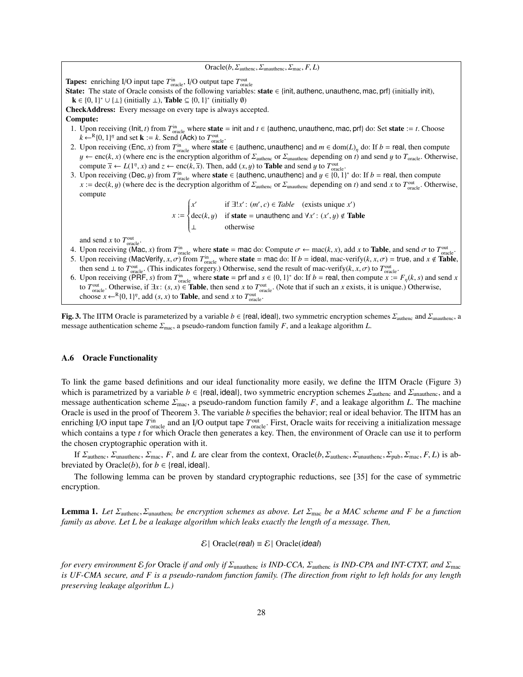$Oracle(b, \Sigma_{\text{authenc}}, \Sigma_{\text{unauthenc}}, \Sigma_{\text{mac}}, F, L)$ 

**Tapes:** enriching I/O input tape  $T_{\text{oracle}}^{\text{in}}$ , I/O output tape  $T_{\text{oracle}}^{\text{out}}$ 

State: The state of Oracle consists of the following variables: state ∈ {init, authenc, unauthenc, mac, prf} (initially init),  $\mathbf{k} \in \{0, 1\}^* \cup \{\perp\}$  (initially  $\perp$ ), **Table**  $\subseteq \{0, 1\}^*$  (initially  $\emptyset$ )<br>heck Address: Every message on every tape is always as

CheckAddress: Every message on every tape is always accepted.

### Compute:

- 1. Upon receiving (Init, *t*) from  $T_{\text{on}}^{\text{in}}$  where **state** = init and *t* ∈ {authenc, unauthenc, mac, prf} do: Set **state** := *t*. Choose  $k \leftarrow {}^{R}I_0$  1V<sub>i</sub> and set  $k := k$  Send (Ack) to  $T_{\text{out}}$  $k \leftarrow^R \{0, 1\}^{\eta}$  and set **k** := *k*. Send (Ack) to  $T_{\text{oracle}}^{\text{out}}$ .<br>Unon receiving (Enc. x) from  $T^{\text{in}}$ , where state
- 2. Upon receiving (Enc, *x*) from  $T_{\text{inc}}^{\text{in}}$  where **state** ∈ {authenc, unauthenc} and  $m \in \text{dom}(L)_{\eta}$  do: If *b* = real, then compute  $\mu \leftarrow \text{enc}(k, x)$  (where enc is the encryption algorithm of  $\Sigma_{\text{inc}}$  or  $\Sigma_{\text{inc$  $y \leftarrow \text{enc}(k, x)$  (where enc is the encryption algorithm of  $\Sigma_{\text{author}}$  or  $\Sigma_{\text{unauthor}}$  depending on *t*) and send *y* to  $T_{\text{oracle}}$ . Otherwise, compute  $\overline{x} \leftarrow L(1^n, x)$  and  $z \leftarrow \text{enc}(k, \overline{x})$ . Then, add  $(x, y)$  to **Table** and send y to  $T_{\text{oracle}}^{\text{out}}$ .<br>Upon receiving (Dec. *u*) from  $T^{\text{in}}$  where state  $\in I_0$  utheres upouthenel and  $u \in I_0$ .
- 3. Upon receiving (Dec, *y*) from  $T_{\text{inc}}^{\text{in}}$  where **state** ∈ {authenc, unauthenc} and  $y \in \{0, 1\}^*$  do: If *b* = real, then compute  $x := \text{dec}(k, y)$  (where dec is the decryption algorithm of  $\Sigma_{\text{inc}}$  or  $\Sigma_{\text{inc}}$   $x := \text{dec}(k, y)$  (where dec is the decryption algorithm of  $\Sigma_{\text{author}}$  or  $\Sigma_{\text{unauthor}}$  depending on *t*) and send *x* to  $T_{\text{oracle}}^{\text{out}}$ . Otherwise, compute

*x* :=  $\int$  $\overline{\mathcal{L}}$  $x'$  if  $\exists !x': (m', c) \in Table$  (exists unique *x'*) dec(*k*, *y*) if **state** = unauthenc and  $\forall x'$  : (*x'*, *y*) ∉ Table<br>
⊥ otherwise

and send *x* to  $T_{\text{oracle}}^{\text{out}}$ .

- 4. Upon receiving (Mac, *x*) from *T*<sup>in</sup> oracle where **state** = mac do: Compute σ ← mac(*k*, *x*), add *x* to **Table**, and send σ to *T*<sub>outle</sub>.<br>5. Upon receiving (MacVerity *x* σ) from *T*<sup>in</sup> where state = mac do: If
- 5. Upon receiving (MacVerify, *x*,  $\sigma$ ) from  $T_{\text{onack}}^{\text{in}}$  where **state** = mac do: If *b* = ideal, mac-verify(*k*, *x*,  $\sigma$ ) = true, and *x*  $\notin$  **Table**, then send 1 to  $T_{\text{out}}^{\text{out}}$  (This indicates forgery) Othe then send  $\perp$  to  $T_{\text{oracle}}^{\text{out}}$ . (This indicates forgery.) Otherwise, send the result of mac-verify(*k*, *x*, *σ*) to  $T_{\text{oracle}}^{\text{out}}$ .<br>Upon receiving (PBE s) from  $T^{\text{in}}$  where **state** – nrf and s  $\in$  {0, 1}\* do: If
- 6. Upon receiving (PRF, *s*) from  $T_{\text{on.}}^{\text{in}}$  where **state** = prf and  $s \in \{0, 1\}^*$  do: If  $b$  = real, then compute  $x := F_{\eta}(k, s)$  and send *x* to  $T_{\text{out}}$  (Note that if such an *x* exists it is unique ) Otherwise to *T*<sup>out</sup> cutter Otherwise, if  $\exists x$ :  $(s, x) \in$  **Table**, then send *x* to *T*<sup>out</sup> oracle. (Note that if such an *x* exists, it is unique.) Otherwise, choose  $x \leftarrow {}^{R}J0$ ,  $1\frac{17}{3}$  and  $(s, x)$  to **Table**, and send *x* choose  $x \leftarrow^{R} \{0, 1\}^{\eta}$ , add  $(s, x)$  to **Table**, and send *x* to  $T_{\text{oracle}}^{\text{out}}$ .

**Fig. 3.** The IITM Oracle is parameterized by a variable  $b \in \{real, ideal\}$ , two symmetric encryption schemes  $\Sigma_{\text{authenc}}$  and  $\Sigma_{\text{unauthenc}}$ , a message authentication scheme  $\Sigma_{\text{mac}}$ , a pseudo-random function family *F*, and a leakage algorithm *L*.

#### A.6 Oracle Functionality

To link the game based definitions and our ideal functionality more easily, we define the IITM Oracle (Figure 3) which is parametrized by a variable  $b \in \{$ real, ideal $\}$ , two symmetric encryption schemes  $\Sigma_{\text{author}}$  and  $\Sigma_{\text{unauthor}}$ , and a message authentication scheme  $\Sigma_{\text{mac}}$ , a pseudo-random function family *F*, and a leakage algorithm *L*. The machine Oracle is used in the proof of Theorem 3. The variable *b* specifies the behavior; real or ideal behavior. The IITM has an enriching I/O input tape  $T_{\text{oracle}}^{\text{in}}$  and an I/O output tape  $T_{\text{oracle}}^{\text{out}}$ . First, Oracle waits for receiving a initialization message which contains a type *t* for which Oracle then generates a key. Then, the environment of Oracle can use it to perform the chosen cryptographic operation with it.

If Σauthenc, Σunauthenc, Σmac, *<sup>F</sup>*, and *<sup>L</sup>* are clear from the context, Oracle(*b*, Σauthenc, Σunauthenc, Σpub, Σmac, *<sup>F</sup>*, *<sup>L</sup>*) is abbreviated by Oracle(*b*), for  $b \in \{real, ideal\}.$ 

The following lemma can be proven by standard cryptographic reductions, see [35] for the case of symmetric encryption.

Lemma 1. *Let* <sup>Σ</sup>authenc, Σunauthenc *be encryption schemes as above. Let* <sup>Σ</sup>mac *be a MAC scheme and F be a function family as above. Let L be a leakage algorithm which leaks exactly the length of a message. Then,*

 $\mathcal{E}$ | Oracle(*real*) =  $\mathcal{E}$ | Oracle(*ideal*)

*for every environment* <sup>E</sup> *for* Oracle *if and only if* <sup>Σ</sup>unauthenc *is IND-CCA,* <sup>Σ</sup>authenc *is IND-CPA and INT-CTXT, and* <sup>Σ</sup>mac *is UF-CMA secure, and F is a pseudo-random function family. (The direction from right to left holds for any length preserving leakage algorithm L.)*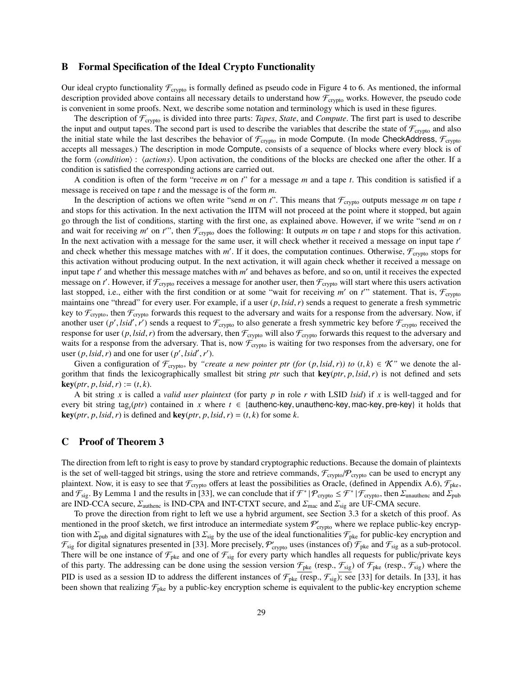## B Formal Specification of the Ideal Crypto Functionality

Our ideal crypto functionality  $\mathcal{F}_{\text{crypto}}$  is formally defined as pseudo code in Figure 4 to 6. As mentioned, the informal description provided above contains all necessary details to understand how  $\mathcal{F}_{\text{crypto}}$  works. However, the pseudo code is convenient in some proofs. Next, we describe some notation and terminology which is used in these figures.

The description of  $\mathcal{F}_{\text{crvpto}}$  is divided into three parts: *Tapes*, *State*, and *Compute*. The first part is used to describe the input and output tapes. The second part is used to describe the variables that describe the state of  $\mathcal{F}_{\text{crypo}}$  and also the initial state while the last describes the behavior of  $\mathcal{F}_{\text{crypto}}$  in mode Compute. (In mode CheckAddress,  $\mathcal{F}_{\text{crypto}}$ accepts all messages.) The description in mode Compute, consists of a sequence of blocks where every block is of the form  $\langle condition \rangle$ :  $\langle actions \rangle$ . Upon activation, the conditions of the blocks are checked one after the other. If a condition is satisfied the corresponding actions are carried out.

A condition is often of the form "receive *m* on *t*" for a message *m* and a tape *t*. This condition is satisfied if a message is received on tape *t* and the message is of the form *m*.

In the description of actions we often write "send  $m$  on  $t$ ". This means that  $\mathcal{F}_{\text{crypto}}$  outputs message  $m$  on tape  $t$ and stops for this activation. In the next activation the IITM will not proceed at the point where it stopped, but again go through the list of conditions, starting with the first one, as explained above. However, if we write "send *m* on *t* and wait for receiving *m'* on *t'*", then  $\mathcal{F}_{\text{crypto}}$  does the following: It outputs *m* on tape *t* and stops for this activation. In the next activation with a message for the same user, it will check whether it received a message on input tape t' and check whether this message matches with  $m'$ . If it does, the computation continues. Otherwise,  $\mathcal{F}_{\text{crypto}}$  stops for this activation without producing output. In the next activation, it will again check whether it received a message on input tape t' and whether this message matches with m' and behaves as before, and so on, until it receives the expected message on *t'*. However, if  $\mathcal{F}_{\text{crypto}}$  receives a message for another user, then  $\mathcal{F}_{\text{crypto}}$  will start where this users activation last stopped, i.e., either with the first condition or at some "wait for receiving  $m'$  on  $t''$  statement. That is,  $\mathcal{F}_{\text{crypto}}$ maintains one "thread" for every user. For example, if a user (*p*, *lsid*,*r*) sends a request to generate a fresh symmetric key to  $\mathcal{F}_{\text{crypto}}$ , then  $\mathcal{F}_{\text{crypto}}$  forwards this request to the adversary and waits for a response from the adversary. Now, if another user (*p'*, *lsid'*, *r'*) sends a request to  $\mathcal{F}_{\text{crypto}}$  to also generate a fresh symmetric key before  $\mathcal{F}_{\text{crypto}}$  received the response for user (*p*, *lsid*, *r*) from the adversary then  $\mathcal{F}_{\text{cyl}}$  response for user  $(p, \text{Isid}, r)$  from the adversary, then  $\mathcal{F}_{\text{crypto}}$  will also  $\mathcal{F}_{\text{crypto}}$  forwards this request to the adversary and waits for a response from the adversary. That is, now  $\mathcal{F}_{\text{crypto}}$  is waiting for two responses from the adversary, one for user  $(p, \text{lsid}, r)$  and one for user  $(p', \text{lsid}', r')$ .<br>Given a configuration of  $\mathcal{F}$  by "creation"

Given a configuration of  $\mathcal{F}_{\text{crypto}}$ , by *"create a new pointer ptr (for*  $(p, \text{Isid}, r)$ *) to*  $(t, k) \in \mathcal{K}$ " we denote the algorithm that finds the lexicographically smallest bit string *ptr* such that key(*ptr*, *<sup>p</sup>*, *lsid*,*r*) is not defined and sets  $key(ptr, p, Isid, r) := (t, k).$ 

A bit string *x* is called a *valid user plaintext* (for party *p* in role *r* with LSID *lsid*) if *x* is well-tagged and for every bit string tag<sub>t</sub>(*ptr*) contained in *x* where  $t \in$  {authenc-key, unauthenc-key, mac-key, pre-key} it holds that  $\text{ker}(n, t)$  is defined and  $\text{ker}(n, t)$  is  $\text{det}(n, t) = (t, t)$  for some  $t$  $key(ptr, p, Isid, r)$  is defined and  $key(ptr, p, Isid, r) = (t, k)$  for some *k*.

# C Proof of Theorem 3

The direction from left to right is easy to prove by standard cryptographic reductions. Because the domain of plaintexts is the set of well-tagged bit strings, using the store and retrieve commands,  $\mathcal{F}_{\text{crypto}}/\mathcal{P}_{\text{crypto}}$  can be used to encrypt any plaintext. Now, it is easy to see that  $\mathcal{F}_{\text{crypto}}$  offers at least the possibilities as Oracle, (defined in Appendix A.6),  $\mathcal{F}_{\text{pke}}$ , and  $\mathcal{F}_{sig}$ . By Lemma 1 and the results in [33], we can conclude that if  $\mathcal{F}^*|\mathcal{P}_{crypt} \leq \mathcal{F}^*|\mathcal{F}_{crypt}$ , then  $\Sigma_{unauthenc}$  and  $\Sigma_{pub}$ <br>are IND-CCA secure  $\Sigma_{c}$ , is IND-CPA and INT-CTXT secure and  $\Sigma_{c}$  and  $\S$ are IND-CCA secure,  $\Sigma_{\text{authenc}}$  is IND-CPA and INT-CTXT secure, and  $\Sigma_{\text{mac}}$  and  $\Sigma_{\text{sig}}$  are UF-CMA secure.

To prove the direction from right to left we use a hybrid argument, see Section 3.3 for a sketch of this proof. As mentioned in the proof sketch, we first introduce an intermediate system  $P'_{\text{crypto}}$  where we replace public-key encryption with  $\Sigma_{\text{pub}}$  and digital signatures with  $\Sigma_{\text{sig}}$  by the use of the ideal functionalities  $\mathcal{F}_{\text{pke}}$  for public-key encryption and  $\mathcal{F}_{sig}$  for digital signatures presented in [33]. More precisely,  $\mathcal{P}_{crypto}$  uses (instances of)  $\mathcal{F}_{pke}$  and  $\mathcal{F}_{sig}$  as a sub-protocol. There will be one instance of  $\mathcal{F}_{\text{pke}}$  and one of  $\mathcal{F}_{\text{sig}}$  for every party which handles all requests for public/private keys of this party. The addressing can be done using the session version  $\mathcal{F}_{\text{pke}}$  (resp.,  $\mathcal{F}_{\text{sig}}$ ) of  $\mathcal{F}_{\text{pke}}$  (resp.,  $\mathcal{F}_{\text{sig}}$ ) where the PID is used as a session ID to address the different instances of  $\mathcal{F}_{\text{pke}}$  (resp.,  $\mathcal{F}_{\text{sig}}$ ); see [33] for details. In [33], it has been shown that realizing  $\mathcal{F}_{\text{pke}}$  by a public-key encryption scheme is equivalent to the public-key encryption scheme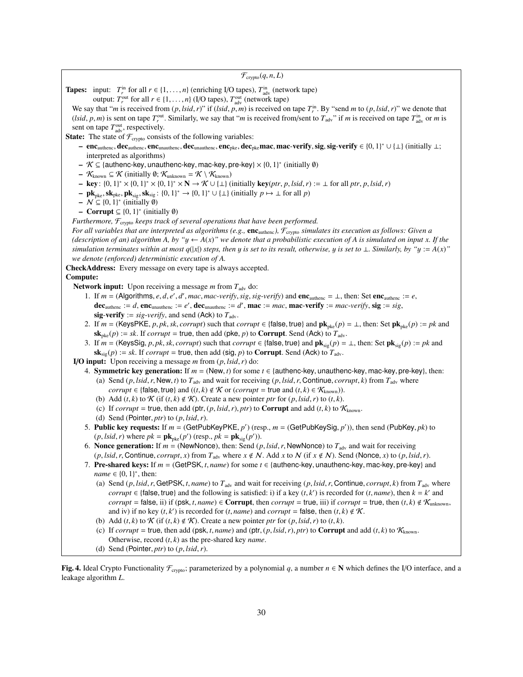| $\mathcal{F}_{\text{crypto}}(q, n, L)$                                                                                                                                                                                                                                                                                                   |  |  |
|------------------------------------------------------------------------------------------------------------------------------------------------------------------------------------------------------------------------------------------------------------------------------------------------------------------------------------------|--|--|
|                                                                                                                                                                                                                                                                                                                                          |  |  |
| <b>Tapes:</b> input: $T_r^{\text{in}}$ for all $r \in \{1, , n\}$ (enriching I/O tapes), $T_{\text{adv}}^{\text{in}}$ (network tape)                                                                                                                                                                                                     |  |  |
| output: $T_r^{\text{out}}$ for all $r \in \{1, , n\}$ (I/O tapes), $T_{\text{adv}}^{\text{out}}$ (network tape)                                                                                                                                                                                                                          |  |  |
| We say that " <i>m</i> is received from $(p, \text{Isid}, r)$ " if $(\text{Isid}, p, m)$ is received on tape $T_r^{\text{in}}$ . By "send <i>m</i> to $(p, \text{Isid}, r)$ " we denote that                                                                                                                                             |  |  |
| ( <i>lsid, p, m</i> ) is sent on tape $T_r^{\text{out}}$ . Similarly, we say that " <i>m</i> is received from/sent to $T_{\text{adv}}$ " if <i>m</i> is received on tape $T_{\text{adv}}^{\text{in}}$ or <i>m</i> is<br>sent on tape $T^{\text{out}}_{\text{adv}}$ , respectively.                                                       |  |  |
|                                                                                                                                                                                                                                                                                                                                          |  |  |
| <b>State:</b> The state of $\mathcal{F}_{\text{crypto}}$ consists of the following variables:<br>- enc <sub>authenc</sub> , dec <sub>authenc</sub> , enc <sub>unauthenc</sub> , dec <sub>unauthenc</sub> , enc <sub>pke</sub> , dec <sub>pke</sub> mac, mac-verify, sig, sig-verify $\in \{0, 1\}^* \cup \{\perp\}$ (initially $\perp$ ; |  |  |
| interpreted as algorithms)                                                                                                                                                                                                                                                                                                               |  |  |
| $\mathcal{K} \subseteq$ {authenc-key, unauthenc-key, mac-key, pre-key} $\times$ {0, 1}* (initially $\emptyset$ )                                                                                                                                                                                                                         |  |  |
| $-$ K <sub>known</sub> $\subseteq \mathcal{K}$ (initially 0; K <sub>unknown</sub> = $\mathcal{K} \setminus \mathcal{K}_{known}$ )                                                                                                                                                                                                        |  |  |
| <b>- key</b> : $\{0,1\}^* \times \{0,1\}^* \times \{0,1\}^* \times N \rightarrow \mathcal{K} \cup \{\perp\}$ (initially key( <i>ptr</i> , <i>p</i> , <i>lsid</i> , <i>r</i> ) := $\perp$ for all <i>ptr</i> , <i>p</i> , <i>lsid</i> , <i>r</i> )                                                                                        |  |  |
| - $\mathbf{pk}_{\text{pke}}, \mathbf{sk}_{\text{pke}}, \mathbf{pk}_{\text{sig}}, \mathbf{sk}_{\text{sig}}$ : $\{0, 1\}^* \rightarrow \{0, 1\}^* \cup \{\perp\}$ (initially $p \mapsto \perp$ for all $p$ )                                                                                                                               |  |  |
| $\mathcal{N} \subseteq \{0, 1\}^*$ (initially $\emptyset$ )                                                                                                                                                                                                                                                                              |  |  |
| - Corrupt $\subseteq$ {0, 1} <sup>*</sup> (initially $\emptyset$ )                                                                                                                                                                                                                                                                       |  |  |
| Furthermore, $\mathcal{F}_{\text{crypto}}$ keeps track of several operations that have been performed.                                                                                                                                                                                                                                   |  |  |
| For all variables that are interpreted as algorithms (e.g., $enc_{\text{author}}$ ), $\mathcal{F}_{\text{crypto}}$ simulates its execution as follows: Given a                                                                                                                                                                           |  |  |
| (description of an) algorithm A, by " $y \leftarrow A(x)$ " we denote that a probabilistic execution of A is simulated on input x. If the                                                                                                                                                                                                |  |  |
| simulation terminates within at most $q( x )$ steps, then y is set to its result, otherwise, y is set to $\bot$ . Similarly, by "y := A(x)"                                                                                                                                                                                              |  |  |
| we denote (enforced) deterministic execution of A.                                                                                                                                                                                                                                                                                       |  |  |
| CheckAddress: Every message on every tape is always accepted.                                                                                                                                                                                                                                                                            |  |  |
| Compute:                                                                                                                                                                                                                                                                                                                                 |  |  |
| <b>Network input:</b> Upon receiving a message <i>m</i> from $T_{\text{adv}}$ do:                                                                                                                                                                                                                                                        |  |  |
| 1. If $m = (Algorithms, e, d, e', d', mac, mac-verify, sig, sig-verify)$ and $enc_{author} = \bot$ , then: Set enc <sub>authenc</sub> := e,                                                                                                                                                                                              |  |  |
| <b>dec</b> <sub>authenc</sub> := d, enc <sub>unauthenc</sub> := e', dec <sub>unauthenc</sub> := d', mac := mac, mac-verify := mac-verify, sig := sig,                                                                                                                                                                                    |  |  |
| sig-verify := sig-verify, and send (Ack) to $T_{\text{adv}}$ .                                                                                                                                                                                                                                                                           |  |  |
| 2. If $m = (KeysPKE, p, pk, sk, corrupt)$ such that <i>corrupt</i> $\in \{\text{false}, \text{true}\}$ and $pk_{\text{oke}}(p) = \bot$ , then: Set $pk_{\text{oke}}(p) := pk$ and<br>$\mathbf{sk}_{\mathrm{pke}}(p) := sk$ . If <i>corrupt</i> = true, then add (pke, p) to <b>Corrupt</b> . Send (Ack) to $T_{\mathrm{adv}}$ .          |  |  |
| 3. If $m =$ (KeysSig, p, pk, sk, corrupt) such that corrupt $\in$ {false, true} and $\mathbf{pk}_{\text{sig}}(p) = \perp$ , then: Set $\mathbf{pk}_{\text{sig}}(p) := pk$ and                                                                                                                                                            |  |  |
| $\mathbf{sk}_{\text{sig}}(p) := sk$ . If <i>corrupt</i> = true, then add (sig, p) to <b>Corrupt</b> . Send (Ack) to $T_{\text{adv}}$ .                                                                                                                                                                                                   |  |  |
| I/O input: Upon receiving a message $m$ from $(p, Isid, r)$ do:                                                                                                                                                                                                                                                                          |  |  |
| 4. Symmetric key generation: If $m = (New, t)$ for some $t \in \{$ authenc-key, unauthenc-key, mac-key, pre-key}, then:                                                                                                                                                                                                                  |  |  |
| (a) Send (p, lsid, r, New, t) to $T_{\text{adv}}$ and wait for receiving (p, lsid, r, Continue, corrupt, k) from $T_{\text{adv}}$ where                                                                                                                                                                                                  |  |  |
| <i>corrupt</i> $\in$ {false, true} and $((t, k) \notin \mathcal{K}$ or $(corrupt = true$ and $(t, k) \in \mathcal{K}_{known}$ )).                                                                                                                                                                                                        |  |  |
| (b) Add $(t, k)$ to $K$ (if $(t, k) \notin K$ ). Create a new pointer ptr for $(p, Isid, r)$ to $(t, k)$ .                                                                                                                                                                                                                               |  |  |
| (c) If <i>corrupt</i> = true, then add (ptr, $(p, Isid, r)$ , ptr) to <b>Corrupt</b> and add $(t, k)$ to $\mathcal{K}_{\text{known}}$ .                                                                                                                                                                                                  |  |  |
| (d) Send (Pointer, ptr) to $(p, Isid, r)$ .                                                                                                                                                                                                                                                                                              |  |  |
| 5. Public key requests: If $m = (GetPubKeyPKE, p')$ (resp., $m = (GetPubKeySig, p'))$ , then send (PubKey, pk) to                                                                                                                                                                                                                        |  |  |
| $(p, lsid, r)$ where $pk = \mathbf{pk}_{\text{pke}}(p')$ (resp., $pk = \mathbf{pk}_{\text{sig}}(p')$ ).                                                                                                                                                                                                                                  |  |  |
| 6. Nonce generation: If $m =$ (NewNonce), then: Send (p, lsid, r, NewNonce) to $T_{\text{adv}}$ and wait for receiving                                                                                                                                                                                                                   |  |  |
| $(p, Isid, r, Continue, corrupt, x)$ from $T_{adv}$ where $x \notin N$ . Add x to N (if $x \notin N$ ). Send (Nonce, x) to $(p, Isid, r)$ .                                                                                                                                                                                              |  |  |
| 7. Pre-shared keys: If $m = (GetPSK, t, name)$ for some $t \in \{authenc-key, unauthenc-key, mac-key, pre-key\}$ and                                                                                                                                                                                                                     |  |  |
| <i>name</i> $\in \{0, 1\}^*$ , then:                                                                                                                                                                                                                                                                                                     |  |  |
| (a) Send (p, lsid, r, GetPSK, t, name) to $T_{\text{adv}}$ and wait for receiving (p, lsid, r, Continue, corrupt, k) from $T_{\text{adv}}$ where                                                                                                                                                                                         |  |  |
| corrupt $\in$ {false, true} and the following is satisfied: i) if a key $(t, k')$ is recorded for $(t, name)$ , then $k = k'$ and                                                                                                                                                                                                        |  |  |
| corrupt = false, ii) if (psk, t, name) $\in$ Corrupt, then corrupt = true, iii) if corrupt = true, then $(t, k) \notin \mathcal{K}_{unknown}$ ,                                                                                                                                                                                          |  |  |
| and iv) if no key $(t, k')$ is recorded for $(t, name)$ and $corrupt = false$ , then $(t, k) \notin K$ .                                                                                                                                                                                                                                 |  |  |
| (b) Add $(t, k)$ to $K$ (if $(t, k) \notin K$ ). Create a new pointer ptr for $(p, \text{lsid}, r)$ to $(t, k)$ .<br>(c) If corrupt = true, then add (psk, t, name) and (ptr, $(p, Isid, r)$ , ptr) to <b>Corrupt</b> and add $(t, k)$ to $K_{known}$ .                                                                                  |  |  |
| Otherwise, record $(t, k)$ as the pre-shared key <i>name</i> .                                                                                                                                                                                                                                                                           |  |  |
| (d) Send (Pointer, ptr) to $(p, Isid, r)$ .                                                                                                                                                                                                                                                                                              |  |  |
|                                                                                                                                                                                                                                                                                                                                          |  |  |

Fig. 4. Ideal Crypto Functionality  $\mathcal{F}_{\text{crypo}}$ ; parameterized by a polynomial *q*, a number  $n \in \mathbb{N}$  which defines the I/O interface, and a leakage algorithm *L*.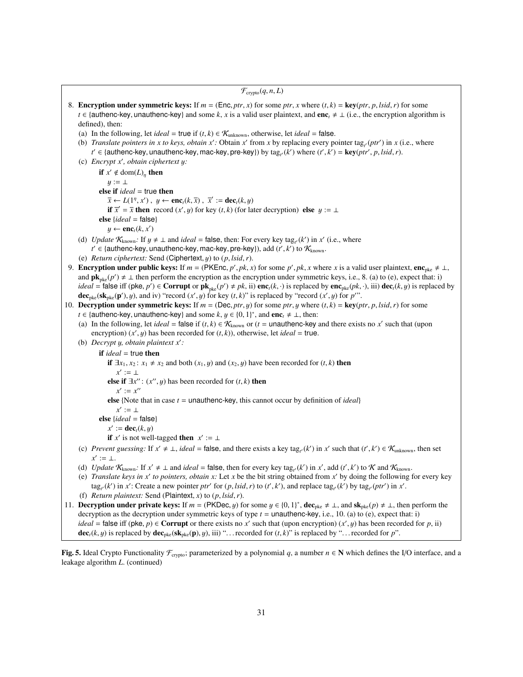$\mathcal{F}_{\text{crvpto}}(q, n, L)$ 8. **Encryption under symmetric keys:** If  $m = (\text{Enc}, ptr, x)$  for some  $ptr, x$  where  $(t, k) = \text{key}(ptr, p, \text{lsid}, r)$  for some *t* ∈ {authenc-key, unauthenc-key} and some *k*, *x* is a valid user plaintext, and enc<sub>*t*</sub>  $\neq$  ⊥ (i.e., the encryption algorithm is defined), then: (a) In the following, let *ideal* = true if  $(t, k) \in \mathcal{K}_{unknown}$ , otherwise, let *ideal* = false. (b) *Translate pointers in x to keys, obtain*  $x'$ *: Obtain*  $x'$  *from x by replacing every pointer tag<sub>t</sub> (ptr') in x (i.e., where*  $t' \in$  {authenc-key, unauthenc-key, mac-key, pre-key}) by  $\text{tag}_{t'}(k')$  where  $(t', k') = \text{key}(ptr', p, \text{lsid}, r)$ .<br>Fragvat x', obtain cinhertext u: (c) *Encrypt x'*, *obtain ciphertext y:* if  $x' \notin \text{dom}(L)_{\eta}$  then  $y := \perp$ else if *ideal* = true then  $\overline{x} \leftarrow L(1^n, x'), y \leftarrow \mathbf{enc}_t(k, \overline{x}), \overline{x}' := \mathbf{dec}_t(k, y)$ <br>
if  $\overline{x}' = \overline{x}$  then record  $(x', y)$  for lev  $(t, k)$  (for la if  $\overline{x}' = \overline{x}$  then record  $(x', y)$  for key  $(t, k)$  (for later decryption) else  $y := \bot$ <br>e lideal – falsel else {*ideal* = false}  $y \leftarrow \mathbf{enc}_t(k, x')$ (d) *Update*  $K_{known}$ : If  $y \neq \bot$  and *ideal* = false, then: For every key tag<sub>t</sub><sup>*(k')* in *x'* (i.e., where  $t' \in$  lauthenc-key upsuthenc-key mac-key pre-key) add  $(t' \, k')$  to  $\mathcal{K}$ </sup> *t'* ∈ {authenc-key, unauthenc-key, mac-key, pre-key}), add (*t'*, *k'*) to  $\mathcal{K}_{\text{known}}$ .<br>*Return cinhertext:* Send (Cinhertext *u*) to (*n lsid r*) (e) *Return ciphertext:* Send (Ciphertext, y) to (*p*, *lsid*,*r*). 9. **Encryption under public keys:** If  $m = (PKEnc, p', pk, x)$  for some  $p', pk, x$  where *x* is a valid user plaintext, enc<sub>pke</sub>  $\neq \bot$ , and  $\mathbf{n}\mathbf{k}$  (a)  $\neq \bot$ , then perform the encryption as the encryption under symmetric keys and  $\mathbf{pk}_{\text{pke}}(p') \neq \bot$  then perform the encryption as the encryption under symmetric keys, i.e., 8. (a) to (e), expect that: i) *ideal* = false iff (pke, *p'*)  $\in$  **Corrupt** or  $\mathbf{pk}_{\text{pke}}(p') \neq pk$ , ii)  $\mathbf{enc}_t(k, \cdot)$  is replaced by  $\mathbf{enc}_{\text{pke}}(pk, \cdot)$ , iii)  $\mathbf{dec}_t(k, y)$  is replaced by  $\mathbf{dec}_t$ ,  $(\mathbf{sk}_t, (n') | u)$  and iv) "record  $(r' | u)$  for  $k$ dec<sub>pke</sub>(sk<sub>pke</sub>(p'), y), and iv) "record  $(x', y)$  for key  $(t, k)$ " is replaced by "record  $(x', y)$  for *p*".<br>Decryption under symmetric keys: If  $m = (\text{Dec } ntr, u)$  for some *ntr, u* where  $(t, k) = \text{ker}(n)$ 10. **Decryption under symmetric keys:** If  $m = (Dec, ptr, y)$  for some  $ptr, y$  where  $(t, k) = \text{key}(ptr, p, \text{Isid}, r)$  for some *t* ∈ {authenc-key, unauthenc-key} and some  $k, y \in \{0, 1\}^*$ , and enc<sub>t</sub>  $\neq \bot$ , then:<br>(a) In the following let *ideal* – folse if  $(t, k) \in K$ , or  $(t - \text{unauthence-keV})$ (a) In the following, let *ideal* = false if  $(t, k) \in K_{known}$  or  $(t = \text{unauthorc-key}$  and there exists no *x'* such that (upon encryption)  $(x, y)$  has been recorded for  $(t, k)$ ) otherwise, let *ideal* = true encryption)  $(x', y)$  has been recorded for  $(t, k)$ , otherwise, let *ideal* = true.<br>Decrypt u obtain plaintext x': (b) *Decrypt y, obtain plaintext*  $x'$ *:* if *ideal* = true then if  $\exists x_1, x_2 : x_1 \neq x_2$  and both  $(x_1, y)$  and  $(x_2, y)$  have been recorded for  $(t, k)$  then  $x' := \perp$ **else if** ∃*x*": (*x*", *y*) has been recorded for (*t*, *k*) **then**  $x' := x''$  $x' := x''$ else {Note that in case  $t =$  unauthenc-key, this cannot occur by definition of *ideal*}  $x' := \perp$ else {*ideal* = false}  $x' := \mathbf{dec}_t(k, y)$ <br>
if  $x'$  is not well if *x*' is not well-tagged then  $x' := \perp$ (c) *Prevent guessing*: If  $x' \neq \bot$ , *ideal* = false, and there exists a key tag<sub>t</sub><sup>(k')</sup> in  $x'$  such that  $(t', k') \in \mathcal{K}_{unknown}$ , then set  $x' := \perp$ . (d) *Update*  $K_{known}$ : If  $x' \neq \bot$  and *ideal* = false, then for every key tag<sub>t</sub><sup>(k)</sup> in x', add (t', k') to K and  $K_{known}$ .<br>(e) *Translate keys in x'* to pointers, obtain x: Let x be the bit string obtained from x' by doin (e) *Translate keys in*  $x'$  *to pointers, obtain*  $x$ *:* Let  $x$  be the bit string obtained from  $x'$  by doing the following for every key tag<sub>t</sub> (k') in x': Create a new pointer ptr' for  $(p, Isid, r)$  to  $(t', k')$ , and replace tag<sub>t</sub> (k') by tag<sub>t</sub> (ptr') in x'. (f) *Return plaintext:* Send (Plaintext, *<sup>x</sup>*) to (*p*, *lsid*,*r*). 11. **Decryption under private keys:** If  $m = (PKDec, y)$  for some  $y \in \{0, 1\}^*$ ,  $\text{dec}_{\text{pke}} \neq \bot$ , and  $\text{sk}_{\text{pke}}(p) \neq \bot$ , then perform the decryption as the decryption under symmetric keys of type  $t =$  unauthenc-key  $i \$ decryption as the decryption under symmetric keys of type *t* = unauthenc-key, i.e., 10. (a) to (e), expect that: i) *ideal* = **false** iff (pke, *p*) ∈ Corrupt or there exists no *x'* such that (upon encryption)  $(x', y)$  has been recorded for *p*, ii) dec  $(k, y)$  is replaced by dec  $(k, y)$  is replaced by dec  $(k, y)$  is replaced by decorded f

Fig. 5. Ideal Crypto Functionality  $\mathcal{F}_{\text{crypto}}$ ; parameterized by a polynomial *q*, a number  $n \in \mathbb{N}$  which defines the I/O interface, and a leakage algorithm *L*. (continued)

 $dec_i(k, y)$  is replaced by  $dec_{\text{pke}}(sk_{\text{pke}}(p), y)$ , iii) "... recorded for  $(t, k)$ " is replaced by "... recorded for *p*".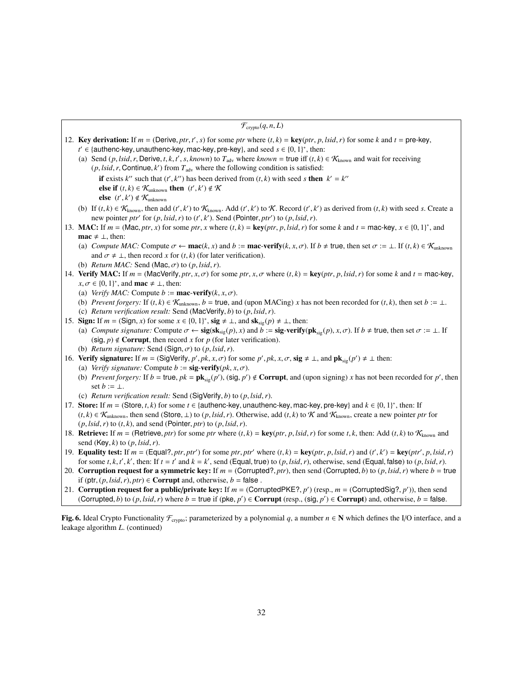$\mathcal{F}_{\text{crvpto}}(q, n, L)$ 12. **Key derivation:** If  $m = (\text{Derive}, pr, t', s)$  for some *ptr* where  $(t, k) = \text{key}(ptr, p, \text{lsid}, r)$  for some *k* and  $t = \text{pre-key}, t' \in \text{full}$  intencakey unauthencakey mackey pre-key, and seed  $s \in \{0, 1\}^*$  then: *t*  $t' \in$  {authenc-key, unauthenc-key, mac-key, pre-key}, and seed  $s \in$  {0, 1}<sup>\*</sup>, then:<br>
(a) Send (n lsid r Derive t k t' s known) to *T* , where known = true iff (t k) (a) Send (*p*, *lsid*, *r*, Derive, *t*, *k*, *t'*, *s*, *known*) to  $T_{adv}$  where *known* = true iff (*t*, *k*)  $\in$   $K_{known}$  and wait for receiving (*n*, *lsid*, *r*, Continue *k'*) from  $T_{v}$ , where the following conditi  $(p, \textit{lsid}, r, \text{Continue}, k')$  from  $T_{\text{adv}}$  where the following condition is satisfied: if exists *k*<sup>*u*</sup> such that  $(t', k'')$  has been derived from  $(t, k)$  with seed *s* then  $k' = k''$ <br>else if  $(t, k) \in \mathcal{K}$ , then  $(t', k') \notin \mathcal{K}$ **else if**  $(t, k)$  ∈  $\mathcal{K}_{unknown}$  **then**  $(t', k') \notin \mathcal{K}$ <br> **else**  $(t', k') \notin \mathcal{K}$ else  $(t', k') \notin \mathcal{K}_{unknown}$ (b) If  $(t, k) \in K_{\text{known}}$ , then add  $(t', k')$  to  $K_{\text{known}}$ . Add  $(t', k')$  to  $K$ . Record  $(t', k')$  as derived from  $(t, k)$  with seed *s*. Create a new pointer *ptr'* for  $(p, \text{Isid}, r)$  to  $(t', k')$ . Send (Pointer, *ptr'*) to  $(p, \text{Isid}, r)$ .<br>C: If  $m = (Map \text{ or } k)$  for some *ptr*<sub>x</sub> where  $(t, k) = \text{kav}(ptr \text{ or } \text{Isid}, r)$  for 13. MAC: If  $m = (Mac, prr, x)$  for some ptr, x where  $(t, k) = \text{key}(ptr, p, Isid, r)$  for some k and  $t = \text{mac-key}, x \in \{0, 1\}^*$ , and  $\text{mac} \neq \pm \text{then}$ : **mac**  $\neq$  ⊥, then: (a) *Compute MAC:* Compute  $\sigma \leftarrow \textbf{mac}(k, x)$  and  $b := \textbf{mac-verify}(k, x, \sigma)$ . If  $b \neq \textbf{true}$ , then set  $\sigma := \bot$ . If  $(t, k) \in \mathcal{K}_{\text{unknown}}$ and  $\sigma \neq \bot$ , then record *x* for  $(t, k)$  (for later verification). (b) *Return MAC:* Send (Mac,  $\sigma$ ) to  $(p, \text{lsid}, r)$ . 14. Verify MAC: If  $m = (MacVerify, *ptr*, *x*, *σ*)$  for some  $ptr$ ,  $x$ ,  $\sigma$  where  $(t, k) = \text{key}(ptr, p, \text{Isid}, r)$  for some  $k$  and  $t = \text{mac-key}$ ,  $x, \sigma \in \{0, 1\}^*$ , and **mac**  $\neq \bot$ , then:<br>(a) *Verify MAC*: Compute  $h := m$ (a) *Verify MAC:* Compute  $b := \text{mac-verify}(k, x, \sigma)$ . (b) *Prevent forgery:* If  $(t, k) \in \mathcal{K}_{unknown}$ ,  $b = \text{true}$ , and (upon MACing) *x* has not been recorded for  $(t, k)$ , then set  $b := \bot$ . (c) *Return verification result:* Send (MacVerify, *<sup>b</sup>*) to (*p*, *lsid*,*r*). 15. **Sign:** If  $m = (\text{Sign}, x)$  for some  $x \in \{0, 1\}^*$ ,  $\text{sig } \neq \bot$ , and  $\text{sk}_{\text{sig}}(p) \neq \bot$ , then:<br>(a) Compute signature: Compute  $\sigma \leftarrow \text{sig}(\text{sk} \cup (p), x)$  and  $b := \text{sig} \cdot \text{verify}(p)$ (a) *Compute signature:* Compute  $\sigma \leftarrow \text{sig}(\text{sk}_{\text{sig}}(p), x)$  and  $b := \text{sig-verify}(\text{pk}_{\text{sig}}(p), x, \sigma)$ . If  $b \neq \text{true}$ , then set  $\sigma := \bot$ . If  $(\text{sig}, p) \notin \text{Corrupt},$  then record *x* for *p* (for later verification). (b) *Return signature:* Send (Sign,  $\sigma$ ) to (p, *lsid, r*). 16. Verify signature: If  $m = (\text{SigVerify}, p', pk, x, \sigma)$  for some  $p', pk, x, \sigma$ , sig  $\neq \bot$ , and  $\mathbf{pk}_{sig}(p') \neq \bot$  then:<br>(a) *Verify signature:* Compute  $b := \text{sig\_verify}(pk, x, \sigma)$ (a) *Verify signature:* Compute  $b := \text{sig-verify}(pk, x, \sigma)$ . (b) *Prevent forgery:* If  $b = \text{true}$ ,  $pk = \text{pk}_{sig}(p')$ , (sig,  $p' \notin \text{Corrupt}$ , and (upon signing) *x* has not been recorded for  $p'$ , then set  $b := 1$ set  $b := \perp$ . (c) *Return verification result:* Send (SigVerify, *<sup>b</sup>*) to (*p*, *lsid*,*r*). 17. Store: If  $m = (\text{Store}, t, k)$  for some  $t \in \{\text{authenc-key}, \text{unauthenc-key}, \text{mac-key}, \text{pre-key}\}$  and  $k \in \{0, 1\}^*$ , then: If  $(t, k) \in K$ , then send (Store, 1) to  $(n, list, r)$ . Otherwise, add  $(t, k)$  to  $K$  and  $K$ , create a new pointer n  $(t, k)$  ∈  $\mathcal{K}_{unknown}$ , then send (Store, ⊥) to  $(p, \text{Isid}, r)$ . Otherwise, add  $(t, k)$  to  $\mathcal{K}$  and  $\mathcal{K}_{known}$ , create a new pointer *ptr* for  $(p, \text{lsid}, r)$  to  $(t, k)$ , and send (Pointer, *ptr*) to  $(p, \text{lsid}, r)$ . 18. Retrieve: If  $m = (Retrieve, pr)$  for some *ptr* where  $(t, k) = \text{key}(ptr, p, Isid, r)$  for some  $t, k$ , then: Add  $(t, k)$  to  $\mathcal{K}_{known}$  and send (Key, *<sup>k</sup>*) to (*p*, *lsid*,*r*). 19. **Equality test:** If  $m = (\text{Equal?,ptr,ptr'})$  for some ptr, ptr' where  $(t, k) = \text{key(pr, p, lsid, r)}$  and  $(t', k') = \text{key(pt', p, lsid, r)}$ <br>for some t k t' k' then: If  $t = t'$  and  $k = k'$  send (Equal true) to  $(n, lsid, r)$  otherwise send (Equal false) to  $(n,$ for some t, k, t', k', then: If  $t = t'$  and  $k = k'$ , send (Equal, true) to  $(p, Isid, r)$ , otherwise, send (Equal, false) to  $(p, Isid, r)$ .<br>Corruption request for a symmetric key: If  $m = (Corruncted 2, nt)$ , then send (Corrupted b) to  $(n, Isid,$ 20. Corruption request for a symmetric key: If  $m =$  (Corrupted?, *ptr*), then send (Corrupted, *b*) to  $(p, \text{Isid}, r)$  where  $b =$  true if (ptr,  $(p, \text{lsid}, r)$ ,  $ptr$ )  $\in$  **Corrupt** and, otherwise,  $b = \text{false}$ . 21. **Corruption request for a public/private key:** If  $m = (\text{CorruptedPKE}^2, p')$  (resp.,  $m = (\text{CorruptedSig}^2, p')$ ), then send (Corrupted b) to  $(n, \text{Isid}, r)$  where  $b = \text{true}$  if  $(n \text{ke } n') \in \text{Corrupt}$  (resp. (sig.  $n'$ )  $\in \text{Corrupt}$ ) and oth (Corrupted, *b*) to  $(p, \text{lsid}, r)$  where  $b = \text{true}$  if  $(\text{pke}, p') \in \text{Corrupt}$  (resp.,  $(\text{sig}, p') \in \text{Corrupt}$ ) and, otherwise,  $b = \text{false}$ .

Fig. 6. Ideal Crypto Functionality  $\mathcal{F}_{\text{c/veto}}$ ; parameterized by a polynomial *q*, a number  $n \in \mathbb{N}$  which defines the I/O interface, and a leakage algorithm *L*. (continued)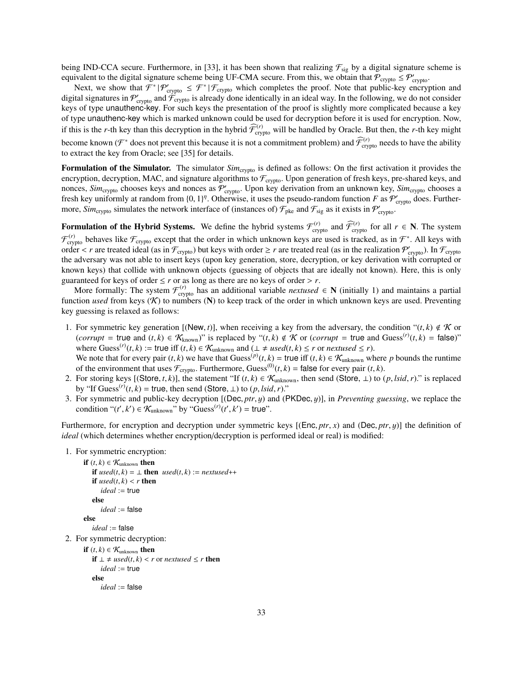being IND-CCA secure. Furthermore, in [33], it has been shown that realizing  $\mathcal{F}_{sig}$  by a digital signature scheme is equivalent to the digital signature scheme being UF-CMA secure. From this, we obtain that  $\mathcal{P}_{\text{crypto}} \leq \mathcal{P}_{\text{crypto}}'$ 

Next, we show that  $\mathcal{F}^* | \mathcal{P}_{\text{cryptography}} \leq \mathcal{F}^* | \mathcal{F}_{\text{cryptography}}$  which completes the proof. Note that public-key encryption and digital signatures in  $\mathcal{P}_{\text{cryptography}}'$  and  $\mathcal{F}_{\text{cryptography}}'$  is already done identically in an ideal way. In the following, we do not consider keys of type unauthenc-key. For such keys the presentation of the proof is slightly more complicated because a key of type unauthenc-key which is marked unknown could be used for decryption before it is used for encryption. Now, if this is the *r*-th key than this decryption in the hybrid  $\widehat{\mathcal{F}}_{\text{crypto}}^{(r)}$  will be handled by Oracle. But then, the *r*-th key might become known ( $\mathcal{F}^*$  does not prevent this because it is not a commitment problem) and  $\widehat{\mathcal{F}}_{\text{crypto}}^{(r)}$  needs to have the ability to extract the key from Oracle; see [35] for details.

Formulation of the Simulator. The simulator *Sim<sub>crypto</sub>* is defined as follows: On the first activation it provides the encryption, decryption, MAC, and signature algorithms to  $\mathcal{F}_{\text{crypto}}$ . Upon generation of fresh keys, pre-shared keys, and nonces,  $Sim_{\text{crypto}}$  chooses keys and nonces as  $P'_{\text{crypto}}$ . Upon key derivation from an unknown key,  $Sim_{\text{crypto}}$  chooses a fresh key uniformly at random from  $\{0, 1\}^n$ . Otherwise, it uses the pseudo-random function *F* as  $\mathcal{P}'_{\text{crypto}}$  does. Further-<br>more *Sim* simulates the network interface of (instances of)  $\mathcal{F}_1$ , and  $\mathcal{F}_2$  as more, *Sim*<sub>crypto</sub> simulates the network interface of (instances of)  $\mathcal{F}_{\text{pke}}$  and  $\mathcal{F}_{\text{sig}}$  as it exists in  $\mathcal{P}_{\text{crypto}}'$ .

Formulation of the Hybrid Systems. We define the hybrid systems  $\mathcal{F}_{\text{crypto}}^{(r)}$  and  $\widehat{\mathcal{F}}_{\text{crypto}}^{(r)}$  for all  $r \in \mathbb{N}$ . The system  $\mathcal{F}^{(r)}_{\text{crypto}}$  behaves like  $\mathcal{F}_{\text{crypto}}$  except that the order in which unknown keys are used is tracked, as in  $\mathcal{F}^*$ . All keys with order  $\lt r$  are treated ideal (as in  $\mathcal{F}_{\text{crypto}}$ ) but keys with order  $\geq r$  are treated real (as in the realization  $\mathcal{P}_{\text{crypto}}'$ ). In  $\mathcal{F}_{\text{crypto}}$ <br>the adversary was not able to insert keys (upon key generation, s the adversary was not able to insert keys (upon key generation, store, decryption, or key derivation with corrupted or known keys) that collide with unknown objects (guessing of objects that are ideally not known). Here, this is only guaranteed for keys of order  $\leq r$  or as long as there are no keys of order  $> r$ .

More formally: The system  $\mathcal{F}^{(r)}_{\text{crypto}}$  has an additional variable *nextused*  $\in N$  (initially 1) and maintains a partial function *used* from keys  $(K)$  to numbers  $(N)$  to keep track of the order in which unknown keys are used. Preventing key guessing is relaxed as follows:

- 1. For symmetric key generation [(New, *t*)], when receiving a key from the adversary, the condition " $(t, k) \notin K$  or (*corrupt* = true and  $(t, k) \in \mathcal{K}_{\text{known}}$ )" is replaced by " $(t, k) \notin \mathcal{K}$  or (*corrupt* = true and Guess<sup>(*r*)</sup> $(t, k)$  = false)"<br>where Guess<sup>(*r*)</sup> $(t, k)$  :- true iff  $(t, k) \in \mathcal{K}$  and  $(1 + \text{neg}(t, k) \in \mathcal{K}$  or partused where Guess<sup>(*r*)</sup>(*t*, *k*) := true iff (*t*, *k*) ∈  $K_{unknown}$  and ( $\perp \neq used(t, k) \leq r$  or *nextused*  $\leq r$ ).<br>We note that for every pair (*t k*) we have that Guess<sup>(*p*)</sup>(*t k*) – true iff (*t k*) ∈  $K$  , when We note that for every pair  $(t, k)$  we have that Guess<sup>(*p*)</sup> $(t, k)$  = true iff  $(t, k) \in \mathcal{K}_{\text{unknown}}$  where *p* bounds the runtime of the environment that uses  $\mathcal{F}_{\text{max}}$ . Furthermore Guess<sup>(0)</sup> $(t, k)$  = false for every pai
- of the environment that uses  $\mathcal{F}_{\text{crypto}}$ . Furthermore, Guess<sup>(0)</sup>(*t*, *k*) = false for every pair (*t*, *k*). 2. For storing keys [(Store, *t*, *k*)], the statement "If  $(t, k) \in \mathcal{K}_{unknown}$ , then send (Store,  $\perp$ ) to  $(p, Isid, r)$ ." is replaced
- by "If Guess<sup>(*r*)</sup>(*t*, *k*) = true, then send (Store,  $\perp$ ) to (*p*, *lsid*, *r*)."<br>For symmetric and public-key decryption ((Dec. *ptr. µ*) and (F 3. For symmetric and public-key decryption [(Dec, *ptr*, y) and (PKDec, y)], in *Preventing guessing*, we replace the condition " $(t', k') \in \mathcal{K}_{unknown}$ " by "Guess<sup> $(r)$ </sup> $(t', k') =$  true".

Furthermore, for encryption and decryption under symmetric keys [(Enc, *ptr*, *<sup>x</sup>*) and (Dec, *ptr*, y)] the definition of *ideal* (which determines whether encryption/decryption is performed ideal or real) is modified:

1. For symmetric encryption:

```
if (t, k) \in \mathcal{K}_{\text{unknown}} then
          if used(t, k) = ⊥ then used(t, k) := nextused++
          if used(t, k) < r then
             ideal := true
          else
              ideal := false
       else
          ideal := false
2. For symmetric decryption:
       if (t, k) \in \mathcal{K}_{unknown} then
          if ⊥ \neq used(t, k) < r or nextused ≤ r then
             ideal := true
```

```
else
```

```
ideal := false
```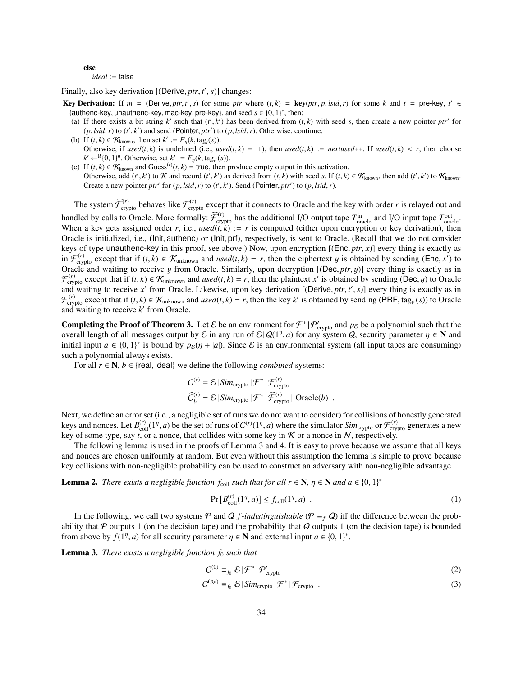## else

#### *ideal* := false

Finally, also key derivation  $[(Derive, *ptr*, *t'*, *s*)] changes:  $Var = \text{Periv}(x, \text{ or } t' \rightarrow s)$  for some *start* and$ 

- **Key Derivation:** If  $m = (\text{Derive}, \text{ptr}, t', s)$  for some ptr where  $(t, k) = \text{key}(\text{ptr}, p, \text{lsid}, r)$  for some k and  $t = \text{pre-key}, t' \in$ <br>Jauthencikely unauthencikely macikely precketing and seed  $s \in \{0, 1\}^*$  then: {authenc-key, unauthenc-key, mac-key, pre-key}, and seed  $s \in \{0, 1\}^*$ , then:<br>(a) If there exists a bit string k' such that  $(t', k')$  has been derived from (t
	- (a) If there exists a bit string *k'* such that  $(t', k')$  has been derived from  $(t, k)$  with seed *s*, then create a new pointer *ptr'* for  $(t, k/dt)$  and send (Pointer *ptr'*) to  $(t, k/dt)$ . Otherwise continue  $(p, \text{Isid}, r)$  to  $(t', k')$  and send (Pointer, *ptr'*) to  $(p, \text{Isid}, r)$ . Otherwise, continue.<br>If  $(t, k) \in K$ , then set  $k' := F (k \text{ t as } f(s))$
	- (b) If  $(t, k) \in \mathcal{K}_{\text{known}}$ , then set  $k' := F_{\eta}(k, \text{tag}_t(s))$ .<br>Otherwise if used(*t* k) is undefined (i.e., use Otherwise, if  $used(t, k)$  is undefined (i.e.,  $used(t, k) = \bot$ ), then  $used(t, k) :=$  *nextused*++. If  $used(t, k) < r$ , then choose  $k' \leftarrow^R \{0, 1\}^n$ . Otherwise, set  $k' := F_\eta(k, \text{tag}_t(s))$ .<br>If  $(k, k) \in \mathcal{K}$  and Guess<sup>(r)</sup>( $(k)$ ) – true then n
	- (c) If  $(t, k) \in \mathcal{K}_{\text{known}}$  and Guess<sup>(*r*)</sup>( $t, k$ ) = true, then produce empty output in this activation.<br>Otherwise add ( $t'$   $k'$ ) to  $\mathcal K$  and record ( $t'$   $k'$ ) as derived from ( $t$   $k$ ) with seed s If ( $t$   $k$ ) Otherwise, add  $(t', k')$  to K and record  $(t', k')$  as derived from  $(t, k)$  with seed *s*. If  $(t, k) \in K_{known}$ , then add  $(t', k')$  to  $K_{known}$ . Create a new pointer *ptr'* for  $(p, \text{lsid}, r)$  to  $(t', k')$ . Send (Pointer, *ptr'*) to  $(p, \text{lsid}, r)$ .

The system  $\widehat{\mathcal{F}}_{\text{crypto}}^{(r)}$  behaves like  $\mathcal{F}_{\text{crypto}}^{(r)}$  except that it connects to Oracle and the key with order *r* is relayed out and handled by calls to Oracle. More formally:  $\widehat{\mathcal{F}}_{\text{cryptography}}^{(r)}$  has the additional I/O output tape  $T_{\text{oracle}}^{\text{in}}$  and I/O input tape  $T_{\text{oracle}}^{\text{out}}$ . When a key gets assigned order *r*, i.e., *used*(*t*,  $k$ ) := *r* is computed (either upon encryption or key derivation), then  $Q_{\text{rad}}$  is equivalently is sent to  $Q_{\text{rad}}$ . (Recall that we do not consider Oracle is initialized, i.e., (Init, authenc) or (Init, prf), respectively, is sent to Oracle. (Recall that we do not consider keys of type unauthenc-key in this proof, see above.) Now, upon encryption [(Enc, *ptr*, *<sup>x</sup>*)] every thing is exactly as in  $\mathcal{F}_{\text{crypto}}^{(r)}$  except that if  $(t, k) \in \mathcal{K}_{\text{unknown}}$  and *used* $(t, k) = r$ , then the ciphertext y is obtained by sending (Enc, *x'*) to Oracle and waiting to receive y from Oracle Similarly upon decryption  $[(\text{Dec } nt; u)]$  Oracle and waiting to receive  $y$  from Oracle. Similarly, upon decryption  $[(\text{Dec},ptr, y)]$  every thing is exactly as in  $\mathcal{F}_{\text{crypt}}^{(r)}$  except that if  $(t, k) \in \mathcal{K}_{\text{unknown}}$  and *used* $(t, k) = r$ , then the plaintext *x'* is obtained by sending (Dec, *y*) to Oracle<br>and waiting to receive *x'* from Oracle I ikewise, upon key derivation (Oerive and waiting to receive *x'* from Oracle. Likewise, upon key derivation [(Derive, *ptr*, *t'*, *s*)] every thing is exactly as in<br>  $\mathcal{F}^{(r)}$  except that if  $(t, k) \in \mathcal{K}$ , and used( $t, k$ ) – *r* then the key *k'* is obta  $\mathcal{F}_{\text{crypt}}^{(r)}$  except that if  $(t, k) \in \mathcal{K}_{\text{unknown}}$  and  $used(t, k) = r$ , then the key  $k'$  is obtained by sending (PRF, tag<sub>t</sub><sub>(</sub>(s)) to Oracle<br>and waiting to receive  $k'$  from Oracle and waiting to receive  $k'$  from Oracle.

**Completing the Proof of Theorem 3.** Let  $\mathcal{E}$  be an environment for  $\mathcal{F}^* | \mathcal{P}'_{\text{crypto}}$  and  $p_{\mathcal{E}}$  be a polynomial such that the overall length of all messages output by E in any run of  $\mathcal{E} | Q(1^n, a)$  for any system Q, security parameter  $\eta \in \mathbb{N}$  and initial input  $a \in \{0, 1\}^*$  is bound by  $p_0(n + |a|)$ . Since E is an environmental system (al initial input  $a \in \{0, 1\}^*$  is bound by  $p_{\mathcal{E}}(\eta + |a|)$ . Since  $\mathcal E$  is an environmental system (all input tapes are consuming) such a not promise all input tapes are consuming) such a polynomial always exists.

For all  $r \in \mathbb{N}$ ,  $b \in \{real, ideal\}$  we define the following *combined* systems:

$$
C^{(r)} = \mathcal{E} | \text{Sim}_{\text{crypto}} | \mathcal{F}^* | \mathcal{F}_{\text{crypto}}^{(r)} \n\widetilde{C}_b^{(r)} = \mathcal{E} | \text{Sim}_{\text{crypto}} | \mathcal{F}^* | \widetilde{\mathcal{F}}_{\text{crypto}}^{(r)} | \text{ Oracle}(b) .
$$

Next, we define an error set (i.e., a negligible set of runs we do not want to consider) for collisions of honestly generated keys and nonces. Let  $B_{\text{coll}}^{(r)}(1^n, a)$  be the set of runs of  $C^{(r)}(1^n, a)$  where the simulator *Sim*<sub>crypto</sub> or  $\mathcal{F}_{\text{crypt}}^{(r)}$  generates a new key of some types say to a nonce, that collides with some key in  $\mathcal{K}$ key of some type, say *t*, or a nonce, that collides with some key in  $K$  or a nonce in  $N$ , respectively.

The following lemma is used in the proofs of Lemma 3 and 4. It is easy to prove because we assume that all keys and nonces are chosen uniformly at random. But even without this assumption the lemma is simple to prove because key collisions with non-negligible probability can be used to construct an adversary with non-negligible advantage.

**Lemma 2.** *There exists a negligible function*  $f_{\text{coll}}$  *such that for all*  $r \in \mathbb{N}$ *,*  $\eta \in \mathbb{N}$  *and*  $a \in \{0, 1\}^*$ 

$$
\Pr\left[B_{\text{coll}}^{(r)}(1^{\eta},a)\right] \le f_{\text{coll}}(1^{\eta},a) \tag{1}
$$

In the following, we call two systems P and Q f-indistinguishable ( $\mathcal{P} \equiv_f \mathcal{Q}$ ) iff the difference between the probability that  $\mathcal P$  outputs 1 (on the decision tape) and the probability that  $\mathcal Q$  outputs 1 (on the decision tape) is bounded from above by  $f(1^n, a)$  for all security parameter  $\eta \in \mathbb{N}$  and external input  $a \in \{0, 1\}^*$ .

Lemma 3. *There exists a negligible function f*<sup>0</sup> *such that*

$$
C^{(0)} \equiv_{f_0} \mathcal{E} \mid \mathcal{F}^* \mid \mathcal{P}_{\text{crypto}}' \tag{2}
$$

$$
C^{(p_{\mathcal{E}})} \equiv_{f_0} \mathcal{E} \left| \operatorname{Sim_{crypto}} \left| \mathcal{F}^* \right| \mathcal{F}_{crypto} \right| \tag{3}
$$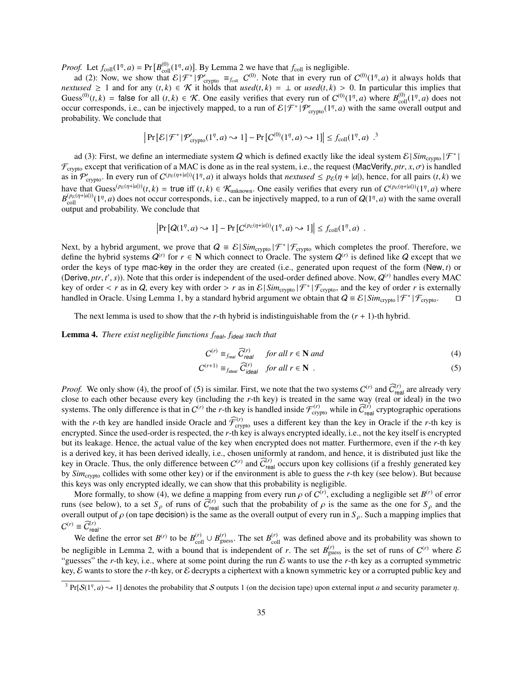*Proof.* Let  $f_{\text{coll}}(1^{\eta}, a) = \Pr[B_{\text{coll}}^{(0)}(1^{\eta}, a)]$ . By Lemma 2 we have that  $f_{\text{coll}}$  is negligible.

ad (2): Now, we show that  $\mathcal{E}|\mathcal{F}^*|\mathcal{P}'_{\text{cryptography}} \equiv_{f_{\text{coll}}} C^{(0)}$ . Note that in every run of  $C^{(0)}(1^{\eta},a)$  it always holds that the code of  $f_{\text{coll}}$  and for any  $(t, k) \in \mathcal{K}$  it holds that used  $(t, k) = 1$  or used *nextused*  $\geq 1$  and for any  $(t, k) \in \mathcal{K}$  it holds that *used*( $t, k$ ) =  $\perp$  or *used*( $t, k$ ) > 0. In particular this implies that Guess<sup>(0)</sup>(*t*, *k*) = false for all (*t*, *k*)  $\in \mathcal{K}$ . One easily verifies that every run of  $C^{(0)}(1^{\eta}, a)$  where  $B_{\text{coll}}^{(0)}(1^{\eta}, a)$  does not occur corresponds i.e., can be injectively manned to a run of  $\mathcal{E}(\$ occur corresponds, i.e., can be injectively mapped, to a run of  $\mathcal{E}|\mathcal{F}^*|\mathcal{P}_{\text{crypto}}'(1^n, a)$  with the same overall output and probability. We conclude that probability. We conclude that

$$
\left| \Pr\left[ \mathcal{E} | \mathcal{F}^* | \mathcal{P}_{\text{crypto}}'(1^\eta, a) \sim 1 \right] - \Pr\left[ C^{(0)}(1^\eta, a) \sim 1 \right] \right| \le f_{\text{coll}}(1^\eta, a) .^3
$$

ad (3): First, we define an intermediate system Q which is defined exactly like the ideal system  $\mathcal{E} | Sim_{\text{crypto}} | \mathcal{F}^* |$ |  $\mathcal{F}_{\text{crypto}}$  except that verification of a MAC is done as in the real system, i.e., the request (MacVerify, *ptr*, *x*,  $\sigma$ ) is handled as in  $\mathcal{P}'_{\text{cryptography}}$ . In every run of  $C^{(p_{\mathcal{E}}(\eta+|a|))}(1^{\eta},a)$  it always holds that *nextused*  $\leq p_{\mathcal{E}}(\eta+|a|)$ , hence, for all pairs  $(t,k)$  we<br>have that  $C_{\text{Dose}}(p_{\mathcal{E}}(\eta+|a|))$  thus if  $(t,k) \in \mathcal{X}$ . One so il have that Guess<sup>(*p*<sub>E</sub>(η+|*a*|))</sup>(*t*, *k*) = true iff (*t*, *k*)  $\in$  K<sub>unknown</sub>. One easily verifies that every run of  $C^{(p_{\mathcal{E}}(\eta+|a|))}(1^{\eta},a)$  where  $R^{(p_{\mathcal{E}}(\eta+|a|))}(1^{\eta},a)$  does not occur corresponds i.e., ca  $B_{\text{coll}}^{(p_{\mathcal{E}}(\eta+|a|))}(1^n, a)$  does not occur corresponds, i.e., can be injectively mapped, to a run of  $Q(1^n, a)$  with the same overall output and probability. We conclude that output and probability. We conclude that

$$
\left|\Pr\left[Q(1^{\eta},a)\sim 1\right]-\Pr\left[C^{(p_{\mathcal{E}}(\eta+|a|))}(1^{\eta},a)\sim 1\right]\right|\leq f_{\text{coll}}(1^{\eta},a) .
$$

Next, by a hybrid argument, we prove that  $Q = \mathcal{E}|Sim_{\text{crypto}}|\mathcal{F}^*|\mathcal{F}_{\text{crypto}}$  which completes the proof. Therefore, we define the hybrid systems  $Q^{(r)}$  for  $r \in \mathbb{N}$  which connect to Oracle. The system  $Q^{(r)}$  is defined like Q except that we order the keys of type mac-key in the order they are created (i.e., generated upon request of the form (New, *<sup>t</sup>*) or (Derive, *ptr*, *t'*, *s*)). Note that this order is independent of the used-order defined above. Now,  $Q^{(r)}$  handles every MAC<br>key of order  $\epsilon$  *r* as in  $Q$  every key with order  $>$  *r* as in  $\mathcal{E}[Sim] \rightarrow |\mathcal{F}^*| \mathcal{$ key of order < *r* as in Q, every key with order > *r* as in  $\mathcal{E}|\textit{Sim}_{\text{crypto}}|\mathcal{F}^*| \mathcal{F}_{\text{crypto}}$ , and the key of order *r* is externally handled in Oracle Using Lemma 1, by a standard bybrid aroument we obtain that handled in Oracle. Using Lemma 1, by a standard hybrid argument we obtain that  $Q = \mathcal{E} | Sim_{\text{crypto}} | \mathcal{F}^* | \mathcal{F}_{\text{crypto}}.$ 

The next lemma is used to show that the *r*-th hybrid is indistinguishable from the  $(r + 1)$ -th hybrid.

Lemma 4. *There exist negligible functions f*real, *<sup>f</sup>*ideal *such that*

$$
C^{(r)} \equiv_{f_{real}} \widehat{C}_{real}^{(r)} \quad \text{for all } r \in \mathbb{N} \text{ and} \tag{4}
$$

$$
C^{(r+1)} \equiv_{f_{ideal}} \widehat{C}_{ideal}^{(r)} \quad \text{for all } r \in \mathbb{N} \quad . \tag{5}
$$

*Proof.* We only show (4), the proof of (5) is similar. First, we note that the two systems  $C^{(r)}$  and  $\widehat{C}^{(r)}_{\text{real}}$  are already very close to each other because every key (including the *r*-th key) is treated in the same way (real or ideal) in the two systems. The only difference is that in  $C^{(r)}$  the *r*-th key is handled inside  $\mathcal{F}^{(r)}_{\text{crypto}}$  while in  $\widetilde{C}^{(r)}_{\text{real}}$  cryptographic operations with the *r*-th key are handled inside Oracle and  $\widehat{\mathcal{F}}_{\text{crypto}}^{(r)}$  uses a different key than the key in Oracle if the *r*-th key is encrypted. Since the used-order is respected, the *r*-th key is always encrypted ideally, i.e., not the key itself is encrypted but its leakage. Hence, the actual value of the key when encrypted does not matter. Furthermore, even if the *r*-th key is a derived key, it has been derived ideally, i.e., chosen uniformly at random, and hence, it is distributed just like the key in Oracle. Thus, the only difference between  $C^{(r)}$  and  $\widehat{C}_{\text{real}}^{(r)}$  occurs upon key collisions (if a freshly generated key by *Sim*crypto collides with some other key) or if the environment is able to guess the *r*-th key (see below). But because this keys was only encrypted ideally, we can show that this probability is negligible.

More formally, to show (4), we define a mapping from every run  $\rho$  of C<br>s (see below), to a set S, of runs of  $\tilde{C}^{(r)}$ , such that the probability of  $($ <sup>r</sup>), excluding a negligible set  $B$ <sup>(*r*)</sup> of error runs (see below), to a set  $S_\rho$  of runs of  $\tilde{C}_{\text{real}}^{(r)}$  such that the probability of  $\rho$  is the same as the one for  $S_\rho$  and the overall output of  $\rho$  (on tape decision) is the same as the overall output of every overall output of  $\rho$  (on tape decision) is the same as the overall output of every run in  $S_\rho$ . Such a mapping implies that  $O(\rho) = \frac{\partial V}{\partial \rho}$  $C^{(r)} \equiv \widehat{C}_{\text{real}}^{(r)}$ .

We define the error set  $B^{(r)}$  to be  $B_{\text{coll}}^{(r)} \cup B_{\text{guess}}^{(r)}$ . The set  $B_{\text{coll}}^{(r)}$  was defined above and its probability was shown to be negligible in Lemma 2, with a bound that is independent of *r*. The set  $B_{\text{guess}}^{(r)}$  is the set of runs of  $C^{(r)}$  where  $\mathcal E$ "guesses" the *r*-th key, i.e., where at some point during the run  $\mathcal E$  wants to use the *r*-th key as a corrupted symmetric key, E wants to store the *r*-th key, or E decrypts a ciphertext with a known symmetric key or a corrupted public key and

<sup>&</sup>lt;sup>3</sup> Pr[ $S(1<sup>n</sup>, a) \rightarrow 1$ ] denotes the probability that S outputs 1 (on the decision tape) upon external input *a* and security parameter *n*.